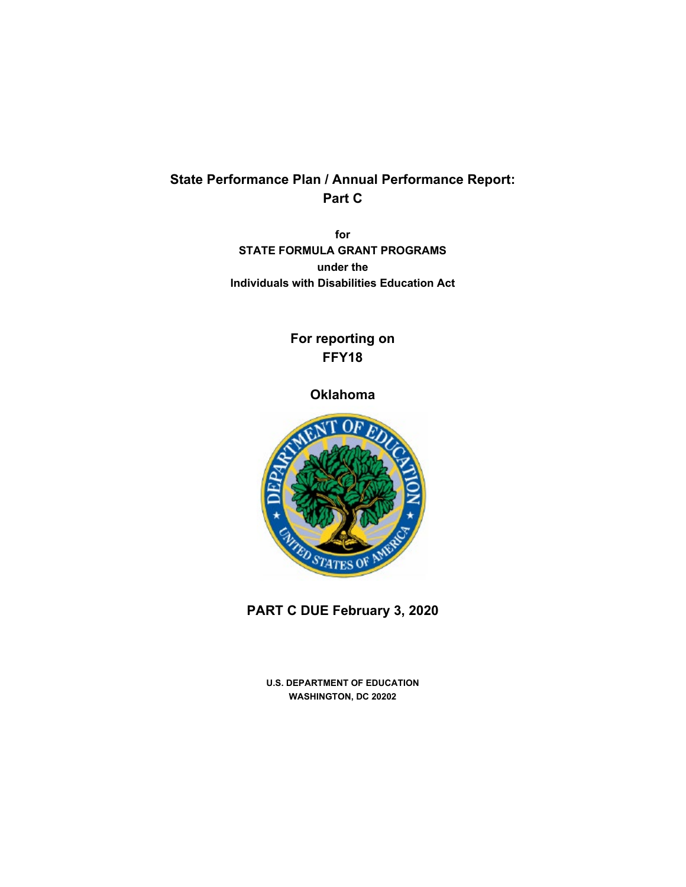# **State Performance Plan / Annual Performance Report: Part C**

**for STATE FORMULA GRANT PROGRAMS under the Individuals with Disabilities Education Act**

# **For reporting on FFY18**

## **Oklahoma**



**PART C DUE February 3, 2020**

**U.S. DEPARTMENT OF EDUCATION WASHINGTON, DC 20202**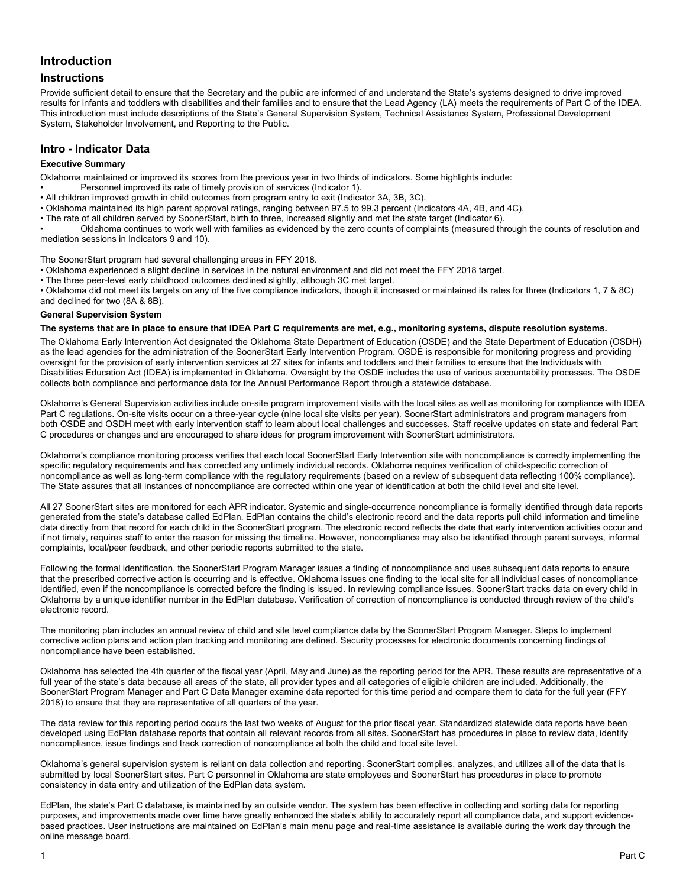## **Introduction**

## **Instructions**

Provide sufficient detail to ensure that the Secretary and the public are informed of and understand the State's systems designed to drive improved results for infants and toddlers with disabilities and their families and to ensure that the Lead Agency (LA) meets the requirements of Part C of the IDEA. This introduction must include descriptions of the State's General Supervision System, Technical Assistance System, Professional Development System, Stakeholder Involvement, and Reporting to the Public.

## **Intro - Indicator Data**

### **Executive Summary**

Oklahoma maintained or improved its scores from the previous year in two thirds of indicators. Some highlights include:

- Personnel improved its rate of timely provision of services (Indicator 1).
- All children improved growth in child outcomes from program entry to exit (Indicator 3A, 3B, 3C).
- Oklahoma maintained its high parent approval ratings, ranging between 97.5 to 99.3 percent (Indicators 4A, 4B, and 4C).
- The rate of all children served by SoonerStart, birth to three, increased slightly and met the state target (Indicator 6).

• Oklahoma continues to work well with families as evidenced by the zero counts of complaints (measured through the counts of resolution and mediation sessions in Indicators 9 and 10).

The SoonerStart program had several challenging areas in FFY 2018.

- Oklahoma experienced a slight decline in services in the natural environment and did not meet the FFY 2018 target.
- The three peer-level early childhood outcomes declined slightly, although 3C met target.

• Oklahoma did not meet its targets on any of the five compliance indicators, though it increased or maintained its rates for three (Indicators 1, 7 & 8C) and declined for two (8A & 8B).

#### **General Supervision System**

### **The systems that are in place to ensure that IDEA Part C requirements are met, e.g., monitoring systems, dispute resolution systems.**

The Oklahoma Early Intervention Act designated the Oklahoma State Department of Education (OSDE) and the State Department of Education (OSDH) as the lead agencies for the administration of the SoonerStart Early Intervention Program. OSDE is responsible for monitoring progress and providing oversight for the provision of early intervention services at 27 sites for infants and toddlers and their families to ensure that the Individuals with Disabilities Education Act (IDEA) is implemented in Oklahoma. Oversight by the OSDE includes the use of various accountability processes. The OSDE collects both compliance and performance data for the Annual Performance Report through a statewide database.

Oklahoma's General Supervision activities include on-site program improvement visits with the local sites as well as monitoring for compliance with IDEA Part C regulations. On-site visits occur on a three-year cycle (nine local site visits per year). SoonerStart administrators and program managers from both OSDE and OSDH meet with early intervention staff to learn about local challenges and successes. Staff receive updates on state and federal Part C procedures or changes and are encouraged to share ideas for program improvement with SoonerStart administrators.

Oklahoma's compliance monitoring process verifies that each local SoonerStart Early Intervention site with noncompliance is correctly implementing the specific regulatory requirements and has corrected any untimely individual records. Oklahoma requires verification of child-specific correction of noncompliance as well as long-term compliance with the regulatory requirements (based on a review of subsequent data reflecting 100% compliance). The State assures that all instances of noncompliance are corrected within one year of identification at both the child level and site level.

All 27 SoonerStart sites are monitored for each APR indicator. Systemic and single-occurrence noncompliance is formally identified through data reports generated from the state's database called EdPlan. EdPlan contains the child's electronic record and the data reports pull child information and timeline data directly from that record for each child in the SoonerStart program. The electronic record reflects the date that early intervention activities occur and if not timely, requires staff to enter the reason for missing the timeline. However, noncompliance may also be identified through parent surveys, informal complaints, local/peer feedback, and other periodic reports submitted to the state.

Following the formal identification, the SoonerStart Program Manager issues a finding of noncompliance and uses subsequent data reports to ensure that the prescribed corrective action is occurring and is effective. Oklahoma issues one finding to the local site for all individual cases of noncompliance identified, even if the noncompliance is corrected before the finding is issued. In reviewing compliance issues, SoonerStart tracks data on every child in Oklahoma by a unique identifier number in the EdPlan database. Verification of correction of noncompliance is conducted through review of the child's electronic record.

The monitoring plan includes an annual review of child and site level compliance data by the SoonerStart Program Manager. Steps to implement corrective action plans and action plan tracking and monitoring are defined. Security processes for electronic documents concerning findings of noncompliance have been established.

Oklahoma has selected the 4th quarter of the fiscal year (April, May and June) as the reporting period for the APR. These results are representative of a full year of the state's data because all areas of the state, all provider types and all categories of eligible children are included. Additionally, the SoonerStart Program Manager and Part C Data Manager examine data reported for this time period and compare them to data for the full year (FFY 2018) to ensure that they are representative of all quarters of the year.

The data review for this reporting period occurs the last two weeks of August for the prior fiscal year. Standardized statewide data reports have been developed using EdPlan database reports that contain all relevant records from all sites. SoonerStart has procedures in place to review data, identify noncompliance, issue findings and track correction of noncompliance at both the child and local site level.

Oklahoma's general supervision system is reliant on data collection and reporting. SoonerStart compiles, analyzes, and utilizes all of the data that is submitted by local SoonerStart sites. Part C personnel in Oklahoma are state employees and SoonerStart has procedures in place to promote consistency in data entry and utilization of the EdPlan data system.

EdPlan, the state's Part C database, is maintained by an outside vendor. The system has been effective in collecting and sorting data for reporting purposes, and improvements made over time have greatly enhanced the state's ability to accurately report all compliance data, and support evidencebased practices. User instructions are maintained on EdPlan's main menu page and real-time assistance is available during the work day through the online message board.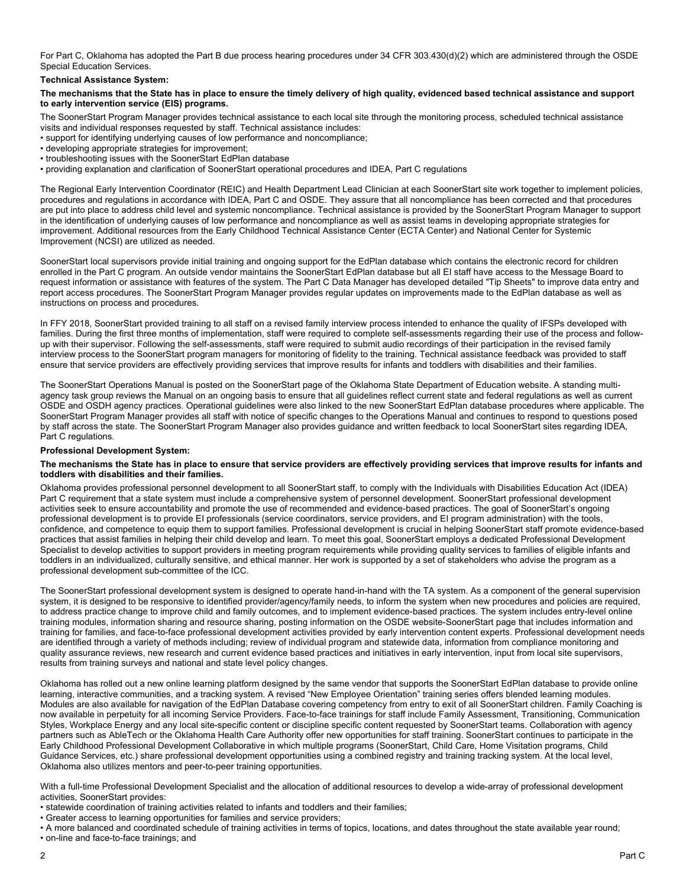For Part C, Oklahoma has adopted the Part B due process hearing procedures under 34 CFR 303.430(d)(2) which are administered through the OSDE Special Education Services.

**Technical Assistance System:**

#### **The mechanisms that the State has in place to ensure the timely delivery of high quality, evidenced based technical assistance and support to early intervention service (EIS) programs.**

The SoonerStart Program Manager provides technical assistance to each local site through the monitoring process, scheduled technical assistance visits and individual responses requested by staff. Technical assistance includes:

• support for identifying underlying causes of low performance and noncompliance;

- developing appropriate strategies for improvement;
- troubleshooting issues with the SoonerStart EdPlan database
- providing explanation and clarification of SoonerStart operational procedures and IDEA, Part C regulations

The Regional Early Intervention Coordinator (REIC) and Health Department Lead Clinician at each SoonerStart site work together to implement policies, procedures and regulations in accordance with IDEA, Part C and OSDE. They assure that all noncompliance has been corrected and that procedures are put into place to address child level and systemic noncompliance. Technical assistance is provided by the SoonerStart Program Manager to support in the identification of underlying causes of low performance and noncompliance as well as assist teams in developing appropriate strategies for improvement. Additional resources from the Early Childhood Technical Assistance Center (ECTA Center) and National Center for Systemic Improvement (NCSI) are utilized as needed.

SoonerStart local supervisors provide initial training and ongoing support for the EdPlan database which contains the electronic record for children enrolled in the Part C program. An outside vendor maintains the SoonerStart EdPlan database but all EI staff have access to the Message Board to request information or assistance with features of the system. The Part C Data Manager has developed detailed "Tip Sheets" to improve data entry and report access procedures. The SoonerStart Program Manager provides regular updates on improvements made to the EdPlan database as well as instructions on process and procedures.

In FFY 2018, SoonerStart provided training to all staff on a revised family interview process intended to enhance the quality of IFSPs developed with families. During the first three months of implementation, staff were required to complete self-assessments regarding their use of the process and followup with their supervisor. Following the self-assessments, staff were required to submit audio recordings of their participation in the revised family interview process to the SoonerStart program managers for monitoring of fidelity to the training. Technical assistance feedback was provided to staff ensure that service providers are effectively providing services that improve results for infants and toddlers with disabilities and their families.

The SoonerStart Operations Manual is posted on the SoonerStart page of the Oklahoma State Department of Education website. A standing multiagency task group reviews the Manual on an ongoing basis to ensure that all guidelines reflect current state and federal regulations as well as current OSDE and OSDH agency practices. Operational guidelines were also linked to the new SoonerStart EdPlan database procedures where applicable. The SoonerStart Program Manager provides all staff with notice of specific changes to the Operations Manual and continues to respond to questions posed by staff across the state. The SoonerStart Program Manager also provides guidance and written feedback to local SoonerStart sites regarding IDEA, Part C regulations.

#### **Professional Development System:**

#### **The mechanisms the State has in place to ensure that service providers are effectively providing services that improve results for infants and toddlers with disabilities and their families.**

Oklahoma provides professional personnel development to all SoonerStart staff, to comply with the Individuals with Disabilities Education Act (IDEA) Part C requirement that a state system must include a comprehensive system of personnel development. SoonerStart professional development activities seek to ensure accountability and promote the use of recommended and evidence-based practices. The goal of SoonerStart's ongoing professional development is to provide EI professionals (service coordinators, service providers, and EI program administration) with the tools, confidence, and competence to equip them to support families. Professional development is crucial in helping SoonerStart staff promote evidence-based practices that assist families in helping their child develop and learn. To meet this goal, SoonerStart employs a dedicated Professional Development Specialist to develop activities to support providers in meeting program requirements while providing quality services to families of eligible infants and toddlers in an individualized, culturally sensitive, and ethical manner. Her work is supported by a set of stakeholders who advise the program as a professional development sub-committee of the ICC.

The SoonerStart professional development system is designed to operate hand-in-hand with the TA system. As a component of the general supervision system, it is designed to be responsive to identified provider/agency/family needs, to inform the system when new procedures and policies are required, to address practice change to improve child and family outcomes, and to implement evidence-based practices. The system includes entry-level online training modules, information sharing and resource sharing, posting information on the OSDE website-SoonerStart page that includes information and training for families, and face-to-face professional development activities provided by early intervention content experts. Professional development needs are identified through a variety of methods including; review of individual program and statewide data, information from compliance monitoring and quality assurance reviews, new research and current evidence based practices and initiatives in early intervention, input from local site supervisors, results from training surveys and national and state level policy changes.

Oklahoma has rolled out a new online learning platform designed by the same vendor that supports the SoonerStart EdPlan database to provide online learning, interactive communities, and a tracking system. A revised "New Employee Orientation" training series offers blended learning modules. Modules are also available for navigation of the EdPlan Database covering competency from entry to exit of all SoonerStart children. Family Coaching is now available in perpetuity for all incoming Service Providers. Face-to-face trainings for staff include Family Assessment, Transitioning, Communication Styles, Workplace Energy and any local site-specific content or discipline specific content requested by SoonerStart teams. Collaboration with agency partners such as AbleTech or the Oklahoma Health Care Authority offer new opportunities for staff training. SoonerStart continues to participate in the Early Childhood Professional Development Collaborative in which multiple programs (SoonerStart, Child Care, Home Visitation programs, Child Guidance Services, etc.) share professional development opportunities using a combined registry and training tracking system. At the local level, Oklahoma also utilizes mentors and peer-to-peer training opportunities.

With a full-time Professional Development Specialist and the allocation of additional resources to develop a wide-array of professional development activities, SoonerStart provides:

- statewide coordination of training activities related to infants and toddlers and their families;
- Greater access to learning opportunities for families and service providers;

• on-line and face-to-face trainings; and

<sup>•</sup> A more balanced and coordinated schedule of training activities in terms of topics, locations, and dates throughout the state available year round;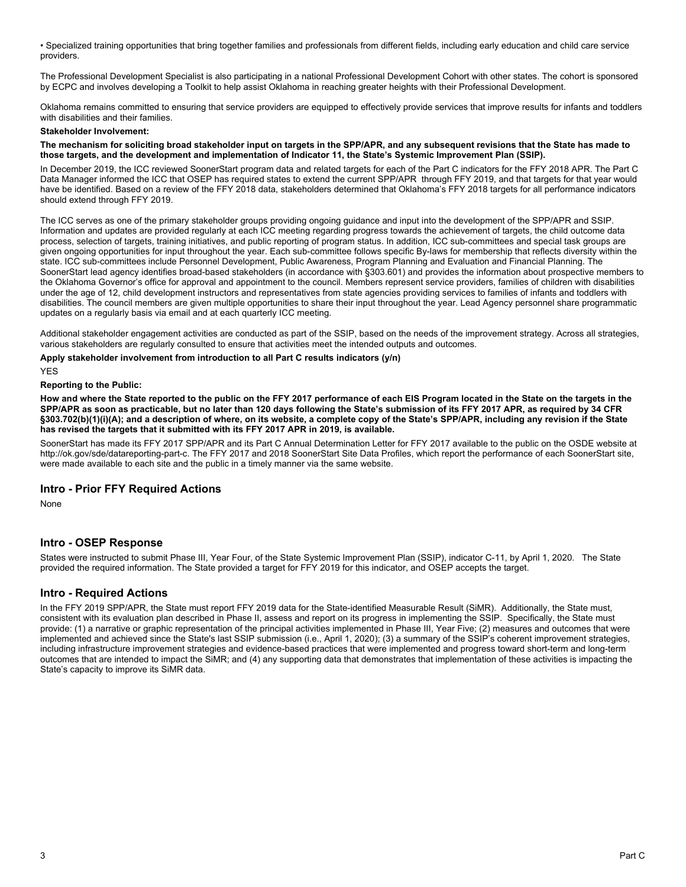• Specialized training opportunities that bring together families and professionals from different fields, including early education and child care service providers.

The Professional Development Specialist is also participating in a national Professional Development Cohort with other states. The cohort is sponsored by ECPC and involves developing a Toolkit to help assist Oklahoma in reaching greater heights with their Professional Development.

Oklahoma remains committed to ensuring that service providers are equipped to effectively provide services that improve results for infants and toddlers with disabilities and their families.

#### **Stakeholder Involvement:**

#### **The mechanism for soliciting broad stakeholder input on targets in the SPP/APR, and any subsequent revisions that the State has made to those targets, and the development and implementation of Indicator 11, the State's Systemic Improvement Plan (SSIP).**

In December 2019, the ICC reviewed SoonerStart program data and related targets for each of the Part C indicators for the FFY 2018 APR. The Part C Data Manager informed the ICC that OSEP has required states to extend the current SPP/APR through FFY 2019, and that targets for that year would have be identified. Based on a review of the FFY 2018 data, stakeholders determined that Oklahoma's FFY 2018 targets for all performance indicators should extend through FFY 2019.

The ICC serves as one of the primary stakeholder groups providing ongoing guidance and input into the development of the SPP/APR and SSIP. Information and updates are provided regularly at each ICC meeting regarding progress towards the achievement of targets, the child outcome data process, selection of targets, training initiatives, and public reporting of program status. In addition, ICC sub-committees and special task groups are given ongoing opportunities for input throughout the year. Each sub-committee follows specific By-laws for membership that reflects diversity within the state. ICC sub-committees include Personnel Development, Public Awareness, Program Planning and Evaluation and Financial Planning. The SoonerStart lead agency identifies broad-based stakeholders (in accordance with §303.601) and provides the information about prospective members to the Oklahoma Governor's office for approval and appointment to the council. Members represent service providers, families of children with disabilities under the age of 12, child development instructors and representatives from state agencies providing services to families of infants and toddlers with disabilities. The council members are given multiple opportunities to share their input throughout the year. Lead Agency personnel share programmatic updates on a regularly basis via email and at each quarterly ICC meeting.

Additional stakeholder engagement activities are conducted as part of the SSIP, based on the needs of the improvement strategy. Across all strategies, various stakeholders are regularly consulted to ensure that activities meet the intended outputs and outcomes.

#### **Apply stakeholder involvement from introduction to all Part C results indicators (y/n)**

YES

#### **Reporting to the Public:**

**How and where the State reported to the public on the FFY 2017 performance of each EIS Program located in the State on the targets in the SPP/APR as soon as practicable, but no later than 120 days following the State's submission of its FFY 2017 APR, as required by 34 CFR §303.702(b)(1)(i)(A); and a description of where, on its website, a complete copy of the State's SPP/APR, including any revision if the State has revised the targets that it submitted with its FFY 2017 APR in 2019, is available.**

SoonerStart has made its FFY 2017 SPP/APR and its Part C Annual Determination Letter for FFY 2017 available to the public on the OSDE website at http://ok.gov/sde/datareporting-part-c. The FFY 2017 and 2018 SoonerStart Site Data Profiles, which report the performance of each SoonerStart site, were made available to each site and the public in a timely manner via the same website.

## **Intro - Prior FFY Required Actions**

None

## **Intro - OSEP Response**

States were instructed to submit Phase III, Year Four, of the State Systemic Improvement Plan (SSIP), indicator C-11, by April 1, 2020. The State provided the required information. The State provided a target for FFY 2019 for this indicator, and OSEP accepts the target.

## **Intro - Required Actions**

In the FFY 2019 SPP/APR, the State must report FFY 2019 data for the State-identified Measurable Result (SiMR). Additionally, the State must, consistent with its evaluation plan described in Phase II, assess and report on its progress in implementing the SSIP. Specifically, the State must provide: (1) a narrative or graphic representation of the principal activities implemented in Phase III, Year Five; (2) measures and outcomes that were implemented and achieved since the State's last SSIP submission (i.e., April 1, 2020); (3) a summary of the SSIP's coherent improvement strategies, including infrastructure improvement strategies and evidence-based practices that were implemented and progress toward short-term and long-term outcomes that are intended to impact the SiMR; and (4) any supporting data that demonstrates that implementation of these activities is impacting the State's capacity to improve its SiMR data.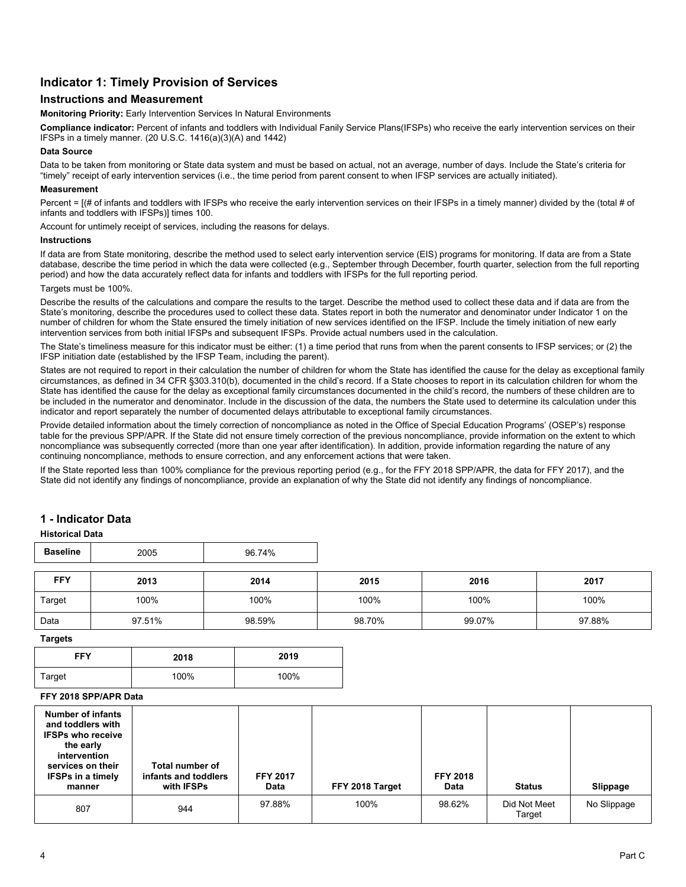## **Indicator 1: Timely Provision of Services**

## **Instructions and Measurement**

**Monitoring Priority:** Early Intervention Services In Natural Environments

**Compliance indicator:** Percent of infants and toddlers with Individual Fanily Service Plans(IFSPs) who receive the early intervention services on their IFSPs in a timely manner. (20 U.S.C. 1416(a)(3)(A) and 1442)

#### **Data Source**

Data to be taken from monitoring or State data system and must be based on actual, not an average, number of days. Include the State's criteria for "timely" receipt of early intervention services (i.e., the time period from parent consent to when IFSP services are actually initiated).

#### **Measurement**

Percent = [(# of infants and toddlers with IFSPs who receive the early intervention services on their IFSPs in a timely manner) divided by the (total # of infants and toddlers with IFSPs)] times 100.

Account for untimely receipt of services, including the reasons for delays.

#### **Instructions**

If data are from State monitoring, describe the method used to select early intervention service (EIS) programs for monitoring. If data are from a State database, describe the time period in which the data were collected (e.g., September through December, fourth quarter, selection from the full reporting period) and how the data accurately reflect data for infants and toddlers with IFSPs for the full reporting period.

#### Targets must be 100%.

Describe the results of the calculations and compare the results to the target. Describe the method used to collect these data and if data are from the State's monitoring, describe the procedures used to collect these data. States report in both the numerator and denominator under Indicator 1 on the number of children for whom the State ensured the timely initiation of new services identified on the IFSP. Include the timely initiation of new early intervention services from both initial IFSPs and subsequent IFSPs. Provide actual numbers used in the calculation.

The State's timeliness measure for this indicator must be either: (1) a time period that runs from when the parent consents to IFSP services; or (2) the IFSP initiation date (established by the IFSP Team, including the parent).

States are not required to report in their calculation the number of children for whom the State has identified the cause for the delay as exceptional family circumstances, as defined in 34 CFR §303.310(b), documented in the child's record. If a State chooses to report in its calculation children for whom the State has identified the cause for the delay as exceptional family circumstances documented in the child's record, the numbers of these children are to be included in the numerator and denominator. Include in the discussion of the data, the numbers the State used to determine its calculation under this indicator and report separately the number of documented delays attributable to exceptional family circumstances.

Provide detailed information about the timely correction of noncompliance as noted in the Office of Special Education Programs' (OSEP's) response table for the previous SPP/APR. If the State did not ensure timely correction of the previous noncompliance, provide information on the extent to which noncompliance was subsequently corrected (more than one year after identification). In addition, provide information regarding the nature of any continuing noncompliance, methods to ensure correction, and any enforcement actions that were taken.

If the State reported less than 100% compliance for the previous reporting period (e.g., for the FFY 2018 SPP/APR, the data for FFY 2017), and the State did not identify any findings of noncompliance, provide an explanation of why the State did not identify any findings of noncompliance.

## **1 - Indicator Data**

#### **Historical Data**

| <b>Baseline</b><br>96.74%<br>2005 |
|-----------------------------------|

| FFY    | 2013   | 2014   | 2015   | 2016   | 2017   |
|--------|--------|--------|--------|--------|--------|
| Target | 100%   | 100%   | 100%   | 100%   | 100%   |
| Data   | 97.51% | 98.59% | 98.70% | 99.07% | 97.88% |

**Targets**

| <b>FFY</b> | 2018 | 2019 |
|------------|------|------|
| Target     | 100% | 100% |

## **FFY 2018 SPP/APR Data**

| Number of infants<br>and toddlers with<br><b>IFSPs who receive</b><br>the early<br>intervention<br>services on their<br><b>IFSPs in a timely</b><br>manner | Total number of<br>infants and toddlers<br>with IFSPs | <b>FFY 2017</b><br>Data | FFY 2018 Target | <b>FFY 2018</b><br>Data | <b>Status</b>          | Slippage    |
|------------------------------------------------------------------------------------------------------------------------------------------------------------|-------------------------------------------------------|-------------------------|-----------------|-------------------------|------------------------|-------------|
| 807                                                                                                                                                        | 944                                                   | 97.88%                  | 100%            | 98.62%                  | Did Not Meet<br>Target | No Slippage |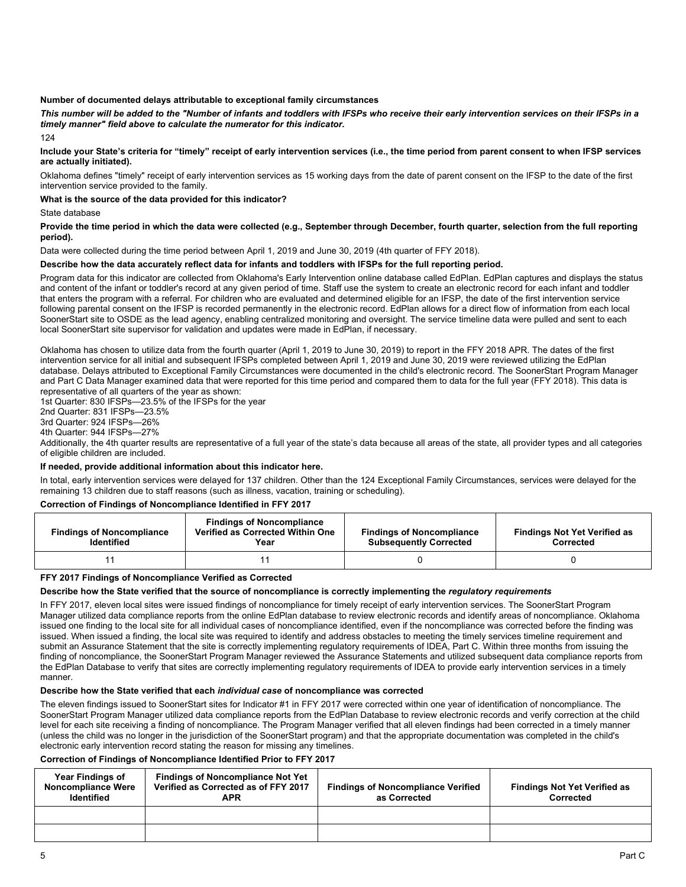#### **Number of documented delays attributable to exceptional family circumstances**

*This number will be added to the "Number of infants and toddlers with IFSPs who receive their early intervention services on their IFSPs in a timely manner" field above to calculate the numerator for this indicator.*

124

#### Include your State's criteria for "timely" receipt of early intervention services (i.e., the time period from parent consent to when IFSP services **are actually initiated).**

Oklahoma defines "timely" receipt of early intervention services as 15 working days from the date of parent consent on the IFSP to the date of the first intervention service provided to the family.

#### **What is the source of the data provided for this indicator?**

State database

#### **Provide the time period in which the data were collected (e.g., September through December, fourth quarter, selection from the full reporting period).**

Data were collected during the time period between April 1, 2019 and June 30, 2019 (4th quarter of FFY 2018).

#### **Describe how the data accurately reflect data for infants and toddlers with IFSPs for the full reporting period.**

Program data for this indicator are collected from Oklahoma's Early Intervention online database called EdPlan. EdPlan captures and displays the status and content of the infant or toddler's record at any given period of time. Staff use the system to create an electronic record for each infant and toddler that enters the program with a referral. For children who are evaluated and determined eligible for an IFSP, the date of the first intervention service following parental consent on the IFSP is recorded permanently in the electronic record. EdPlan allows for a direct flow of information from each local SoonerStart site to OSDE as the lead agency, enabling centralized monitoring and oversight. The service timeline data were pulled and sent to each local SoonerStart site supervisor for validation and updates were made in EdPlan, if necessary.

Oklahoma has chosen to utilize data from the fourth quarter (April 1, 2019 to June 30, 2019) to report in the FFY 2018 APR. The dates of the first intervention service for all initial and subsequent IFSPs completed between April 1, 2019 and June 30, 2019 were reviewed utilizing the EdPlan database. Delays attributed to Exceptional Family Circumstances were documented in the child's electronic record. The SoonerStart Program Manager and Part C Data Manager examined data that were reported for this time period and compared them to data for the full year (FFY 2018). This data is representative of all quarters of the year as shown:

1st Quarter: 830 IFSPs—23.5% of the IFSPs for the year

2nd Quarter: 831 IFSPs—23.5%

3rd Quarter: 924 IFSPs—26%

4th Quarter: 944 IFSPs—27%

Additionally, the 4th quarter results are representative of a full year of the state's data because all areas of the state, all provider types and all categories of eligible children are included.

#### **If needed, provide additional information about this indicator here.**

In total, early intervention services were delayed for 137 children. Other than the 124 Exceptional Family Circumstances, services were delayed for the remaining 13 children due to staff reasons (such as illness, vacation, training or scheduling).

## **Correction of Findings of Noncompliance Identified in FFY 2017**

| <b>Findings of Noncompliance</b><br><b>Identified</b> | <b>Findings of Noncompliance</b><br>Verified as Corrected Within One<br>Year | <b>Findings of Noncompliance</b><br><b>Subsequently Corrected</b> | <b>Findings Not Yet Verified as</b><br><b>Corrected</b> |
|-------------------------------------------------------|------------------------------------------------------------------------------|-------------------------------------------------------------------|---------------------------------------------------------|
|                                                       |                                                                              |                                                                   |                                                         |

#### **FFY 2017 Findings of Noncompliance Verified as Corrected**

#### **Describe how the State verified that the source of noncompliance is correctly implementing the** *regulatory requirements*

In FFY 2017, eleven local sites were issued findings of noncompliance for timely receipt of early intervention services. The SoonerStart Program Manager utilized data compliance reports from the online EdPlan database to review electronic records and identify areas of noncompliance. Oklahoma issued one finding to the local site for all individual cases of noncompliance identified, even if the noncompliance was corrected before the finding was issued. When issued a finding, the local site was required to identify and address obstacles to meeting the timely services timeline requirement and submit an Assurance Statement that the site is correctly implementing regulatory requirements of IDEA, Part C. Within three months from issuing the finding of noncompliance, the SoonerStart Program Manager reviewed the Assurance Statements and utilized subsequent data compliance reports from the EdPlan Database to verify that sites are correctly implementing regulatory requirements of IDEA to provide early intervention services in a timely manner.

#### **Describe how the State verified that each** *individual case* **of noncompliance was corrected**

The eleven findings issued to SoonerStart sites for Indicator #1 in FFY 2017 were corrected within one year of identification of noncompliance. The SoonerStart Program Manager utilized data compliance reports from the EdPlan Database to review electronic records and verify correction at the child level for each site receiving a finding of noncompliance. The Program Manager verified that all eleven findings had been corrected in a timely manner (unless the child was no longer in the jurisdiction of the SoonerStart program) and that the appropriate documentation was completed in the child's electronic early intervention record stating the reason for missing any timelines.

#### **Correction of Findings of Noncompliance Identified Prior to FFY 2017**

| <b>Year Findings of</b><br><b>Noncompliance Were</b><br><b>Identified</b> | <b>Findings of Noncompliance Not Yet</b><br>Verified as Corrected as of FFY 2017<br>APR | <b>Findings of Noncompliance Verified</b><br>as Corrected | <b>Findings Not Yet Verified as</b><br>Corrected |
|---------------------------------------------------------------------------|-----------------------------------------------------------------------------------------|-----------------------------------------------------------|--------------------------------------------------|
|                                                                           |                                                                                         |                                                           |                                                  |
|                                                                           |                                                                                         |                                                           |                                                  |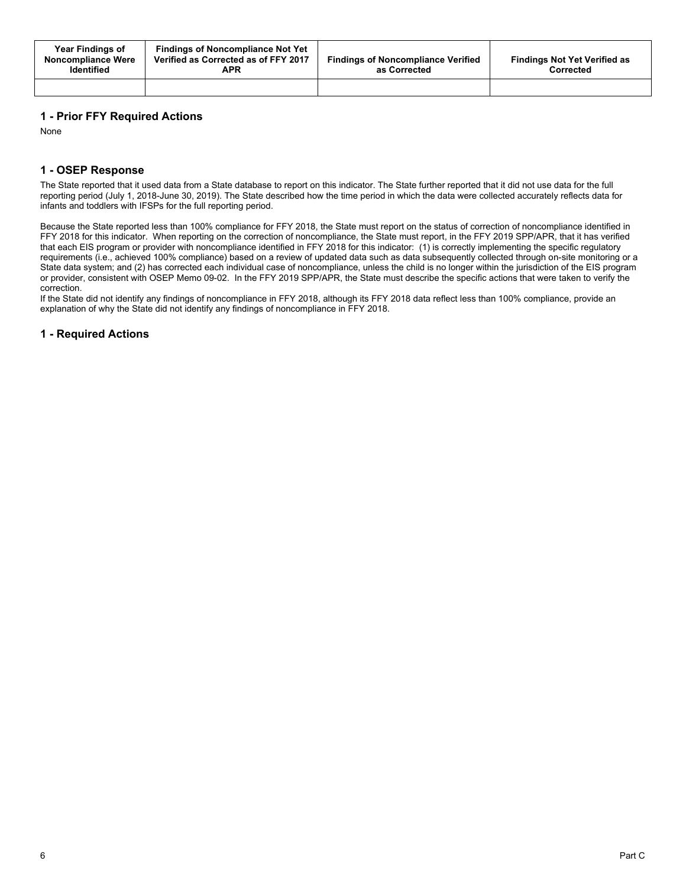| Year Findings of<br>Noncompliance Were<br><b>Identified</b> | <b>Findings of Noncompliance Not Yet</b><br>Verified as Corrected as of FFY 2017<br>APR | <b>Findings of Noncompliance Verified</b><br>as Corrected | <b>Findings Not Yet Verified as</b><br>Corrected |
|-------------------------------------------------------------|-----------------------------------------------------------------------------------------|-----------------------------------------------------------|--------------------------------------------------|
|                                                             |                                                                                         |                                                           |                                                  |

## **1 - Prior FFY Required Actions**

None

## **1 - OSEP Response**

The State reported that it used data from a State database to report on this indicator. The State further reported that it did not use data for the full reporting period (July 1, 2018-June 30, 2019). The State described how the time period in which the data were collected accurately reflects data for infants and toddlers with IFSPs for the full reporting period.

Because the State reported less than 100% compliance for FFY 2018, the State must report on the status of correction of noncompliance identified in FFY 2018 for this indicator. When reporting on the correction of noncompliance, the State must report, in the FFY 2019 SPP/APR, that it has verified that each EIS program or provider with noncompliance identified in FFY 2018 for this indicator: (1) is correctly implementing the specific regulatory requirements (i.e., achieved 100% compliance) based on a review of updated data such as data subsequently collected through on-site monitoring or a State data system; and (2) has corrected each individual case of noncompliance, unless the child is no longer within the jurisdiction of the EIS program or provider, consistent with OSEP Memo 09-02. In the FFY 2019 SPP/APR, the State must describe the specific actions that were taken to verify the correction.

If the State did not identify any findings of noncompliance in FFY 2018, although its FFY 2018 data reflect less than 100% compliance, provide an explanation of why the State did not identify any findings of noncompliance in FFY 2018.

## **1 - Required Actions**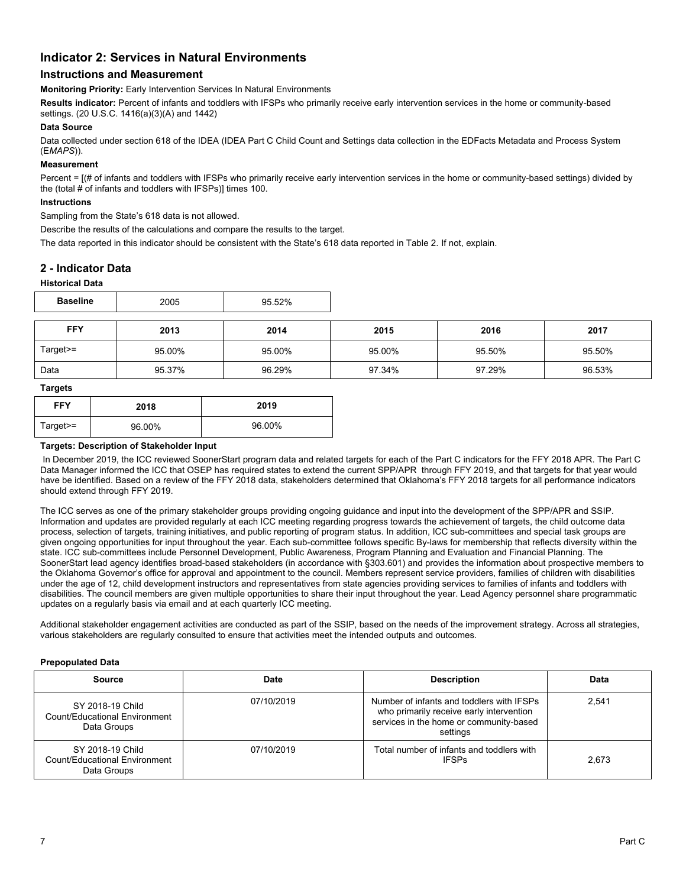## **Indicator 2: Services in Natural Environments**

## **Instructions and Measurement**

**Monitoring Priority:** Early Intervention Services In Natural Environments

**Results indicator:** Percent of infants and toddlers with IFSPs who primarily receive early intervention services in the home or community-based settings. (20 U.S.C. 1416(a)(3)(A) and 1442)

#### **Data Source**

Data collected under section 618 of the IDEA (IDEA Part C Child Count and Settings data collection in the EDFacts Metadata and Process System (E*MAPS*)).

#### **Measurement**

Percent =  $[(# of infants and toldlers with IFSPs who primarily receive early intervention services in the home or community-based settings) divided by$ the (total # of infants and toddlers with IFSPs)] times 100.

#### **Instructions**

Sampling from the State's 618 data is not allowed.

Describe the results of the calculations and compare the results to the target.

The data reported in this indicator should be consistent with the State's 618 data reported in Table 2. If not, explain.

## **2 - Indicator Data**

#### **Historical Data**

| <b>Baseline</b> | 005 | FOM<br>'% |
|-----------------|-----|-----------|
|-----------------|-----|-----------|

| <b>FFY</b> | 2013   | 2014   | 2015   | 2016   | 2017   |
|------------|--------|--------|--------|--------|--------|
| $Target =$ | 95.00% | 95.00% | 95.00% | 95.50% | 95.50% |
| Data       | 95.37% | 96.29% | 97.34% | 97.29% | 96.53% |

#### **Targets**

| <b>FFY</b> | 2018   | 2019   |
|------------|--------|--------|
| Target>=   | 96.00% | 96.00% |

#### **Targets: Description of Stakeholder Input**

In December 2019, the ICC reviewed SoonerStart program data and related targets for each of the Part C indicators for the FFY 2018 APR. The Part C Data Manager informed the ICC that OSEP has required states to extend the current SPP/APR through FFY 2019, and that targets for that year would have be identified. Based on a review of the FFY 2018 data, stakeholders determined that Oklahoma's FFY 2018 targets for all performance indicators should extend through FFY 2019.

The ICC serves as one of the primary stakeholder groups providing ongoing guidance and input into the development of the SPP/APR and SSIP. Information and updates are provided regularly at each ICC meeting regarding progress towards the achievement of targets, the child outcome data process, selection of targets, training initiatives, and public reporting of program status. In addition, ICC sub-committees and special task groups are given ongoing opportunities for input throughout the year. Each sub-committee follows specific By-laws for membership that reflects diversity within the state. ICC sub-committees include Personnel Development, Public Awareness, Program Planning and Evaluation and Financial Planning. The SoonerStart lead agency identifies broad-based stakeholders (in accordance with §303.601) and provides the information about prospective members to the Oklahoma Governor's office for approval and appointment to the council. Members represent service providers, families of children with disabilities under the age of 12, child development instructors and representatives from state agencies providing services to families of infants and toddlers with disabilities. The council members are given multiple opportunities to share their input throughout the year. Lead Agency personnel share programmatic updates on a regularly basis via email and at each quarterly ICC meeting.

Additional stakeholder engagement activities are conducted as part of the SSIP, based on the needs of the improvement strategy. Across all strategies, various stakeholders are regularly consulted to ensure that activities meet the intended outputs and outcomes.

#### **Prepopulated Data**

| <b>Source</b>                                                    | Date       | <b>Description</b>                                                                                                                           | Data  |
|------------------------------------------------------------------|------------|----------------------------------------------------------------------------------------------------------------------------------------------|-------|
| SY 2018-19 Child<br>Count/Educational Environment<br>Data Groups | 07/10/2019 | Number of infants and toddlers with IFSPs<br>who primarily receive early intervention<br>services in the home or community-based<br>settings | 2.541 |
| SY 2018-19 Child<br>Count/Educational Environment<br>Data Groups | 07/10/2019 | Total number of infants and toddlers with<br><b>IFSPs</b>                                                                                    | 2.673 |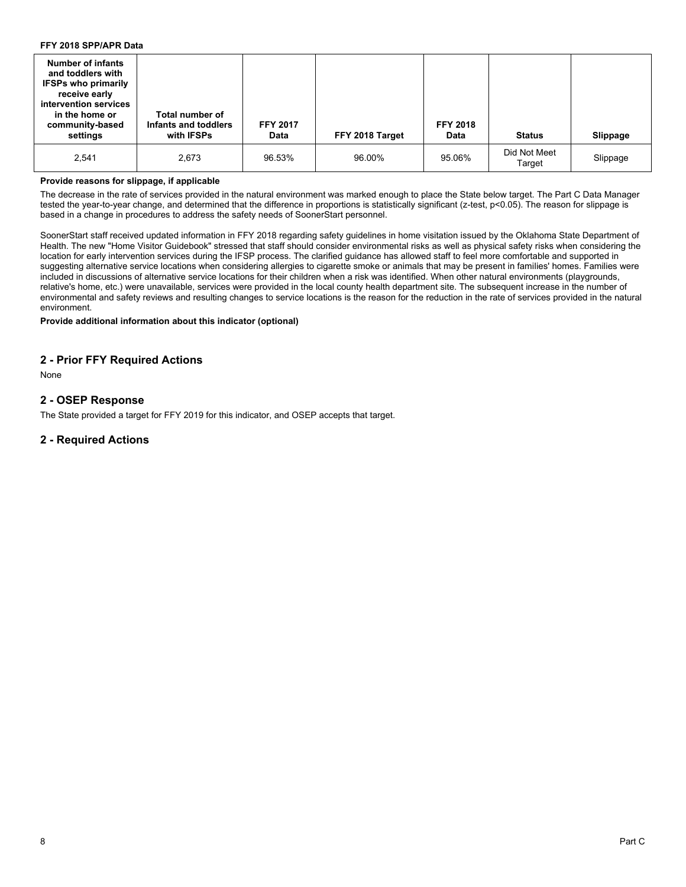## **FFY 2018 SPP/APR Data**

| <b>Number of infants</b><br>and toddlers with<br><b>IFSPs who primarily</b><br>receive early<br>intervention services<br>in the home or<br>community-based<br>settings | Total number of<br>Infants and toddlers<br>with IFSPs | <b>FFY 2017</b><br><b>Data</b> | FFY 2018 Target | <b>FFY 2018</b><br>Data | <b>Status</b>          | Slippage |
|------------------------------------------------------------------------------------------------------------------------------------------------------------------------|-------------------------------------------------------|--------------------------------|-----------------|-------------------------|------------------------|----------|
| 2,541                                                                                                                                                                  | 2,673                                                 | 96.53%                         | 96.00%          | 95.06%                  | Did Not Meet<br>Target | Slippage |

#### **Provide reasons for slippage, if applicable**

The decrease in the rate of services provided in the natural environment was marked enough to place the State below target. The Part C Data Manager tested the year-to-year change, and determined that the difference in proportions is statistically significant (z-test, p<0.05). The reason for slippage is based in a change in procedures to address the safety needs of SoonerStart personnel.

SoonerStart staff received updated information in FFY 2018 regarding safety guidelines in home visitation issued by the Oklahoma State Department of Health. The new "Home Visitor Guidebook" stressed that staff should consider environmental risks as well as physical safety risks when considering the location for early intervention services during the IFSP process. The clarified guidance has allowed staff to feel more comfortable and supported in suggesting alternative service locations when considering allergies to cigarette smoke or animals that may be present in families' homes. Families were included in discussions of alternative service locations for their children when a risk was identified. When other natural environments (playgrounds, relative's home, etc.) were unavailable, services were provided in the local county health department site. The subsequent increase in the number of environmental and safety reviews and resulting changes to service locations is the reason for the reduction in the rate of services provided in the natural environment.

### **Provide additional information about this indicator (optional)**

## **2 - Prior FFY Required Actions**

None

## **2 - OSEP Response**

The State provided a target for FFY 2019 for this indicator, and OSEP accepts that target.

## **2 - Required Actions**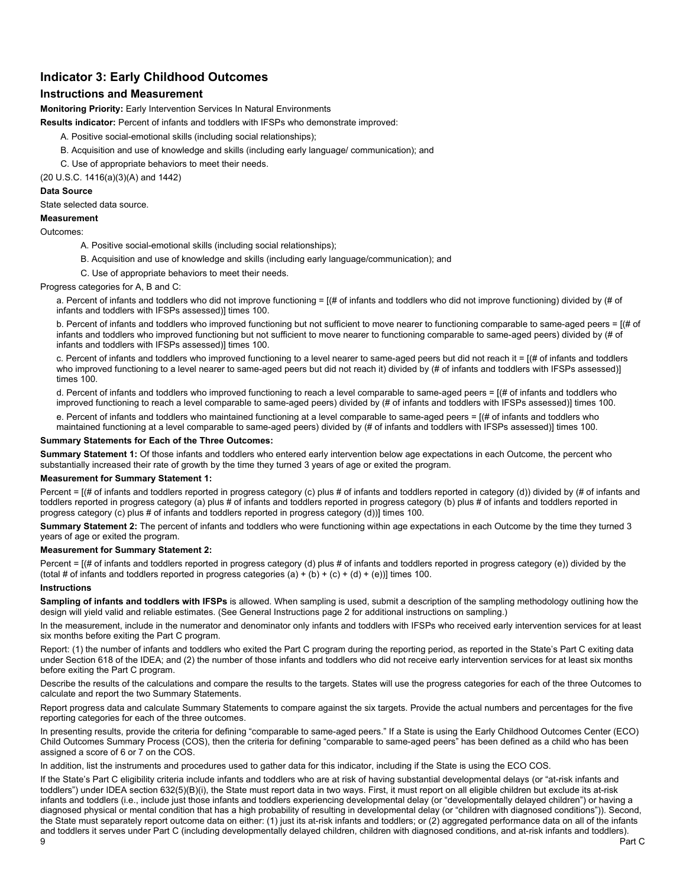## **Indicator 3: Early Childhood Outcomes**

## **Instructions and Measurement**

**Monitoring Priority:** Early Intervention Services In Natural Environments

**Results indicator:** Percent of infants and toddlers with IFSPs who demonstrate improved:

- A. Positive social-emotional skills (including social relationships);
- B. Acquisition and use of knowledge and skills (including early language/ communication); and
- C. Use of appropriate behaviors to meet their needs.

(20 U.S.C. 1416(a)(3)(A) and 1442)

#### **Data Source**

State selected data source.

## **Measurement**

#### Outcomes:

- A. Positive social-emotional skills (including social relationships);
- B. Acquisition and use of knowledge and skills (including early language/communication); and
- C. Use of appropriate behaviors to meet their needs.

#### Progress categories for A, B and C:

a. Percent of infants and toddlers who did not improve functioning = [(# of infants and toddlers who did not improve functioning) divided by (# of infants and toddlers with IFSPs assessed)] times 100.

b. Percent of infants and toddlers who improved functioning but not sufficient to move nearer to functioning comparable to same-aged peers = [(# of infants and toddlers who improved functioning but not sufficient to move nearer to functioning comparable to same-aged peers) divided by (# of infants and toddlers with IFSPs assessed)] times 100.

c. Percent of infants and toddlers who improved functioning to a level nearer to same-aged peers but did not reach it = [(# of infants and toddlers who improved functioning to a level nearer to same-aged peers but did not reach it) divided by (# of infants and toddlers with IFSPs assessed)] times 100.

d. Percent of infants and toddlers who improved functioning to reach a level comparable to same-aged peers = [(# of infants and toddlers who improved functioning to reach a level comparable to same-aged peers) divided by (# of infants and toddlers with IFSPs assessed)] times 100.

e. Percent of infants and toddlers who maintained functioning at a level comparable to same-aged peers = [(# of infants and toddlers who

maintained functioning at a level comparable to same-aged peers) divided by (# of infants and toddlers with IFSPs assessed)] times 100.

### **Summary Statements for Each of the Three Outcomes:**

**Summary Statement 1:** Of those infants and toddlers who entered early intervention below age expectations in each Outcome, the percent who substantially increased their rate of growth by the time they turned 3 years of age or exited the program.

#### **Measurement for Summary Statement 1:**

Percent = [(# of infants and toddlers reported in progress category (c) plus # of infants and toddlers reported in category (d)) divided by (# of infants and toddlers reported in progress category (a) plus # of infants and toddlers reported in progress category (b) plus # of infants and toddlers reported in progress category (c) plus # of infants and toddlers reported in progress category (d))] times 100.

**Summary Statement 2:** The percent of infants and toddlers who were functioning within age expectations in each Outcome by the time they turned 3 years of age or exited the program.

#### **Measurement for Summary Statement 2:**

Percent =  $[(# of infants and toldlers reported in progress category (d) plus # of infants and toldlers reported in progress category (e)) divided by the$ (total # of infants and toddlers reported in progress categories (a) + (b) + (c) + (d) + (e))] times 100.

#### **Instructions**

**Sampling of infants and toddlers with IFSPs** is allowed. When sampling is used, submit a description of the sampling methodology outlining how the design will yield valid and reliable estimates. (See General Instructions page 2 for additional instructions on sampling.)

In the measurement, include in the numerator and denominator only infants and toddlers with IFSPs who received early intervention services for at least six months before exiting the Part C program.

Report: (1) the number of infants and toddlers who exited the Part C program during the reporting period, as reported in the State's Part C exiting data under Section 618 of the IDEA; and (2) the number of those infants and toddlers who did not receive early intervention services for at least six months before exiting the Part C program.

Describe the results of the calculations and compare the results to the targets. States will use the progress categories for each of the three Outcomes to calculate and report the two Summary Statements.

Report progress data and calculate Summary Statements to compare against the six targets. Provide the actual numbers and percentages for the five reporting categories for each of the three outcomes.

In presenting results, provide the criteria for defining "comparable to same-aged peers." If a State is using the Early Childhood Outcomes Center (ECO) Child Outcomes Summary Process (COS), then the criteria for defining "comparable to same-aged peers" has been defined as a child who has been assigned a score of 6 or 7 on the COS.

In addition, list the instruments and procedures used to gather data for this indicator, including if the State is using the ECO COS.

If the State's Part C eligibility criteria include infants and toddlers who are at risk of having substantial developmental delays (or "at-risk infants and toddlers") under IDEA section 632(5)(B)(i), the State must report data in two ways. First, it must report on all eligible children but exclude its at-risk infants and toddlers (i.e., include just those infants and toddlers experiencing developmental delay (or "developmentally delayed children") or having a diagnosed physical or mental condition that has a high probability of resulting in developmental delay (or "children with diagnosed conditions")). Second, the State must separately report outcome data on either: (1) just its at-risk infants and toddlers; or (2) aggregated performance data on all of the infants and toddlers it serves under Part C (including developmentally delayed children, children with diagnosed conditions, and at-risk infants and toddlers).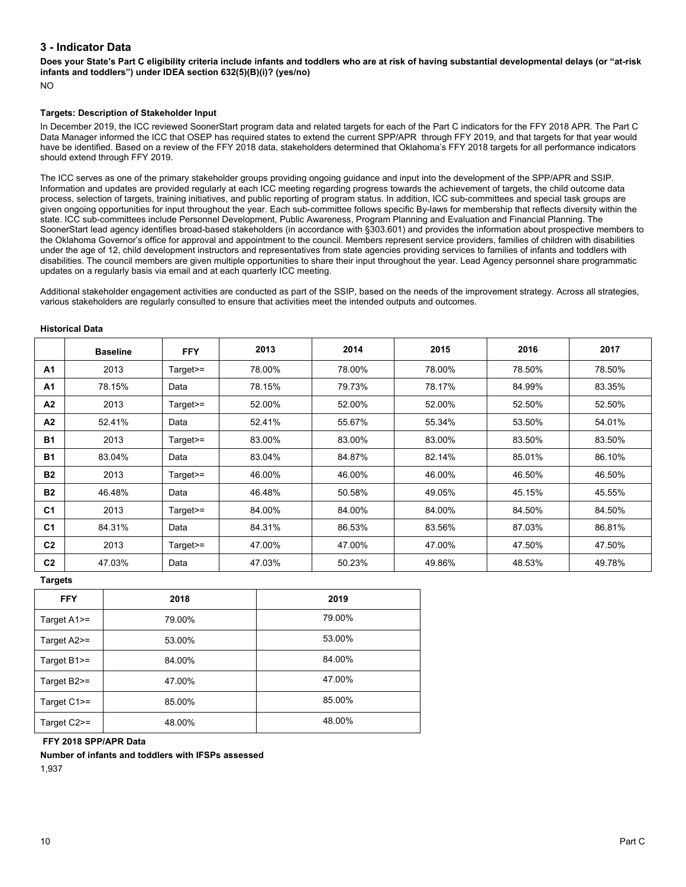## **3 - Indicator Data**

**Does your State's Part C eligibility criteria include infants and toddlers who are at risk of having substantial developmental delays (or "at-risk infants and toddlers") under IDEA section 632(5)(B)(i)? (yes/no)**

NO

#### **Targets: Description of Stakeholder Input**

In December 2019, the ICC reviewed SoonerStart program data and related targets for each of the Part C indicators for the FFY 2018 APR. The Part C Data Manager informed the ICC that OSEP has required states to extend the current SPP/APR through FFY 2019, and that targets for that year would have be identified. Based on a review of the FFY 2018 data, stakeholders determined that Oklahoma's FFY 2018 targets for all performance indicators should extend through FFY 2019.

The ICC serves as one of the primary stakeholder groups providing ongoing guidance and input into the development of the SPP/APR and SSIP. Information and updates are provided regularly at each ICC meeting regarding progress towards the achievement of targets, the child outcome data process, selection of targets, training initiatives, and public reporting of program status. In addition, ICC sub-committees and special task groups are given ongoing opportunities for input throughout the year. Each sub-committee follows specific By-laws for membership that reflects diversity within the state. ICC sub-committees include Personnel Development, Public Awareness, Program Planning and Evaluation and Financial Planning. The SoonerStart lead agency identifies broad-based stakeholders (in accordance with §303.601) and provides the information about prospective members to the Oklahoma Governor's office for approval and appointment to the council. Members represent service providers, families of children with disabilities under the age of 12, child development instructors and representatives from state agencies providing services to families of infants and toddlers with disabilities. The council members are given multiple opportunities to share their input throughout the year. Lead Agency personnel share programmatic updates on a regularly basis via email and at each quarterly ICC meeting.

Additional stakeholder engagement activities are conducted as part of the SSIP, based on the needs of the improvement strategy. Across all strategies, various stakeholders are regularly consulted to ensure that activities meet the intended outputs and outcomes.

#### **Historical Data**

|                | <b>Baseline</b> | <b>FFY</b> | 2013   | 2014   | 2015   | 2016   | 2017   |
|----------------|-----------------|------------|--------|--------|--------|--------|--------|
| A <sub>1</sub> | 2013            | Target>=   | 78.00% | 78.00% | 78.00% | 78.50% | 78.50% |
| A <sub>1</sub> | 78.15%          | Data       | 78.15% | 79.73% | 78.17% | 84.99% | 83.35% |
| A <sub>2</sub> | 2013            | Target>=   | 52.00% | 52.00% | 52.00% | 52.50% | 52.50% |
| A <sub>2</sub> | 52.41%          | Data       | 52.41% | 55.67% | 55.34% | 53.50% | 54.01% |
| <b>B1</b>      | 2013            | Target>=   | 83.00% | 83.00% | 83.00% | 83.50% | 83.50% |
| <b>B1</b>      | 83.04%          | Data       | 83.04% | 84.87% | 82.14% | 85.01% | 86.10% |
| <b>B2</b>      | 2013            | Target>=   | 46.00% | 46.00% | 46.00% | 46.50% | 46.50% |
| <b>B2</b>      | 46.48%          | Data       | 46.48% | 50.58% | 49.05% | 45.15% | 45.55% |
| C <sub>1</sub> | 2013            | Target>=   | 84.00% | 84.00% | 84.00% | 84.50% | 84.50% |
| C <sub>1</sub> | 84.31%          | Data       | 84.31% | 86.53% | 83.56% | 87.03% | 86.81% |
| C <sub>2</sub> | 2013            | Target>=   | 47.00% | 47.00% | 47.00% | 47.50% | 47.50% |
| C <sub>2</sub> | 47.03%          | Data       | 47.03% | 50.23% | 49.86% | 48.53% | 49.78% |

**Targets**

| <b>FFY</b>     | 2018   | 2019   |
|----------------|--------|--------|
| Target $A1$ >= | 79.00% | 79.00% |
| Target A2>=    | 53.00% | 53.00% |
| Target $B1$ >= | 84.00% | 84.00% |
| Target B2>=    | 47.00% | 47.00% |
| Target C1>=    | 85.00% | 85.00% |
| Target C2>=    | 48.00% | 48.00% |

## **FFY 2018 SPP/APR Data**

**Number of infants and toddlers with IFSPs assessed**

1,937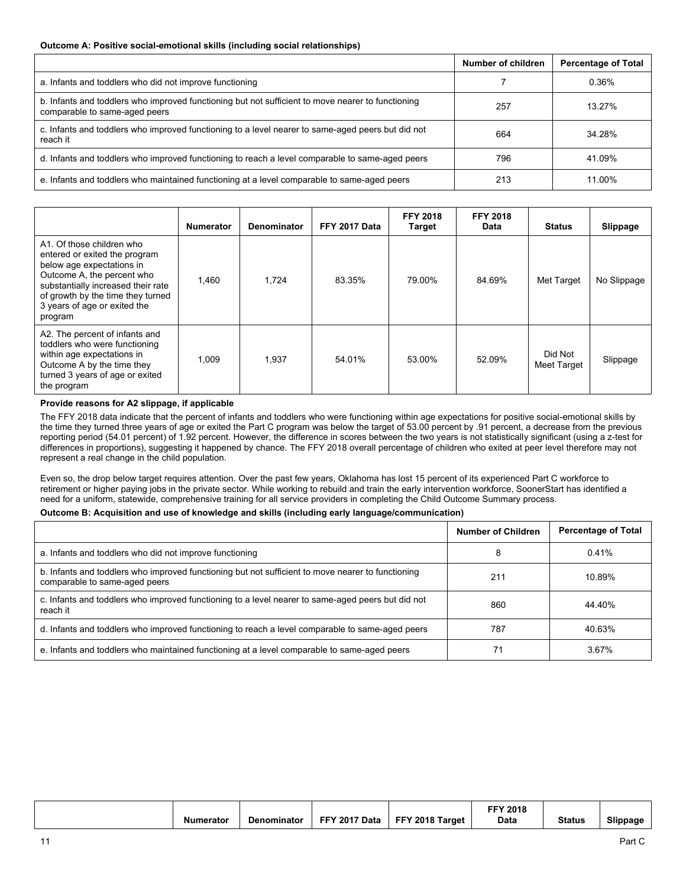#### **Outcome A: Positive social-emotional skills (including social relationships)**

|                                                                                                                                    | Number of children | <b>Percentage of Total</b> |
|------------------------------------------------------------------------------------------------------------------------------------|--------------------|----------------------------|
| a. Infants and toddlers who did not improve functioning                                                                            |                    | 0.36%                      |
| b. Infants and toddlers who improved functioning but not sufficient to move nearer to functioning<br>comparable to same-aged peers | 257                | 13.27%                     |
| c. Infants and toddlers who improved functioning to a level nearer to same-aged peers but did not<br>reach it                      | 664                | 34.28%                     |
| d. Infants and toddlers who improved functioning to reach a level comparable to same-aged peers                                    | 796                | 41.09%                     |
| e. Infants and toddlers who maintained functioning at a level comparable to same-aged peers                                        | 213                | 11.00%                     |

|                                                                                                                                                                                                                                             | <b>Numerator</b> | <b>Denominator</b> | FFY 2017 Data | <b>FFY 2018</b><br><b>Target</b> | <b>FFY 2018</b><br>Data | <b>Status</b>          | Slippage    |
|---------------------------------------------------------------------------------------------------------------------------------------------------------------------------------------------------------------------------------------------|------------------|--------------------|---------------|----------------------------------|-------------------------|------------------------|-------------|
| A1. Of those children who<br>entered or exited the program<br>below age expectations in<br>Outcome A, the percent who<br>substantially increased their rate<br>of growth by the time they turned<br>3 years of age or exited the<br>program | 1.460            | 1,724              | 83.35%        | 79.00%                           | 84.69%                  | Met Target             | No Slippage |
| A2. The percent of infants and<br>toddlers who were functioning<br>within age expectations in<br>Outcome A by the time they<br>turned 3 years of age or exited<br>the program                                                               | 1,009            | 1,937              | 54.01%        | 53.00%                           | 52.09%                  | Did Not<br>Meet Target | Slippage    |

#### **Provide reasons for A2 slippage, if applicable**

The FFY 2018 data indicate that the percent of infants and toddlers who were functioning within age expectations for positive social-emotional skills by the time they turned three years of age or exited the Part C program was below the target of 53.00 percent by .91 percent, a decrease from the previous reporting period (54.01 percent) of 1.92 percent. However, the difference in scores between the two years is not statistically significant (using a z-test for differences in proportions), suggesting it happened by chance. The FFY 2018 overall percentage of children who exited at peer level therefore may not represent a real change in the child population.

Even so, the drop below target requires attention. Over the past few years, Oklahoma has lost 15 percent of its experienced Part C workforce to retirement or higher paying jobs in the private sector. While working to rebuild and train the early intervention workforce, SoonerStart has identified a need for a uniform, statewide, comprehensive training for all service providers in completing the Child Outcome Summary process.

#### **Outcome B: Acquisition and use of knowledge and skills (including early language/communication)**

|                                                                                                                                    | <b>Number of Children</b> | <b>Percentage of Total</b> |
|------------------------------------------------------------------------------------------------------------------------------------|---------------------------|----------------------------|
| a. Infants and toddlers who did not improve functioning                                                                            | 8                         | 0.41%                      |
| b. Infants and toddlers who improved functioning but not sufficient to move nearer to functioning<br>comparable to same-aged peers | 211                       | 10.89%                     |
| c. Infants and toddlers who improved functioning to a level nearer to same-aged peers but did not<br>reach it                      | 860                       | 44.40%                     |
| d. Infants and toddlers who improved functioning to reach a level comparable to same-aged peers                                    | 787                       | 40.63%                     |
| e. Infants and toddlers who maintained functioning at a level comparable to same-aged peers                                        |                           | 3.67%                      |

| <b>Numerator</b> | <b>Denominator</b> | FFY 2017 Data | FFY 2018 Target | <b>FFY 2018</b><br>Data | <b>Status</b> | Slippage |
|------------------|--------------------|---------------|-----------------|-------------------------|---------------|----------|
|------------------|--------------------|---------------|-----------------|-------------------------|---------------|----------|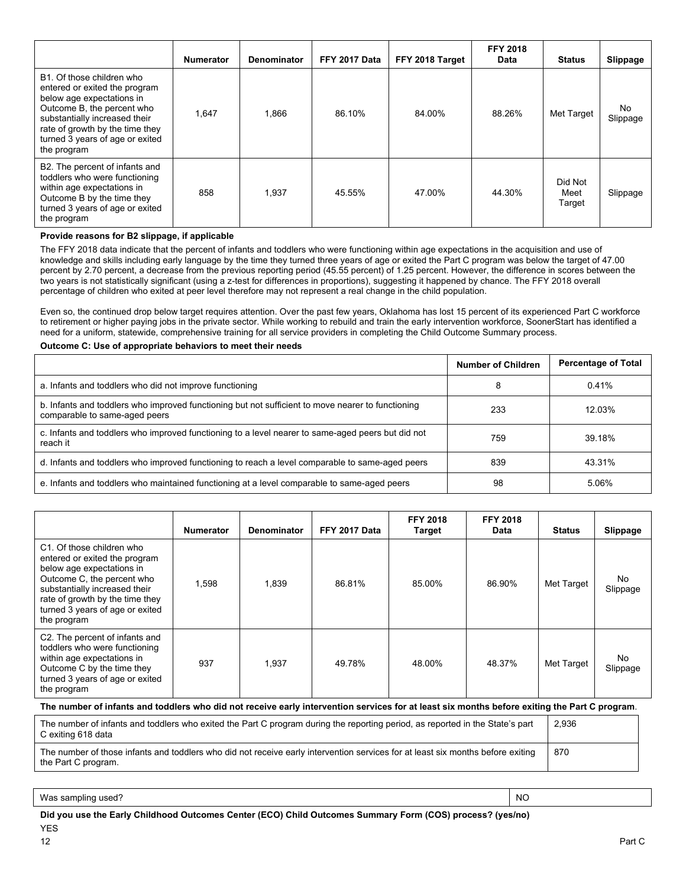|                                                                                                                                                                                                                                             | <b>Numerator</b> | Denominator | FFY 2017 Data | FFY 2018 Target | <b>FFY 2018</b><br>Data | <b>Status</b>             | Slippage       |
|---------------------------------------------------------------------------------------------------------------------------------------------------------------------------------------------------------------------------------------------|------------------|-------------|---------------|-----------------|-------------------------|---------------------------|----------------|
| B1. Of those children who<br>entered or exited the program<br>below age expectations in<br>Outcome B, the percent who<br>substantially increased their<br>rate of growth by the time they<br>turned 3 years of age or exited<br>the program | 1.647            | 1,866       | 86.10%        | 84.00%          | 88.26%                  | Met Target                | No<br>Slippage |
| B2. The percent of infants and<br>toddlers who were functioning<br>within age expectations in<br>Outcome B by the time they<br>turned 3 years of age or exited<br>the program                                                               | 858              | 1,937       | 45.55%        | 47.00%          | 44.30%                  | Did Not<br>Meet<br>Target | Slippage       |

#### **Provide reasons for B2 slippage, if applicable**

The FFY 2018 data indicate that the percent of infants and toddlers who were functioning within age expectations in the acquisition and use of knowledge and skills including early language by the time they turned three years of age or exited the Part C program was below the target of 47.00 percent by 2.70 percent, a decrease from the previous reporting period (45.55 percent) of 1.25 percent. However, the difference in scores between the two years is not statistically significant (using a z-test for differences in proportions), suggesting it happened by chance. The FFY 2018 overall percentage of children who exited at peer level therefore may not represent a real change in the child population.

Even so, the continued drop below target requires attention. Over the past few years, Oklahoma has lost 15 percent of its experienced Part C workforce to retirement or higher paying jobs in the private sector. While working to rebuild and train the early intervention workforce, SoonerStart has identified a need for a uniform, statewide, comprehensive training for all service providers in completing the Child Outcome Summary process.

#### **Outcome C: Use of appropriate behaviors to meet their needs**

|                                                                                                                                    | Number of Children | <b>Percentage of Total</b> |
|------------------------------------------------------------------------------------------------------------------------------------|--------------------|----------------------------|
| a. Infants and toddlers who did not improve functioning                                                                            | 8                  | 0.41%                      |
| b. Infants and toddlers who improved functioning but not sufficient to move nearer to functioning<br>comparable to same-aged peers | 233                | 12.03%                     |
| c. Infants and toddlers who improved functioning to a level nearer to same-aged peers but did not<br>reach it                      | 759                | 39.18%                     |
| d. Infants and toddlers who improved functioning to reach a level comparable to same-aged peers                                    | 839                | 43.31%                     |
| e. Infants and toddlers who maintained functioning at a level comparable to same-aged peers                                        | 98                 | 5.06%                      |

|                                                                                                                                                                                                                                             | <b>Numerator</b> | <b>Denominator</b> | FFY 2017 Data | <b>FFY 2018</b><br><b>Target</b> | <b>FFY 2018</b><br>Data | <b>Status</b> | Slippage        |
|---------------------------------------------------------------------------------------------------------------------------------------------------------------------------------------------------------------------------------------------|------------------|--------------------|---------------|----------------------------------|-------------------------|---------------|-----------------|
| C1. Of those children who<br>entered or exited the program<br>below age expectations in<br>Outcome C, the percent who<br>substantially increased their<br>rate of growth by the time they<br>turned 3 years of age or exited<br>the program | 1,598            | 1,839              | 86.81%        | 85.00%                           | 86.90%                  | Met Target    | No.<br>Slippage |
| C2. The percent of infants and<br>toddlers who were functioning<br>within age expectations in<br>Outcome C by the time they<br>turned 3 years of age or exited<br>the program                                                               | 937              | 1,937              | 49.78%        | 48.00%                           | 48.37%                  | Met Target    | No.<br>Slippage |

#### **The number of infants and toddlers who did not receive early intervention services for at least six months before exiting the Part C program**.

| The number of infants and toddlers who exited the Part C program during the reporting period, as reported in the State's part<br>C exiting 618 data    | 2.936 |
|--------------------------------------------------------------------------------------------------------------------------------------------------------|-------|
| The number of those infants and toddlers who did not receive early intervention services for at least six months before exiting<br>the Part C program. | 870   |

Was sampling used? NO

**Did you use the Early Childhood Outcomes Center (ECO) Child Outcomes Summary Form (COS) process? (yes/no)** YES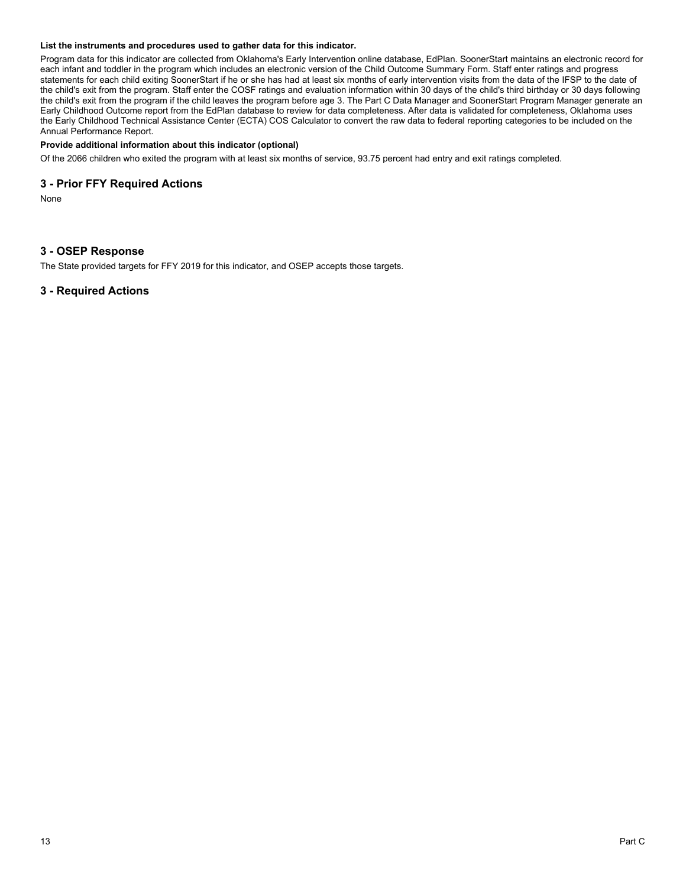#### **List the instruments and procedures used to gather data for this indicator.**

Program data for this indicator are collected from Oklahoma's Early Intervention online database, EdPlan. SoonerStart maintains an electronic record for each infant and toddler in the program which includes an electronic version of the Child Outcome Summary Form. Staff enter ratings and progress statements for each child exiting SoonerStart if he or she has had at least six months of early intervention visits from the data of the IFSP to the date of the child's exit from the program. Staff enter the COSF ratings and evaluation information within 30 days of the child's third birthday or 30 days following the child's exit from the program if the child leaves the program before age 3. The Part C Data Manager and SoonerStart Program Manager generate an Early Childhood Outcome report from the EdPlan database to review for data completeness. After data is validated for completeness, Oklahoma uses the Early Childhood Technical Assistance Center (ECTA) COS Calculator to convert the raw data to federal reporting categories to be included on the Annual Performance Report.

#### **Provide additional information about this indicator (optional)**

Of the 2066 children who exited the program with at least six months of service, 93.75 percent had entry and exit ratings completed.

## **3 - Prior FFY Required Actions**

None

## **3 - OSEP Response**

The State provided targets for FFY 2019 for this indicator, and OSEP accepts those targets.

## **3 - Required Actions**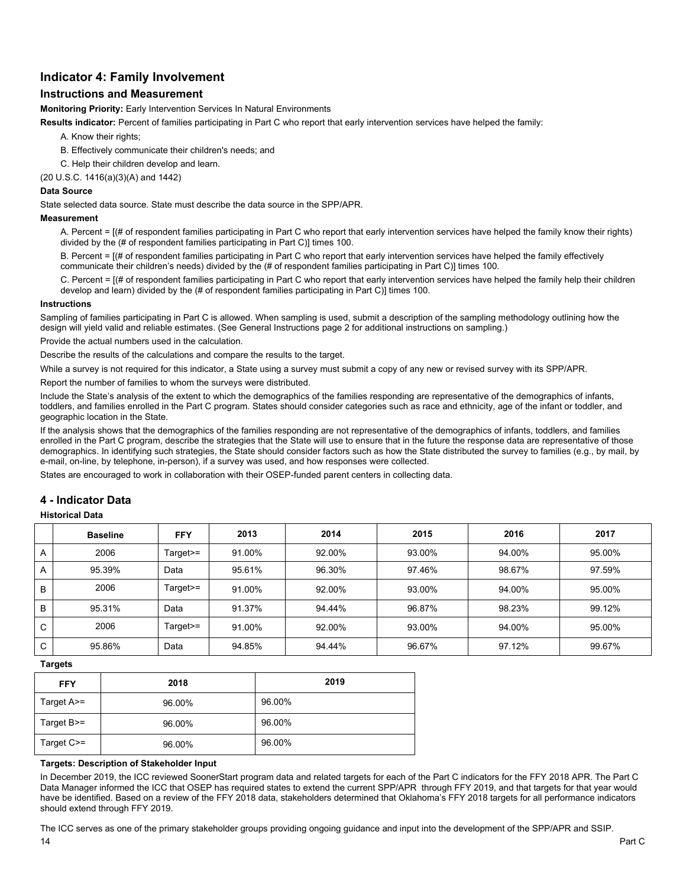## **Indicator 4: Family Involvement**

## **Instructions and Measurement**

**Monitoring Priority:** Early Intervention Services In Natural Environments

**Results indicator:** Percent of families participating in Part C who report that early intervention services have helped the family:

A. Know their rights;

B. Effectively communicate their children's needs; and

C. Help their children develop and learn.

(20 U.S.C. 1416(a)(3)(A) and 1442)

### **Data Source**

State selected data source. State must describe the data source in the SPP/APR.

#### **Measurement**

A. Percent = [(# of respondent families participating in Part C who report that early intervention services have helped the family know their rights) divided by the (# of respondent families participating in Part C)] times 100.

B. Percent = [(# of respondent families participating in Part C who report that early intervention services have helped the family effectively communicate their children's needs) divided by the (# of respondent families participating in Part C)] times 100.

C. Percent = [(# of respondent families participating in Part C who report that early intervention services have helped the family help their children develop and learn) divided by the (# of respondent families participating in Part C)] times 100.

#### **Instructions**

Sampling of families participating in Part C is allowed. When sampling is used, submit a description of the sampling methodology outlining how the design will yield valid and reliable estimates. (See General Instructions page 2 for additional instructions on sampling.)

Provide the actual numbers used in the calculation.

Describe the results of the calculations and compare the results to the target.

While a survey is not required for this indicator, a State using a survey must submit a copy of any new or revised survey with its SPP/APR.

Report the number of families to whom the surveys were distributed.

Include the State's analysis of the extent to which the demographics of the families responding are representative of the demographics of infants, toddlers, and families enrolled in the Part C program. States should consider categories such as race and ethnicity, age of the infant or toddler, and geographic location in the State.

If the analysis shows that the demographics of the families responding are not representative of the demographics of infants, toddlers, and families enrolled in the Part C program, describe the strategies that the State will use to ensure that in the future the response data are representative of those demographics. In identifying such strategies, the State should consider factors such as how the State distributed the survey to families (e.g., by mail, by e-mail, on-line, by telephone, in-person), if a survey was used, and how responses were collected.

States are encouraged to work in collaboration with their OSEP-funded parent centers in collecting data.

## **4 - Indicator Data**

#### **Historical Data**

|             | <b>Baseline</b> | <b>FFY</b> | 2013   | 2014   | 2015   | 2016   | 2017   |
|-------------|-----------------|------------|--------|--------|--------|--------|--------|
| A           | 2006            | $Target =$ | 91.00% | 92.00% | 93.00% | 94.00% | 95.00% |
| A           | 95.39%          | Data       | 95.61% | 96.30% | 97.46% | 98.67% | 97.59% |
| B           | 2006            | $Target>=$ | 91.00% | 92.00% | 93.00% | 94.00% | 95.00% |
| B           | 95.31%          | Data       | 91.37% | 94.44% | 96.87% | 98.23% | 99.12% |
| C           | 2006            | $Target =$ | 91.00% | 92.00% | 93.00% | 94.00% | 95.00% |
| $\sim$<br>Ü | 95.86%          | Data       | 94.85% | 94.44% | 96.67% | 97.12% | 99.67% |

**Targets**

| <b>FFY</b>        | 2018   | 2019   |
|-------------------|--------|--------|
| Target A>=        | 96.00% | 96.00% |
| Target $B \geq 0$ | 96.00% | 96.00% |
| Target C>=        | 96.00% | 96.00% |

### **Targets: Description of Stakeholder Input**

In December 2019, the ICC reviewed SoonerStart program data and related targets for each of the Part C indicators for the FFY 2018 APR. The Part C Data Manager informed the ICC that OSEP has required states to extend the current SPP/APR through FFY 2019, and that targets for that year would have be identified. Based on a review of the FFY 2018 data, stakeholders determined that Oklahoma's FFY 2018 targets for all performance indicators should extend through FFY 2019.

14 Part C The ICC serves as one of the primary stakeholder groups providing ongoing guidance and input into the development of the SPP/APR and SSIP.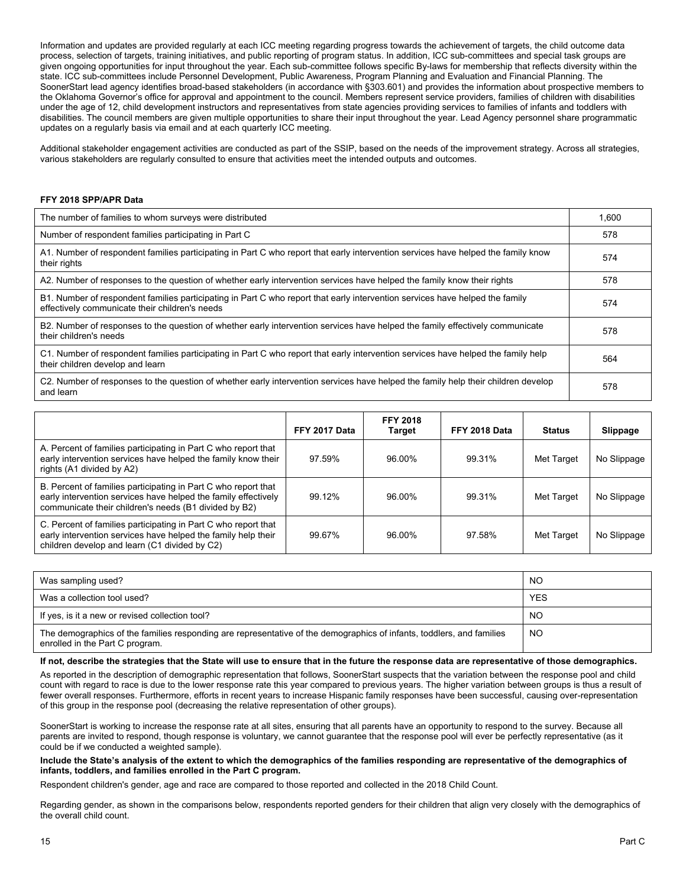Information and updates are provided regularly at each ICC meeting regarding progress towards the achievement of targets, the child outcome data process, selection of targets, training initiatives, and public reporting of program status. In addition, ICC sub-committees and special task groups are given ongoing opportunities for input throughout the year. Each sub-committee follows specific By-laws for membership that reflects diversity within the state. ICC sub-committees include Personnel Development, Public Awareness, Program Planning and Evaluation and Financial Planning. The SoonerStart lead agency identifies broad-based stakeholders (in accordance with §303.601) and provides the information about prospective members to the Oklahoma Governor's office for approval and appointment to the council. Members represent service providers, families of children with disabilities under the age of 12, child development instructors and representatives from state agencies providing services to families of infants and toddlers with disabilities. The council members are given multiple opportunities to share their input throughout the year. Lead Agency personnel share programmatic updates on a regularly basis via email and at each quarterly ICC meeting.

Additional stakeholder engagement activities are conducted as part of the SSIP, based on the needs of the improvement strategy. Across all strategies, various stakeholders are regularly consulted to ensure that activities meet the intended outputs and outcomes.

#### **FFY 2018 SPP/APR Data**

| The number of families to whom surveys were distributed                                                                                                                        | 1.600 |
|--------------------------------------------------------------------------------------------------------------------------------------------------------------------------------|-------|
| Number of respondent families participating in Part C                                                                                                                          | 578   |
| A1. Number of respondent families participating in Part C who report that early intervention services have helped the family know<br>their rights                              | 574   |
| A2. Number of responses to the question of whether early intervention services have helped the family know their rights                                                        | 578   |
| B1. Number of respondent families participating in Part C who report that early intervention services have helped the family<br>effectively communicate their children's needs | 574   |
| B2. Number of responses to the question of whether early intervention services have helped the family effectively communicate<br>their children's needs                        | 578   |
| C1. Number of respondent families participating in Part C who report that early intervention services have helped the family help<br>their children develop and learn          | 564   |
| C2. Number of responses to the question of whether early intervention services have helped the family help their children develop<br>and learn                                 | 578   |

|                                                                                                                                                                                           | FFY 2017 Data | <b>FFY 2018</b><br><b>Target</b> | FFY 2018 Data | <b>Status</b> | Slippage    |
|-------------------------------------------------------------------------------------------------------------------------------------------------------------------------------------------|---------------|----------------------------------|---------------|---------------|-------------|
| A. Percent of families participating in Part C who report that<br>early intervention services have helped the family know their<br>rights (A1 divided by A2)                              | 97.59%        | 96.00%                           | 99.31%        | Met Target    | No Slippage |
| B. Percent of families participating in Part C who report that<br>early intervention services have helped the family effectively<br>communicate their children's needs (B1 divided by B2) | 99.12%        | 96.00%                           | 99.31%        | Met Target    | No Slippage |
| C. Percent of families participating in Part C who report that<br>early intervention services have helped the family help their<br>children develop and learn (C1 divided by C2)          | 99.67%        | 96.00%                           | 97.58%        | Met Target    | No Slippage |

| Was sampling used?                                                                                                                                       | NO         |
|----------------------------------------------------------------------------------------------------------------------------------------------------------|------------|
| Was a collection tool used?                                                                                                                              | <b>YES</b> |
| If yes, is it a new or revised collection tool?                                                                                                          | NO.        |
| The demographics of the families responding are representative of the demographics of infants, toddlers, and families<br>enrolled in the Part C program. | NO         |

#### **If not, describe the strategies that the State will use to ensure that in the future the response data are representative of those demographics.**

As reported in the description of demographic representation that follows, SoonerStart suspects that the variation between the response pool and child count with regard to race is due to the lower response rate this year compared to previous years. The higher variation between groups is thus a result of fewer overall responses. Furthermore, efforts in recent years to increase Hispanic family responses have been successful, causing over-representation of this group in the response pool (decreasing the relative representation of other groups).

SoonerStart is working to increase the response rate at all sites, ensuring that all parents have an opportunity to respond to the survey. Because all parents are invited to respond, though response is voluntary, we cannot guarantee that the response pool will ever be perfectly representative (as it could be if we conducted a weighted sample).

**Include the State's analysis of the extent to which the demographics of the families responding are representative of the demographics of infants, toddlers, and families enrolled in the Part C program.**

Respondent children's gender, age and race are compared to those reported and collected in the 2018 Child Count.

Regarding gender, as shown in the comparisons below, respondents reported genders for their children that align very closely with the demographics of the overall child count.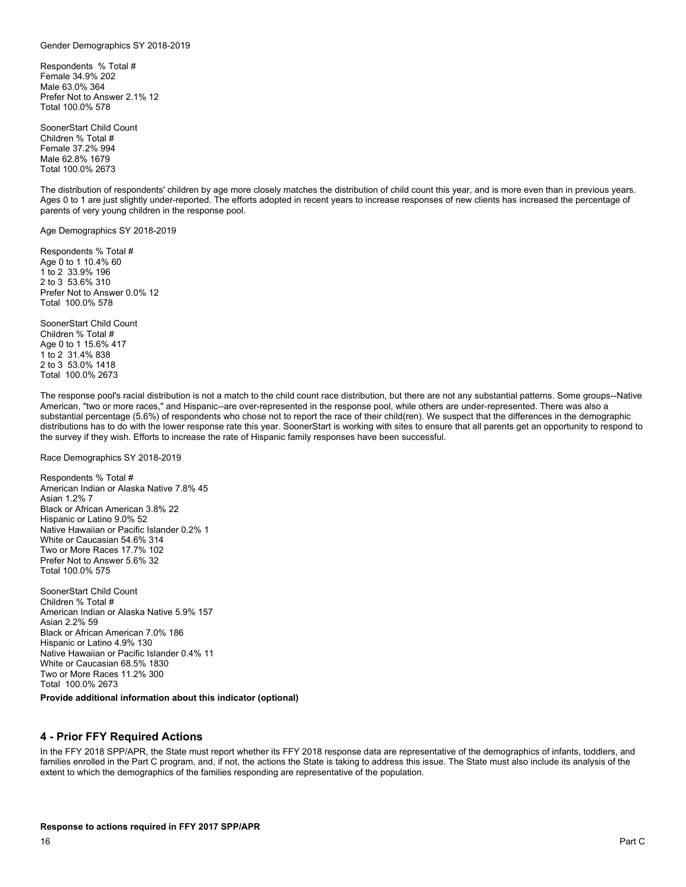#### Gender Demographics SY 2018-2019

Respondents % Total # Female 34.9% 202 Male 63.0% 364 Prefer Not to Answer 2.1% 12 Total 100.0% 578

SoonerStart Child Count Children % Total # Female 37.2% 994 Male 62.8% 1679 Total 100.0% 2673

The distribution of respondents' children by age more closely matches the distribution of child count this year, and is more even than in previous years. Ages 0 to 1 are just slightly under-reported. The efforts adopted in recent years to increase responses of new clients has increased the percentage of parents of very young children in the response pool.

Age Demographics SY 2018-2019

Respondents % Total # Age 0 to 1 10.4% 60 1 to 2 33.9% 196 2 to 3 53.6% 310 Prefer Not to Answer 0.0% 12 Total 100.0% 578

SoonerStart Child Count Children % Total # Age 0 to 1 15.6% 417 1 to 2 31.4% 838 2 to 3 53.0% 1418 Total 100.0% 2673

The response pool's racial distribution is not a match to the child count race distribution, but there are not any substantial patterns. Some groups--Native American, "two or more races," and Hispanic--are over-represented in the response pool, while others are under-represented. There was also a substantial percentage (5.6%) of respondents who chose not to report the race of their child(ren). We suspect that the differences in the demographic distributions has to do with the lower response rate this year. SoonerStart is working with sites to ensure that all parents get an opportunity to respond to the survey if they wish. Efforts to increase the rate of Hispanic family responses have been successful.

Race Demographics SY 2018-2019

Respondents % Total # American Indian or Alaska Native 7.8% 45 Asian 1.2% 7 Black or African American 3.8% 22 Hispanic or Latino 9.0% 52 Native Hawaiian or Pacific Islander 0.2% 1 White or Caucasian 54.6% 314 Two or More Races 17.7% 102 Prefer Not to Answer 5.6% 32 Total 100.0% 575

SoonerStart Child Count Children % Total # American Indian or Alaska Native 5.9% 157 Asian 2.2% 59 Black or African American 7.0% 186 Hispanic or Latino 4.9% 130 Native Hawaiian or Pacific Islander 0.4% 11 White or Caucasian 68.5% 1830 Two or More Races 11.2% 300 Total 100.0% 2673

#### **Provide additional information about this indicator (optional)**

#### **4 - Prior FFY Required Actions**

In the FFY 2018 SPP/APR, the State must report whether its FFY 2018 response data are representative of the demographics of infants, toddlers, and families enrolled in the Part C program, and, if not, the actions the State is taking to address this issue. The State must also include its analysis of the extent to which the demographics of the families responding are representative of the population.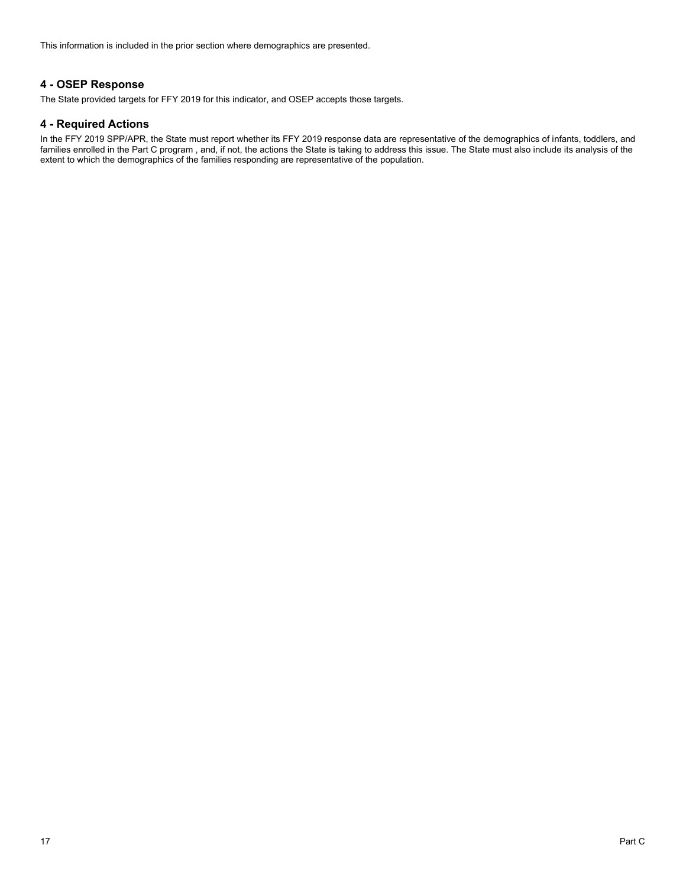This information is included in the prior section where demographics are presented.

## **4 - OSEP Response**

The State provided targets for FFY 2019 for this indicator, and OSEP accepts those targets.

## **4 - Required Actions**

In the FFY 2019 SPP/APR, the State must report whether its FFY 2019 response data are representative of the demographics of infants, toddlers, and families enrolled in the Part C program , and, if not, the actions the State is taking to address this issue. The State must also include its analysis of the extent to which the demographics of the families responding are representative of the population.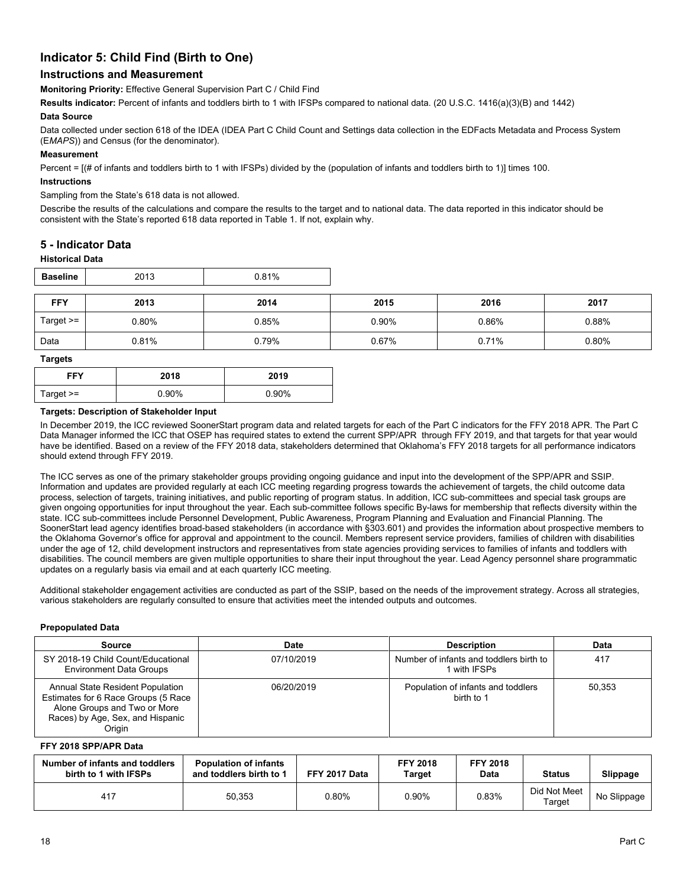## **Indicator 5: Child Find (Birth to One)**

## **Instructions and Measurement**

**Monitoring Priority:** Effective General Supervision Part C / Child Find

**Results indicator:** Percent of infants and toddlers birth to 1 with IFSPs compared to national data. (20 U.S.C. 1416(a)(3)(B) and 1442)

#### **Data Source**

Data collected under section 618 of the IDEA (IDEA Part C Child Count and Settings data collection in the EDFacts Metadata and Process System (E*MAPS*)) and Census (for the denominator).

#### **Measurement**

Percent = [(# of infants and toddlers birth to 1 with IFSPs) divided by the (population of infants and toddlers birth to 1)] times 100.

#### **Instructions**

#### Sampling from the State's 618 data is not allowed.

Describe the results of the calculations and compare the results to the target and to national data. The data reported in this indicator should be consistent with the State's reported 618 data reported in Table 1. If not, explain why.

## **5 - Indicator Data**

#### **Historical Data**

| <b>Baseline</b> | 2013  | 0.81% |       |       |       |
|-----------------|-------|-------|-------|-------|-------|
| <b>FFY</b>      | 2013  | 2014  | 2015  | 2016  | 2017  |
| Target $>=$     | 0.80% | 0.85% | 0.90% | 0.86% | 0.88% |
| Data            | 0.81% | 0.79% | 0.67% | 0.71% | 0.80% |

#### **Targets**

| FFY         | 2018  | 2019     |
|-------------|-------|----------|
| Target $>=$ | 0.90% | $0.90\%$ |

#### **Targets: Description of Stakeholder Input**

In December 2019, the ICC reviewed SoonerStart program data and related targets for each of the Part C indicators for the FFY 2018 APR. The Part C Data Manager informed the ICC that OSEP has required states to extend the current SPP/APR through FFY 2019, and that targets for that year would have be identified. Based on a review of the FFY 2018 data, stakeholders determined that Oklahoma's FFY 2018 targets for all performance indicators should extend through FFY 2019.

The ICC serves as one of the primary stakeholder groups providing ongoing guidance and input into the development of the SPP/APR and SSIP. Information and updates are provided regularly at each ICC meeting regarding progress towards the achievement of targets, the child outcome data process, selection of targets, training initiatives, and public reporting of program status. In addition, ICC sub-committees and special task groups are given ongoing opportunities for input throughout the year. Each sub-committee follows specific By-laws for membership that reflects diversity within the state. ICC sub-committees include Personnel Development, Public Awareness, Program Planning and Evaluation and Financial Planning. The SoonerStart lead agency identifies broad-based stakeholders (in accordance with §303.601) and provides the information about prospective members to the Oklahoma Governor's office for approval and appointment to the council. Members represent service providers, families of children with disabilities under the age of 12, child development instructors and representatives from state agencies providing services to families of infants and toddlers with disabilities. The council members are given multiple opportunities to share their input throughout the year. Lead Agency personnel share programmatic updates on a regularly basis via email and at each quarterly ICC meeting.

Additional stakeholder engagement activities are conducted as part of the SSIP, based on the needs of the improvement strategy. Across all strategies, various stakeholders are regularly consulted to ensure that activities meet the intended outputs and outcomes.

#### **Prepopulated Data**

| <b>Source</b>                                                                                                                                         | Date       | <b>Description</b>                                      | Data   |
|-------------------------------------------------------------------------------------------------------------------------------------------------------|------------|---------------------------------------------------------|--------|
| SY 2018-19 Child Count/Educational<br><b>Environment Data Groups</b>                                                                                  | 07/10/2019 | Number of infants and toddlers birth to<br>1 with IFSPs | 417    |
| Annual State Resident Population<br>Estimates for 6 Race Groups (5 Race<br>Alone Groups and Two or More<br>Races) by Age, Sex, and Hispanic<br>Origin | 06/20/2019 | Population of infants and toddlers<br>birth to 1        | 50.353 |

#### **FFY 2018 SPP/APR Data**

| Number of infants and toddlers<br>birth to 1 with IFSPs | <b>Population of infants</b><br>and toddlers birth to 1 | FFY 2017 Data | <b>FFY 2018</b><br>Target | <b>FFY 2018</b><br><b>Data</b> | <b>Status</b>          | Slippage    |
|---------------------------------------------------------|---------------------------------------------------------|---------------|---------------------------|--------------------------------|------------------------|-------------|
| 417                                                     | 50,353                                                  | $0.80\%$      | 0.90%                     | 0.83%                          | Did Not Meet<br>Tarqet | No Slippage |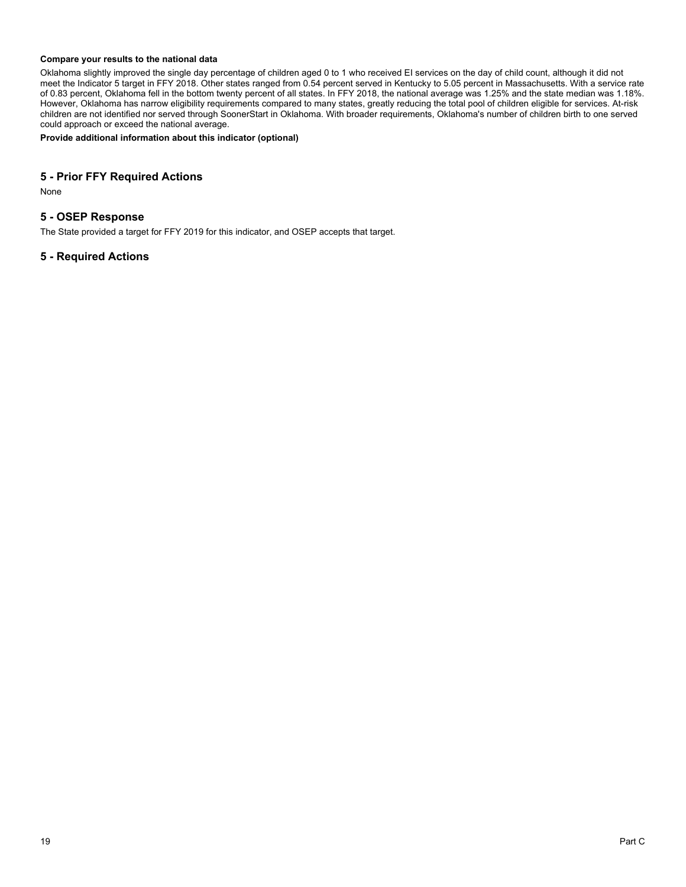#### **Compare your results to the national data**

Oklahoma slightly improved the single day percentage of children aged 0 to 1 who received EI services on the day of child count, although it did not meet the Indicator 5 target in FFY 2018. Other states ranged from 0.54 percent served in Kentucky to 5.05 percent in Massachusetts. With a service rate of 0.83 percent, Oklahoma fell in the bottom twenty percent of all states. In FFY 2018, the national average was 1.25% and the state median was 1.18%. However, Oklahoma has narrow eligibility requirements compared to many states, greatly reducing the total pool of children eligible for services. At-risk children are not identified nor served through SoonerStart in Oklahoma. With broader requirements, Oklahoma's number of children birth to one served could approach or exceed the national average.

**Provide additional information about this indicator (optional)**

## **5 - Prior FFY Required Actions**

None

## **5 - OSEP Response**

The State provided a target for FFY 2019 for this indicator, and OSEP accepts that target.

## **5 - Required Actions**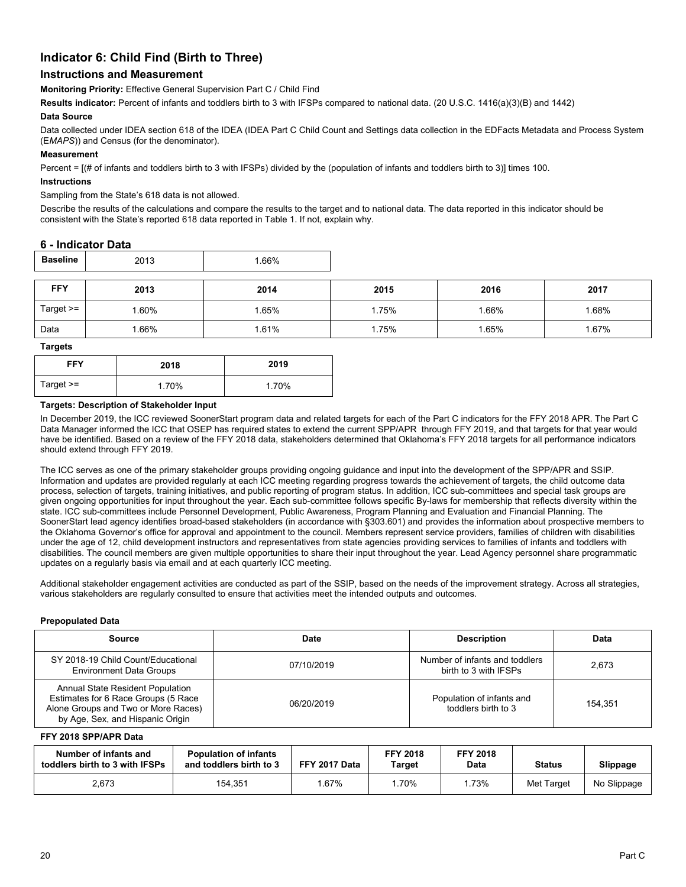## **Indicator 6: Child Find (Birth to Three)**

## **Instructions and Measurement**

**Monitoring Priority:** Effective General Supervision Part C / Child Find

**Results indicator:** Percent of infants and toddlers birth to 3 with IFSPs compared to national data. (20 U.S.C. 1416(a)(3)(B) and 1442)

#### **Data Source**

Data collected under IDEA section 618 of the IDEA (IDEA Part C Child Count and Settings data collection in the EDFacts Metadata and Process System (E*MAPS*)) and Census (for the denominator).

#### **Measurement**

Percent = [(# of infants and toddlers birth to 3 with IFSPs) divided by the (population of infants and toddlers birth to 3)] times 100.

#### **Instructions**

#### Sampling from the State's 618 data is not allowed.

Describe the results of the calculations and compare the results to the target and to national data. The data reported in this indicator should be consistent with the State's reported 618 data reported in Table 1. If not, explain why.

## **6 - Indicator Data**

| Baseline    | 2013 | .66%  |       |      |       |
|-------------|------|-------|-------|------|-------|
| <b>FFY</b>  | 2013 | 2014  | 2015  | 2016 | 2017  |
| Target $>=$ | .60% | 1.65% | 1.75% | .66% | 1.68% |
| Data        | .66% | 1.61% | 1.75% | .65% | 1.67% |

**Targets**

| <b>FFY</b>  | 2018  | 2019  |
|-------------|-------|-------|
| Target $>=$ | 1.70% | 1.70% |

#### **Targets: Description of Stakeholder Input**

In December 2019, the ICC reviewed SoonerStart program data and related targets for each of the Part C indicators for the FFY 2018 APR. The Part C Data Manager informed the ICC that OSEP has required states to extend the current SPP/APR through FFY 2019, and that targets for that year would have be identified. Based on a review of the FFY 2018 data, stakeholders determined that Oklahoma's FFY 2018 targets for all performance indicators should extend through FFY 2019.

The ICC serves as one of the primary stakeholder groups providing ongoing guidance and input into the development of the SPP/APR and SSIP. Information and updates are provided regularly at each ICC meeting regarding progress towards the achievement of targets, the child outcome data process, selection of targets, training initiatives, and public reporting of program status. In addition, ICC sub-committees and special task groups are given ongoing opportunities for input throughout the year. Each sub-committee follows specific By-laws for membership that reflects diversity within the state. ICC sub-committees include Personnel Development, Public Awareness, Program Planning and Evaluation and Financial Planning. The SoonerStart lead agency identifies broad-based stakeholders (in accordance with §303.601) and provides the information about prospective members to the Oklahoma Governor's office for approval and appointment to the council. Members represent service providers, families of children with disabilities under the age of 12, child development instructors and representatives from state agencies providing services to families of infants and toddlers with disabilities. The council members are given multiple opportunities to share their input throughout the year. Lead Agency personnel share programmatic updates on a regularly basis via email and at each quarterly ICC meeting.

Additional stakeholder engagement activities are conducted as part of the SSIP, based on the needs of the improvement strategy. Across all strategies, various stakeholders are regularly consulted to ensure that activities meet the intended outputs and outcomes.

#### **Prepopulated Data**

| Source                                                                                                                                             | Date       | <b>Description</b>                                      | <b>Data</b> |
|----------------------------------------------------------------------------------------------------------------------------------------------------|------------|---------------------------------------------------------|-------------|
| SY 2018-19 Child Count/Educational<br><b>Environment Data Groups</b>                                                                               | 07/10/2019 | Number of infants and toddlers<br>birth to 3 with IFSPs | 2.673       |
| Annual State Resident Population<br>Estimates for 6 Race Groups (5 Race<br>Alone Groups and Two or More Races)<br>by Age, Sex, and Hispanic Origin | 06/20/2019 | Population of infants and<br>toddlers birth to 3        | 154.351     |

#### **FFY 2018 SPP/APR Data**

| Number of infants and<br><b>Population of infants</b><br>and toddlers birth to 3<br>toddlers birth to 3 with IFSPs |         | FFY 2017 Data | <b>FFY 2018</b><br>Target | <b>FFY 2018</b><br>Data | <b>Status</b> | Slippage    |
|--------------------------------------------------------------------------------------------------------------------|---------|---------------|---------------------------|-------------------------|---------------|-------------|
| 2,673                                                                                                              | 154,351 | .67%          | 70%                       | .73%                    | Met Target    | No Slippage |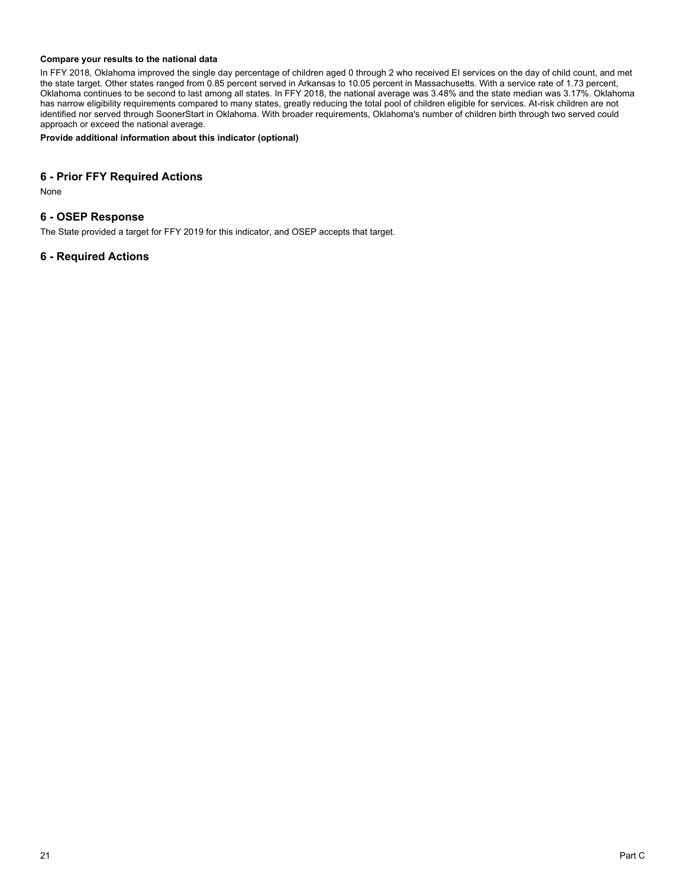#### **Compare your results to the national data**

In FFY 2018, Oklahoma improved the single day percentage of children aged 0 through 2 who received EI services on the day of child count, and met the state target. Other states ranged from 0.85 percent served in Arkansas to 10.05 percent in Massachusetts. With a service rate of 1.73 percent, Oklahoma continues to be second to last among all states. In FFY 2018, the national average was 3.48% and the state median was 3.17%. Oklahoma has narrow eligibility requirements compared to many states, greatly reducing the total pool of children eligible for services. At-risk children are not identified nor served through SoonerStart in Oklahoma. With broader requirements, Oklahoma's number of children birth through two served could approach or exceed the national average.

**Provide additional information about this indicator (optional)**

### **6 - Prior FFY Required Actions**

None

## **6 - OSEP Response**

The State provided a target for FFY 2019 for this indicator, and OSEP accepts that target.

## **6 - Required Actions**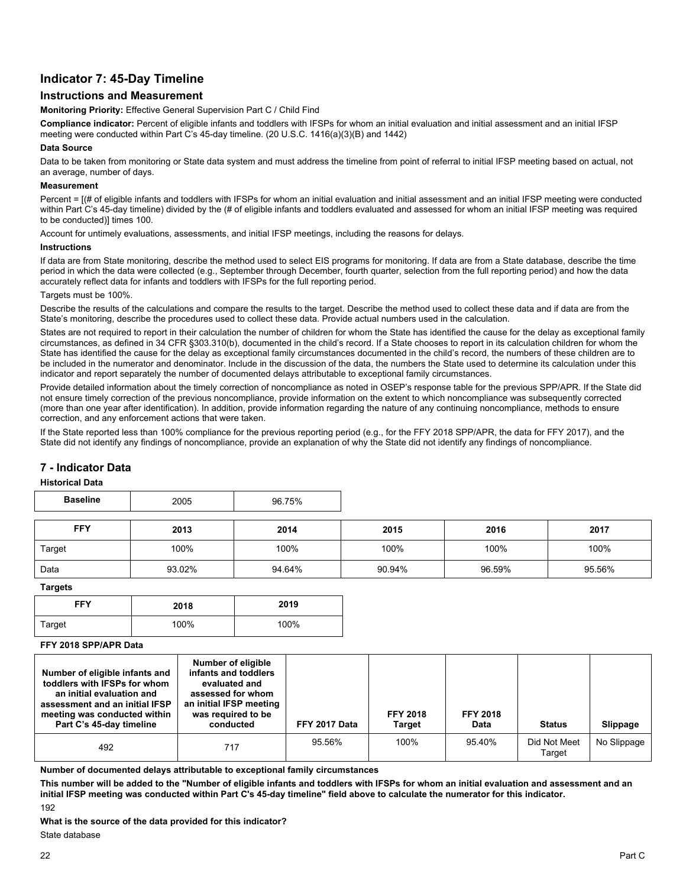## **Indicator 7: 45-Day Timeline**

## **Instructions and Measurement**

**Monitoring Priority:** Effective General Supervision Part C / Child Find

**Compliance indicator:** Percent of eligible infants and toddlers with IFSPs for whom an initial evaluation and initial assessment and an initial IFSP meeting were conducted within Part C's 45-day timeline. (20 U.S.C. 1416(a)(3)(B) and 1442)

#### **Data Source**

Data to be taken from monitoring or State data system and must address the timeline from point of referral to initial IFSP meeting based on actual, not an average, number of days.

#### **Measurement**

Percent =  $[(# of eligible infants and toldlers with IFSPs for whom an initial evaluation and initial assessment and an initial IFSP meeting were conducted$ within Part C's 45-day timeline) divided by the (# of eligible infants and toddlers evaluated and assessed for whom an initial IFSP meeting was required to be conducted)] times 100.

Account for untimely evaluations, assessments, and initial IFSP meetings, including the reasons for delays.

#### **Instructions**

If data are from State monitoring, describe the method used to select EIS programs for monitoring. If data are from a State database, describe the time period in which the data were collected (e.g., September through December, fourth quarter, selection from the full reporting period) and how the data accurately reflect data for infants and toddlers with IFSPs for the full reporting period.

Targets must be 100%.

Describe the results of the calculations and compare the results to the target. Describe the method used to collect these data and if data are from the State's monitoring, describe the procedures used to collect these data. Provide actual numbers used in the calculation.

States are not required to report in their calculation the number of children for whom the State has identified the cause for the delay as exceptional family circumstances, as defined in 34 CFR §303.310(b), documented in the child's record. If a State chooses to report in its calculation children for whom the State has identified the cause for the delay as exceptional family circumstances documented in the child's record, the numbers of these children are to be included in the numerator and denominator. Include in the discussion of the data, the numbers the State used to determine its calculation under this indicator and report separately the number of documented delays attributable to exceptional family circumstances.

Provide detailed information about the timely correction of noncompliance as noted in OSEP's response table for the previous SPP/APR. If the State did not ensure timely correction of the previous noncompliance, provide information on the extent to which noncompliance was subsequently corrected (more than one year after identification). In addition, provide information regarding the nature of any continuing noncompliance, methods to ensure correction, and any enforcement actions that were taken.

If the State reported less than 100% compliance for the previous reporting period (e.g., for the FFY 2018 SPP/APR, the data for FFY 2017), and the State did not identify any findings of noncompliance, provide an explanation of why the State did not identify any findings of noncompliance.

## **7 - Indicator Data**

#### **Historical Data**

| <b>Baseline</b> | 2005   | 96.75% |        |        |        |
|-----------------|--------|--------|--------|--------|--------|
| <b>FFY</b>      | 2013   | 2014   | 2015   | 2016   | 2017   |
| Target          | 100%   | 100%   | 100%   | 100%   | 100%   |
| Data            | 93.02% | 94.64% | 90.94% | 96.59% | 95.56% |

**Targets**

| <b>FFY</b> | 2018 | 2019 |
|------------|------|------|
| Target     | 100% | 100% |

**FFY 2018 SPP/APR Data**

| Number of eligible infants and<br>toddlers with IFSPs for whom<br>an initial evaluation and<br>assessment and an initial IFSP<br>meeting was conducted within<br>Part C's 45-day timeline | Number of eligible<br>infants and toddlers<br>evaluated and<br>assessed for whom<br>an initial IFSP meeting<br>was required to be<br>conducted | FFY 2017 Data | <b>FFY 2018</b><br><b>Target</b> | <b>FFY 2018</b><br><b>Data</b> | <b>Status</b>          | Slippage    |
|-------------------------------------------------------------------------------------------------------------------------------------------------------------------------------------------|------------------------------------------------------------------------------------------------------------------------------------------------|---------------|----------------------------------|--------------------------------|------------------------|-------------|
| 492                                                                                                                                                                                       | 717                                                                                                                                            | 95.56%        | 100%                             | 95.40%                         | Did Not Meet<br>Target | No Slippage |

**Number of documented delays attributable to exceptional family circumstances**

**This number will be added to the "Number of eligible infants and toddlers with IFSPs for whom an initial evaluation and assessment and an initial IFSP meeting was conducted within Part C's 45-day timeline" field above to calculate the numerator for this indicator.**

192

**What is the source of the data provided for this indicator?** 

State database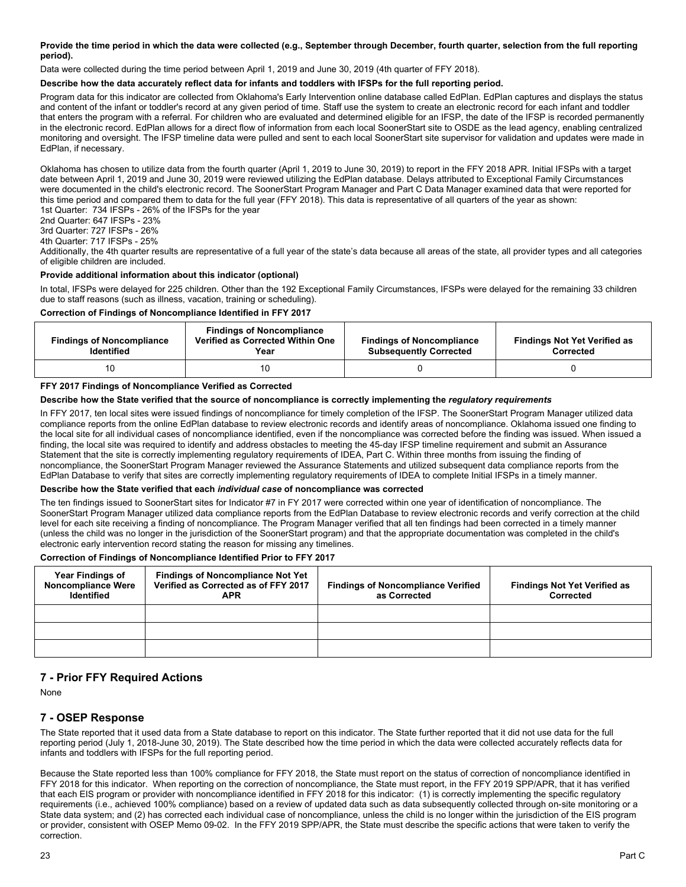#### **Provide the time period in which the data were collected (e.g., September through December, fourth quarter, selection from the full reporting period).**

Data were collected during the time period between April 1, 2019 and June 30, 2019 (4th quarter of FFY 2018).

#### **Describe how the data accurately reflect data for infants and toddlers with IFSPs for the full reporting period.**

Program data for this indicator are collected from Oklahoma's Early Intervention online database called EdPlan. EdPlan captures and displays the status and content of the infant or toddler's record at any given period of time. Staff use the system to create an electronic record for each infant and toddler that enters the program with a referral. For children who are evaluated and determined eligible for an IFSP, the date of the IFSP is recorded permanently in the electronic record. EdPlan allows for a direct flow of information from each local SoonerStart site to OSDE as the lead agency, enabling centralized monitoring and oversight. The IFSP timeline data were pulled and sent to each local SoonerStart site supervisor for validation and updates were made in EdPlan, if necessary.

Oklahoma has chosen to utilize data from the fourth quarter (April 1, 2019 to June 30, 2019) to report in the FFY 2018 APR. Initial IFSPs with a target date between April 1, 2019 and June 30, 2019 were reviewed utilizing the EdPlan database. Delays attributed to Exceptional Family Circumstances were documented in the child's electronic record. The SoonerStart Program Manager and Part C Data Manager examined data that were reported for this time period and compared them to data for the full year (FFY 2018). This data is representative of all quarters of the year as shown: 1st Quarter: 734 IFSPs - 26% of the IFSPs for the year

2nd Quarter: 647 IFSPs - 23%

3rd Quarter: 727 IFSPs - 26%

4th Quarter: 717 IFSPs - 25%

Additionally, the 4th quarter results are representative of a full year of the state's data because all areas of the state, all provider types and all categories of eligible children are included.

#### **Provide additional information about this indicator (optional)**

In total, IFSPs were delayed for 225 children. Other than the 192 Exceptional Family Circumstances, IFSPs were delayed for the remaining 33 children due to staff reasons (such as illness, vacation, training or scheduling).

#### **Correction of Findings of Noncompliance Identified in FFY 2017**

| <b>Findings of Noncompliance</b><br><b>Identified</b> | <b>Findings of Noncompliance</b><br>Verified as Corrected Within One<br>Year | <b>Findings of Noncompliance</b><br><b>Subsequently Corrected</b> | <b>Findings Not Yet Verified as</b><br>Corrected |
|-------------------------------------------------------|------------------------------------------------------------------------------|-------------------------------------------------------------------|--------------------------------------------------|
| 10                                                    |                                                                              |                                                                   |                                                  |

#### **FFY 2017 Findings of Noncompliance Verified as Corrected**

### **Describe how the State verified that the source of noncompliance is correctly implementing the** *regulatory requirements*

In FFY 2017, ten local sites were issued findings of noncompliance for timely completion of the IFSP. The SoonerStart Program Manager utilized data compliance reports from the online EdPlan database to review electronic records and identify areas of noncompliance. Oklahoma issued one finding to the local site for all individual cases of noncompliance identified, even if the noncompliance was corrected before the finding was issued. When issued a finding, the local site was required to identify and address obstacles to meeting the 45-day IFSP timeline requirement and submit an Assurance Statement that the site is correctly implementing regulatory requirements of IDEA, Part C. Within three months from issuing the finding of noncompliance, the SoonerStart Program Manager reviewed the Assurance Statements and utilized subsequent data compliance reports from the EdPlan Database to verify that sites are correctly implementing regulatory requirements of IDEA to complete Initial IFSPs in a timely manner.

#### **Describe how the State verified that each** *individual case* **of noncompliance was corrected**

The ten findings issued to SoonerStart sites for Indicator #7 in FY 2017 were corrected within one year of identification of noncompliance. The SoonerStart Program Manager utilized data compliance reports from the EdPlan Database to review electronic records and verify correction at the child level for each site receiving a finding of noncompliance. The Program Manager verified that all ten findings had been corrected in a timely manner (unless the child was no longer in the jurisdiction of the SoonerStart program) and that the appropriate documentation was completed in the child's electronic early intervention record stating the reason for missing any timelines.

#### **Correction of Findings of Noncompliance Identified Prior to FFY 2017**

| <b>Year Findings of</b><br><b>Noncompliance Were</b><br><b>Identified</b> | <b>Findings of Noncompliance Not Yet</b><br>Verified as Corrected as of FFY 2017<br><b>APR</b> | <b>Findings of Noncompliance Verified</b><br>as Corrected | <b>Findings Not Yet Verified as</b><br>Corrected |
|---------------------------------------------------------------------------|------------------------------------------------------------------------------------------------|-----------------------------------------------------------|--------------------------------------------------|
|                                                                           |                                                                                                |                                                           |                                                  |
|                                                                           |                                                                                                |                                                           |                                                  |
|                                                                           |                                                                                                |                                                           |                                                  |

## **7 - Prior FFY Required Actions**

None

## **7 - OSEP Response**

The State reported that it used data from a State database to report on this indicator. The State further reported that it did not use data for the full reporting period (July 1, 2018-June 30, 2019). The State described how the time period in which the data were collected accurately reflects data for infants and toddlers with IFSPs for the full reporting period.

Because the State reported less than 100% compliance for FFY 2018, the State must report on the status of correction of noncompliance identified in FFY 2018 for this indicator. When reporting on the correction of noncompliance, the State must report, in the FFY 2019 SPP/APR, that it has verified that each EIS program or provider with noncompliance identified in FFY 2018 for this indicator: (1) is correctly implementing the specific regulatory requirements (i.e., achieved 100% compliance) based on a review of updated data such as data subsequently collected through on-site monitoring or a State data system; and (2) has corrected each individual case of noncompliance, unless the child is no longer within the jurisdiction of the EIS program or provider, consistent with OSEP Memo 09-02. In the FFY 2019 SPP/APR, the State must describe the specific actions that were taken to verify the correction.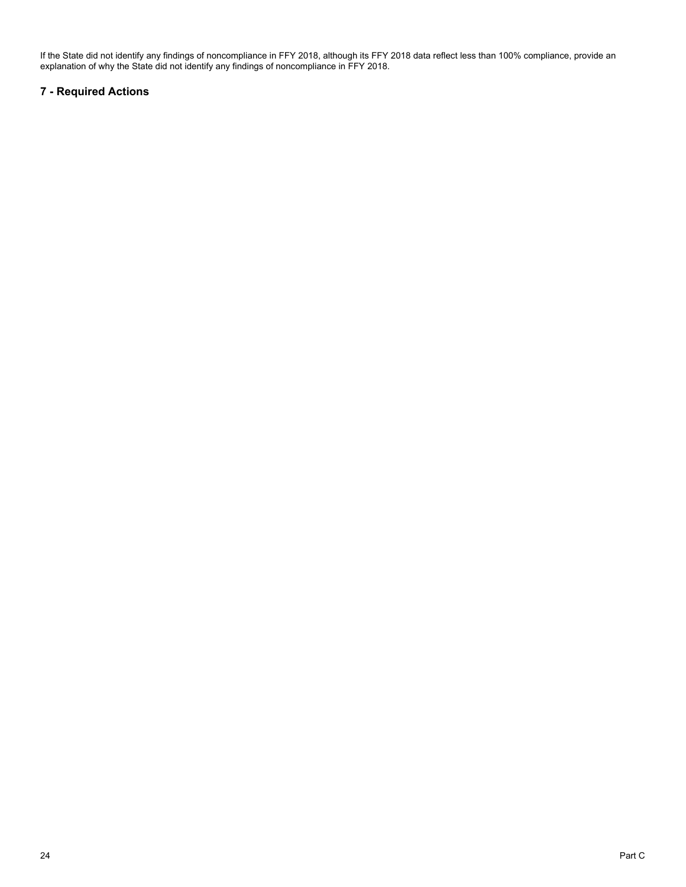If the State did not identify any findings of noncompliance in FFY 2018, although its FFY 2018 data reflect less than 100% compliance, provide an explanation of why the State did not identify any findings of noncompliance in FFY 2018.

## **7 - Required Actions**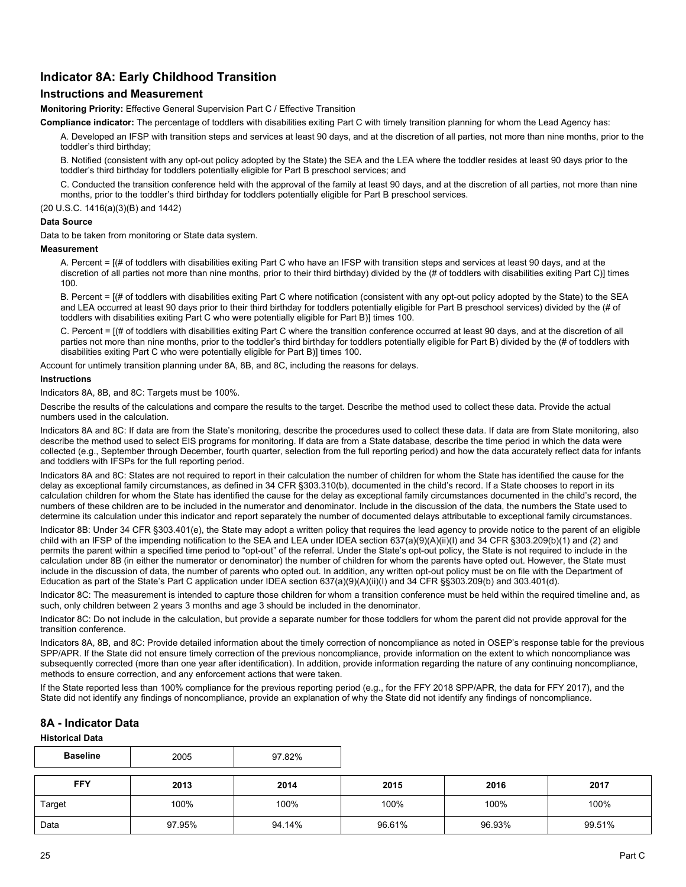## **Indicator 8A: Early Childhood Transition**

## **Instructions and Measurement**

**Monitoring Priority:** Effective General Supervision Part C / Effective Transition

**Compliance indicator:** The percentage of toddlers with disabilities exiting Part C with timely transition planning for whom the Lead Agency has:

A. Developed an IFSP with transition steps and services at least 90 days, and at the discretion of all parties, not more than nine months, prior to the toddler's third birthday;

B. Notified (consistent with any opt-out policy adopted by the State) the SEA and the LEA where the toddler resides at least 90 days prior to the toddler's third birthday for toddlers potentially eligible for Part B preschool services; and

C. Conducted the transition conference held with the approval of the family at least 90 days, and at the discretion of all parties, not more than nine months, prior to the toddler's third birthday for toddlers potentially eligible for Part B preschool services.

(20 U.S.C. 1416(a)(3)(B) and 1442)

#### **Data Source**

Data to be taken from monitoring or State data system.

**Measurement**

A. Percent = [(# of toddlers with disabilities exiting Part C who have an IFSP with transition steps and services at least 90 days, and at the discretion of all parties not more than nine months, prior to their third birthday) divided by the (# of toddlers with disabilities exiting Part C)] times 100.

B. Percent = [(# of toddlers with disabilities exiting Part C where notification (consistent with any opt-out policy adopted by the State) to the SEA and LEA occurred at least 90 days prior to their third birthday for toddlers potentially eligible for Part B preschool services) divided by the (# of toddlers with disabilities exiting Part C who were potentially eligible for Part B)] times 100.

C. Percent = [(# of toddlers with disabilities exiting Part C where the transition conference occurred at least 90 days, and at the discretion of all parties not more than nine months, prior to the toddler's third birthday for toddlers potentially eligible for Part B) divided by the (# of toddlers with disabilities exiting Part C who were potentially eligible for Part B)] times 100.

Account for untimely transition planning under 8A, 8B, and 8C, including the reasons for delays.

#### **Instructions**

Indicators 8A, 8B, and 8C: Targets must be 100%.

Describe the results of the calculations and compare the results to the target. Describe the method used to collect these data. Provide the actual numbers used in the calculation.

Indicators 8A and 8C: If data are from the State's monitoring, describe the procedures used to collect these data. If data are from State monitoring, also describe the method used to select EIS programs for monitoring. If data are from a State database, describe the time period in which the data were collected (e.g., September through December, fourth quarter, selection from the full reporting period) and how the data accurately reflect data for infants and toddlers with IFSPs for the full reporting period.

Indicators 8A and 8C: States are not required to report in their calculation the number of children for whom the State has identified the cause for the delay as exceptional family circumstances, as defined in 34 CFR §303.310(b), documented in the child's record. If a State chooses to report in its calculation children for whom the State has identified the cause for the delay as exceptional family circumstances documented in the child's record, the numbers of these children are to be included in the numerator and denominator. Include in the discussion of the data, the numbers the State used to determine its calculation under this indicator and report separately the number of documented delays attributable to exceptional family circumstances.

Indicator 8B: Under 34 CFR §303.401(e), the State may adopt a written policy that requires the lead agency to provide notice to the parent of an eligible child with an IFSP of the impending notification to the SEA and LEA under IDEA section 637(a)(9)(A)(ii)(I) and 34 CFR §303.209(b)(1) and (2) and permits the parent within a specified time period to "opt-out" of the referral. Under the State's opt-out policy, the State is not required to include in the calculation under 8B (in either the numerator or denominator) the number of children for whom the parents have opted out. However, the State must include in the discussion of data, the number of parents who opted out. In addition, any written opt-out policy must be on file with the Department of Education as part of the State's Part C application under IDEA section 637(a)(9)(A)(ii)(I) and 34 CFR §§303.209(b) and 303.401(d).

Indicator 8C: The measurement is intended to capture those children for whom a transition conference must be held within the required timeline and, as such, only children between 2 years 3 months and age 3 should be included in the denominator.

Indicator 8C: Do not include in the calculation, but provide a separate number for those toddlers for whom the parent did not provide approval for the transition conference.

Indicators 8A, 8B, and 8C: Provide detailed information about the timely correction of noncompliance as noted in OSEP's response table for the previous SPP/APR. If the State did not ensure timely correction of the previous noncompliance, provide information on the extent to which noncompliance was subsequently corrected (more than one year after identification). In addition, provide information regarding the nature of any continuing noncompliance, methods to ensure correction, and any enforcement actions that were taken.

If the State reported less than 100% compliance for the previous reporting period (e.g., for the FFY 2018 SPP/APR, the data for FFY 2017), and the State did not identify any findings of noncompliance, provide an explanation of why the State did not identify any findings of noncompliance.

## **8A - Indicator Data**

**Historical Data**

| <b>Baseline</b> | 2005   | 97.82% |        |        |        |
|-----------------|--------|--------|--------|--------|--------|
| <b>FFY</b>      | 2013   | 2014   | 2015   | 2016   | 2017   |
| Target          | 100%   | 100%   | 100%   | 100%   | 100%   |
| Data            | 97.95% | 94.14% | 96.61% | 96.93% | 99.51% |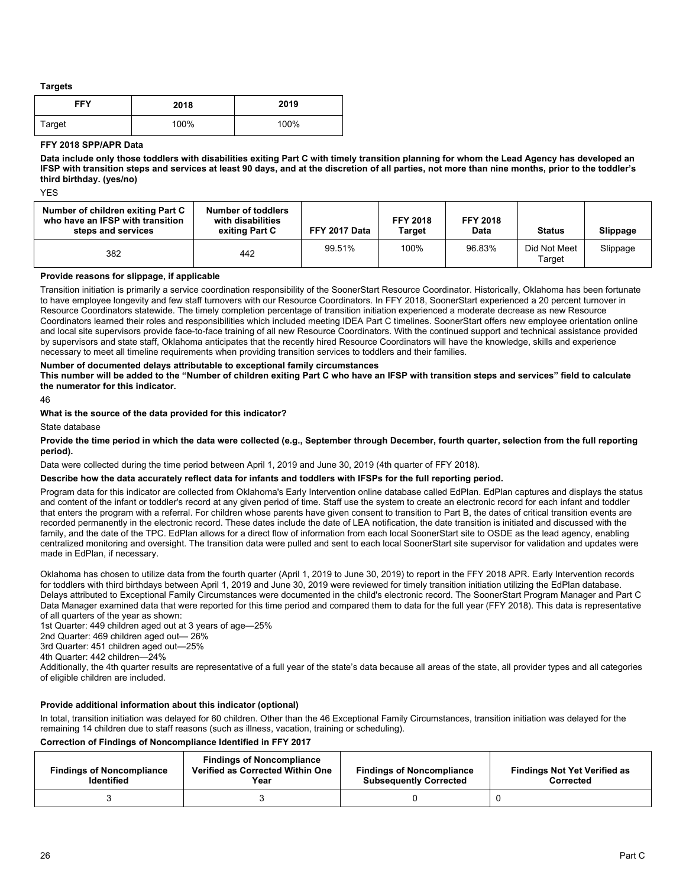**Targets**

| <b>FFY</b> | 2018 | 2019 |
|------------|------|------|
| Target     | 100% | 100% |

#### **FFY 2018 SPP/APR Data**

**Data include only those toddlers with disabilities exiting Part C with timely transition planning for whom the Lead Agency has developed an IFSP with transition steps and services at least 90 days, and at the discretion of all parties, not more than nine months, prior to the toddler's third birthday. (yes/no)**

YES

| Number of children exiting Part C<br>who have an IFSP with transition<br>steps and services | <b>Number of toddlers</b><br>with disabilities<br>exiting Part C | FFY 2017 Data | <b>FFY 2018</b><br>Target | <b>FFY 2018</b><br>Data | <b>Status</b>          | Slippage |
|---------------------------------------------------------------------------------------------|------------------------------------------------------------------|---------------|---------------------------|-------------------------|------------------------|----------|
| 382                                                                                         | 442                                                              | 99.51%        | 100%                      | 96.83%                  | Did Not Meet<br>Tarqet | Slippage |

#### **Provide reasons for slippage, if applicable**

Transition initiation is primarily a service coordination responsibility of the SoonerStart Resource Coordinator. Historically, Oklahoma has been fortunate to have employee longevity and few staff turnovers with our Resource Coordinators. In FFY 2018, SoonerStart experienced a 20 percent turnover in Resource Coordinators statewide. The timely completion percentage of transition initiation experienced a moderate decrease as new Resource Coordinators learned their roles and responsibilities which included meeting IDEA Part C timelines. SoonerStart offers new employee orientation online and local site supervisors provide face-to-face training of all new Resource Coordinators. With the continued support and technical assistance provided by supervisors and state staff, Oklahoma anticipates that the recently hired Resource Coordinators will have the knowledge, skills and experience necessary to meet all timeline requirements when providing transition services to toddlers and their families.

#### **Number of documented delays attributable to exceptional family circumstances**

**This number will be added to the "Number of children exiting Part C who have an IFSP with transition steps and services" field to calculate the numerator for this indicator.**

46

#### **What is the source of the data provided for this indicator?**

State database

**Provide the time period in which the data were collected (e.g., September through December, fourth quarter, selection from the full reporting period).** 

Data were collected during the time period between April 1, 2019 and June 30, 2019 (4th quarter of FFY 2018).

#### **Describe how the data accurately reflect data for infants and toddlers with IFSPs for the full reporting period.**

Program data for this indicator are collected from Oklahoma's Early Intervention online database called EdPlan. EdPlan captures and displays the status and content of the infant or toddler's record at any given period of time. Staff use the system to create an electronic record for each infant and toddler that enters the program with a referral. For children whose parents have given consent to transition to Part B, the dates of critical transition events are recorded permanently in the electronic record. These dates include the date of LEA notification, the date transition is initiated and discussed with the family, and the date of the TPC. EdPlan allows for a direct flow of information from each local SoonerStart site to OSDE as the lead agency, enabling centralized monitoring and oversight. The transition data were pulled and sent to each local SoonerStart site supervisor for validation and updates were made in EdPlan, if necessary.

Oklahoma has chosen to utilize data from the fourth quarter (April 1, 2019 to June 30, 2019) to report in the FFY 2018 APR. Early Intervention records for toddlers with third birthdays between April 1, 2019 and June 30, 2019 were reviewed for timely transition initiation utilizing the EdPlan database. Delays attributed to Exceptional Family Circumstances were documented in the child's electronic record. The SoonerStart Program Manager and Part C Data Manager examined data that were reported for this time period and compared them to data for the full year (FFY 2018). This data is representative of all quarters of the year as shown:

1st Quarter: 449 children aged out at 3 years of age—25%

2nd Quarter: 469 children aged out— 26%

3rd Quarter: 451 children aged out—25%

4th Quarter: 442 children—24%

Additionally, the 4th quarter results are representative of a full year of the state's data because all areas of the state, all provider types and all categories of eligible children are included.

#### **Provide additional information about this indicator (optional)**

In total, transition initiation was delayed for 60 children. Other than the 46 Exceptional Family Circumstances, transition initiation was delayed for the remaining 14 children due to staff reasons (such as illness, vacation, training or scheduling).

### **Correction of Findings of Noncompliance Identified in FFY 2017**

| <b>Findings of Noncompliance</b><br><b>Identified</b> | <b>Findings of Noncompliance</b><br>Verified as Corrected Within One<br>Year | <b>Findings of Noncompliance</b><br><b>Subsequently Corrected</b> | <b>Findings Not Yet Verified as</b><br>Corrected |
|-------------------------------------------------------|------------------------------------------------------------------------------|-------------------------------------------------------------------|--------------------------------------------------|
|                                                       |                                                                              |                                                                   |                                                  |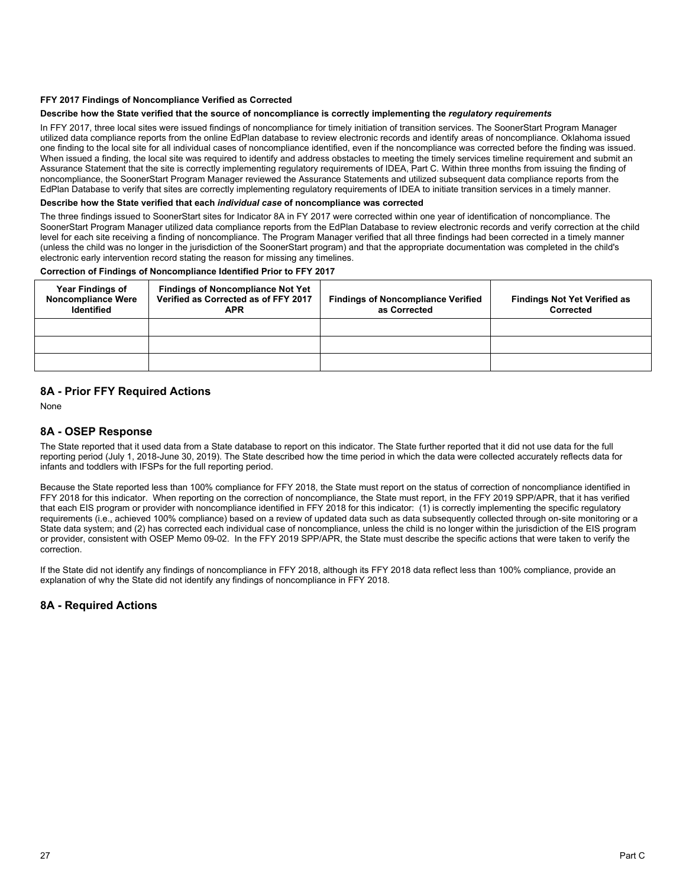#### **FFY 2017 Findings of Noncompliance Verified as Corrected**

#### **Describe how the State verified that the source of noncompliance is correctly implementing the** *regulatory requirements*

In FFY 2017, three local sites were issued findings of noncompliance for timely initiation of transition services. The SoonerStart Program Manager utilized data compliance reports from the online EdPlan database to review electronic records and identify areas of noncompliance. Oklahoma issued one finding to the local site for all individual cases of noncompliance identified, even if the noncompliance was corrected before the finding was issued. When issued a finding, the local site was required to identify and address obstacles to meeting the timely services timeline requirement and submit an Assurance Statement that the site is correctly implementing regulatory requirements of IDEA, Part C. Within three months from issuing the finding of noncompliance, the SoonerStart Program Manager reviewed the Assurance Statements and utilized subsequent data compliance reports from the EdPlan Database to verify that sites are correctly implementing regulatory requirements of IDEA to initiate transition services in a timely manner.

#### **Describe how the State verified that each** *individual case* **of noncompliance was corrected**

The three findings issued to SoonerStart sites for Indicator 8A in FY 2017 were corrected within one year of identification of noncompliance. The SoonerStart Program Manager utilized data compliance reports from the EdPlan Database to review electronic records and verify correction at the child level for each site receiving a finding of noncompliance. The Program Manager verified that all three findings had been corrected in a timely manner (unless the child was no longer in the jurisdiction of the SoonerStart program) and that the appropriate documentation was completed in the child's electronic early intervention record stating the reason for missing any timelines.

#### **Correction of Findings of Noncompliance Identified Prior to FFY 2017**

| <b>Year Findings of</b><br><b>Noncompliance Were</b><br><b>Identified</b> | <b>Findings of Noncompliance Not Yet</b><br>Verified as Corrected as of FFY 2017<br><b>APR</b> | <b>Findings of Noncompliance Verified</b><br>as Corrected | <b>Findings Not Yet Verified as</b><br>Corrected |
|---------------------------------------------------------------------------|------------------------------------------------------------------------------------------------|-----------------------------------------------------------|--------------------------------------------------|
|                                                                           |                                                                                                |                                                           |                                                  |
|                                                                           |                                                                                                |                                                           |                                                  |
|                                                                           |                                                                                                |                                                           |                                                  |

## **8A - Prior FFY Required Actions**

None

## **8A - OSEP Response**

The State reported that it used data from a State database to report on this indicator. The State further reported that it did not use data for the full reporting period (July 1, 2018-June 30, 2019). The State described how the time period in which the data were collected accurately reflects data for infants and toddlers with IFSPs for the full reporting period.

Because the State reported less than 100% compliance for FFY 2018, the State must report on the status of correction of noncompliance identified in FFY 2018 for this indicator. When reporting on the correction of noncompliance, the State must report, in the FFY 2019 SPP/APR, that it has verified that each EIS program or provider with noncompliance identified in FFY 2018 for this indicator: (1) is correctly implementing the specific regulatory requirements (i.e., achieved 100% compliance) based on a review of updated data such as data subsequently collected through on-site monitoring or a State data system; and (2) has corrected each individual case of noncompliance, unless the child is no longer within the jurisdiction of the EIS program or provider, consistent with OSEP Memo 09-02. In the FFY 2019 SPP/APR, the State must describe the specific actions that were taken to verify the correction.

If the State did not identify any findings of noncompliance in FFY 2018, although its FFY 2018 data reflect less than 100% compliance, provide an explanation of why the State did not identify any findings of noncompliance in FFY 2018.

## **8A - Required Actions**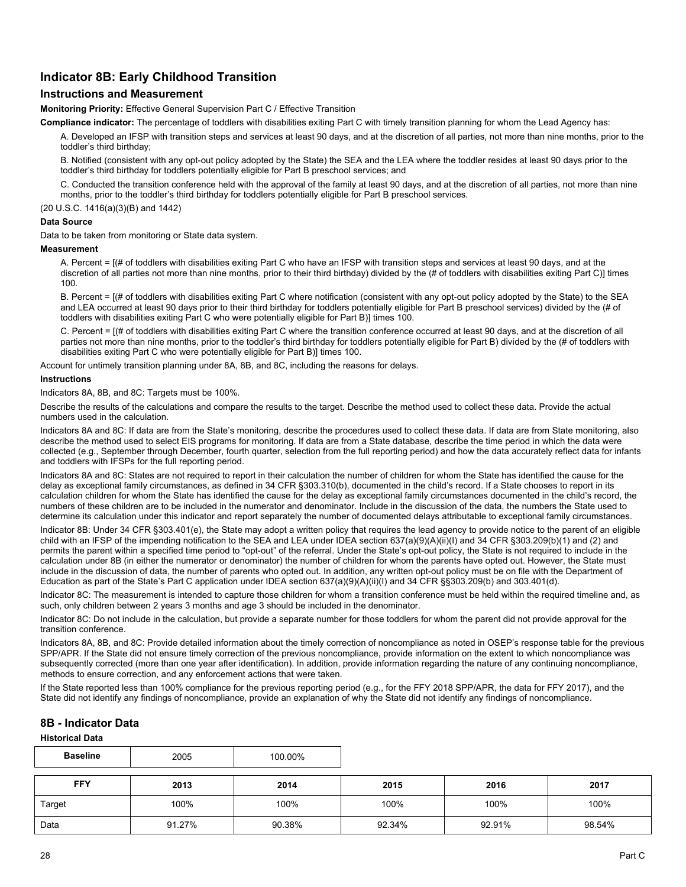## **Indicator 8B: Early Childhood Transition**

## **Instructions and Measurement**

**Monitoring Priority:** Effective General Supervision Part C / Effective Transition

**Compliance indicator:** The percentage of toddlers with disabilities exiting Part C with timely transition planning for whom the Lead Agency has:

A. Developed an IFSP with transition steps and services at least 90 days, and at the discretion of all parties, not more than nine months, prior to the toddler's third birthday;

B. Notified (consistent with any opt-out policy adopted by the State) the SEA and the LEA where the toddler resides at least 90 days prior to the toddler's third birthday for toddlers potentially eligible for Part B preschool services; and

C. Conducted the transition conference held with the approval of the family at least 90 days, and at the discretion of all parties, not more than nine months, prior to the toddler's third birthday for toddlers potentially eligible for Part B preschool services.

(20 U.S.C. 1416(a)(3)(B) and 1442)

#### **Data Source**

Data to be taken from monitoring or State data system.

**Measurement**

A. Percent = [(# of toddlers with disabilities exiting Part C who have an IFSP with transition steps and services at least 90 days, and at the discretion of all parties not more than nine months, prior to their third birthday) divided by the (# of toddlers with disabilities exiting Part C)] times 100.

B. Percent = [(# of toddlers with disabilities exiting Part C where notification (consistent with any opt-out policy adopted by the State) to the SEA and LEA occurred at least 90 days prior to their third birthday for toddlers potentially eligible for Part B preschool services) divided by the (# of toddlers with disabilities exiting Part C who were potentially eligible for Part B)] times 100.

C. Percent = [(# of toddlers with disabilities exiting Part C where the transition conference occurred at least 90 days, and at the discretion of all parties not more than nine months, prior to the toddler's third birthday for toddlers potentially eligible for Part B) divided by the (# of toddlers with disabilities exiting Part C who were potentially eligible for Part B)] times 100.

Account for untimely transition planning under 8A, 8B, and 8C, including the reasons for delays.

#### **Instructions**

Indicators 8A, 8B, and 8C: Targets must be 100%.

Describe the results of the calculations and compare the results to the target. Describe the method used to collect these data. Provide the actual numbers used in the calculation.

Indicators 8A and 8C: If data are from the State's monitoring, describe the procedures used to collect these data. If data are from State monitoring, also describe the method used to select EIS programs for monitoring. If data are from a State database, describe the time period in which the data were collected (e.g., September through December, fourth quarter, selection from the full reporting period) and how the data accurately reflect data for infants and toddlers with IFSPs for the full reporting period.

Indicators 8A and 8C: States are not required to report in their calculation the number of children for whom the State has identified the cause for the delay as exceptional family circumstances, as defined in 34 CFR §303.310(b), documented in the child's record. If a State chooses to report in its calculation children for whom the State has identified the cause for the delay as exceptional family circumstances documented in the child's record, the numbers of these children are to be included in the numerator and denominator. Include in the discussion of the data, the numbers the State used to determine its calculation under this indicator and report separately the number of documented delays attributable to exceptional family circumstances.

Indicator 8B: Under 34 CFR §303.401(e), the State may adopt a written policy that requires the lead agency to provide notice to the parent of an eligible child with an IFSP of the impending notification to the SEA and LEA under IDEA section 637(a)(9)(A)(ii)(I) and 34 CFR §303.209(b)(1) and (2) and permits the parent within a specified time period to "opt-out" of the referral. Under the State's opt-out policy, the State is not required to include in the calculation under 8B (in either the numerator or denominator) the number of children for whom the parents have opted out. However, the State must include in the discussion of data, the number of parents who opted out. In addition, any written opt-out policy must be on file with the Department of Education as part of the State's Part C application under IDEA section 637(a)(9)(A)(ii)(I) and 34 CFR §§303.209(b) and 303.401(d).

Indicator 8C: The measurement is intended to capture those children for whom a transition conference must be held within the required timeline and, as such, only children between 2 years 3 months and age 3 should be included in the denominator.

Indicator 8C: Do not include in the calculation, but provide a separate number for those toddlers for whom the parent did not provide approval for the transition conference.

Indicators 8A, 8B, and 8C: Provide detailed information about the timely correction of noncompliance as noted in OSEP's response table for the previous SPP/APR. If the State did not ensure timely correction of the previous noncompliance, provide information on the extent to which noncompliance was subsequently corrected (more than one year after identification). In addition, provide information regarding the nature of any continuing noncompliance, methods to ensure correction, and any enforcement actions that were taken.

If the State reported less than 100% compliance for the previous reporting period (e.g., for the FFY 2018 SPP/APR, the data for FFY 2017), and the State did not identify any findings of noncompliance, provide an explanation of why the State did not identify any findings of noncompliance.

## **8B - Indicator Data**

**Historical Data**

| <b>Baseline</b> | 2005   | 100.00% |        |        |        |
|-----------------|--------|---------|--------|--------|--------|
| <b>FFY</b>      | 2013   | 2014    | 2015   | 2016   | 2017   |
| Target          | 100%   | 100%    | 100%   | 100%   | 100%   |
| Data            | 91.27% | 90.38%  | 92.34% | 92.91% | 98.54% |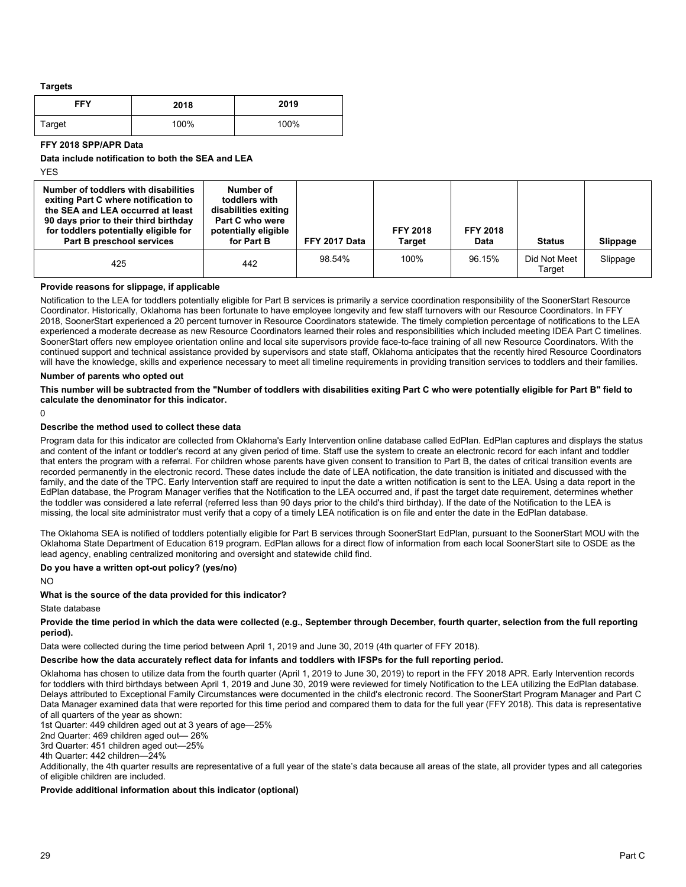**Targets**

| <b>FFY</b> | 2018 | 2019 |
|------------|------|------|
| Target     | 100% | 100% |

**FFY 2018 SPP/APR Data**

**Data include notification to both the SEA and LEA**

YES

| Number of toddlers with disabilities<br>exiting Part C where notification to<br>the SEA and LEA occurred at least<br>90 days prior to their third birthday<br>for toddlers potentially eligible for<br><b>Part B preschool services</b> | Number of<br>toddlers with<br>disabilities exiting<br>Part C who were<br>potentially eligible<br>for Part B | FFY 2017 Data | <b>FFY 2018</b><br>Target | <b>FFY 2018</b><br>Data | <b>Status</b>          | Slippage |
|-----------------------------------------------------------------------------------------------------------------------------------------------------------------------------------------------------------------------------------------|-------------------------------------------------------------------------------------------------------------|---------------|---------------------------|-------------------------|------------------------|----------|
| 425                                                                                                                                                                                                                                     | 442                                                                                                         | 98.54%        | 100%                      | 96.15%                  | Did Not Meet<br>Target | Slippage |

**Provide reasons for slippage, if applicable**

Notification to the LEA for toddlers potentially eligible for Part B services is primarily a service coordination responsibility of the SoonerStart Resource Coordinator. Historically, Oklahoma has been fortunate to have employee longevity and few staff turnovers with our Resource Coordinators. In FFY 2018, SoonerStart experienced a 20 percent turnover in Resource Coordinators statewide. The timely completion percentage of notifications to the LEA experienced a moderate decrease as new Resource Coordinators learned their roles and responsibilities which included meeting IDEA Part C timelines. SoonerStart offers new employee orientation online and local site supervisors provide face-to-face training of all new Resource Coordinators. With the continued support and technical assistance provided by supervisors and state staff, Oklahoma anticipates that the recently hired Resource Coordinators will have the knowledge, skills and experience necessary to meet all timeline requirements in providing transition services to toddlers and their families.

#### **Number of parents who opted out**

**This number will be subtracted from the "Number of toddlers with disabilities exiting Part C who were potentially eligible for Part B" field to calculate the denominator for this indicator.**

 $\Omega$ 

#### **Describe the method used to collect these data**

Program data for this indicator are collected from Oklahoma's Early Intervention online database called EdPlan. EdPlan captures and displays the status and content of the infant or toddler's record at any given period of time. Staff use the system to create an electronic record for each infant and toddler that enters the program with a referral. For children whose parents have given consent to transition to Part B, the dates of critical transition events are recorded permanently in the electronic record. These dates include the date of LEA notification, the date transition is initiated and discussed with the family, and the date of the TPC. Early Intervention staff are required to input the date a written notification is sent to the LEA. Using a data report in the EdPlan database, the Program Manager verifies that the Notification to the LEA occurred and, if past the target date requirement, determines whether the toddler was considered a late referral (referred less than 90 days prior to the child's third birthday). If the date of the Notification to the LEA is missing, the local site administrator must verify that a copy of a timely LEA notification is on file and enter the date in the EdPlan database.

The Oklahoma SEA is notified of toddlers potentially eligible for Part B services through SoonerStart EdPlan, pursuant to the SoonerStart MOU with the Oklahoma State Department of Education 619 program. EdPlan allows for a direct flow of information from each local SoonerStart site to OSDE as the lead agency, enabling centralized monitoring and oversight and statewide child find.

#### **Do you have a written opt-out policy? (yes/no)**

NO

## **What is the source of the data provided for this indicator?**

State database

**Provide the time period in which the data were collected (e.g., September through December, fourth quarter, selection from the full reporting period).** 

Data were collected during the time period between April 1, 2019 and June 30, 2019 (4th quarter of FFY 2018).

## **Describe how the data accurately reflect data for infants and toddlers with IFSPs for the full reporting period.**

Oklahoma has chosen to utilize data from the fourth quarter (April 1, 2019 to June 30, 2019) to report in the FFY 2018 APR. Early Intervention records for toddlers with third birthdays between April 1, 2019 and June 30, 2019 were reviewed for timely Notification to the LEA utilizing the EdPlan database. Delays attributed to Exceptional Family Circumstances were documented in the child's electronic record. The SoonerStart Program Manager and Part C Data Manager examined data that were reported for this time period and compared them to data for the full year (FFY 2018). This data is representative of all quarters of the year as shown:

1st Quarter: 449 children aged out at 3 years of age—25%

2nd Quarter: 469 children aged out— 26%

3rd Quarter: 451 children aged out—25%

4th Quarter: 442 children—24%

Additionally, the 4th quarter results are representative of a full year of the state's data because all areas of the state, all provider types and all categories of eligible children are included.

## **Provide additional information about this indicator (optional)**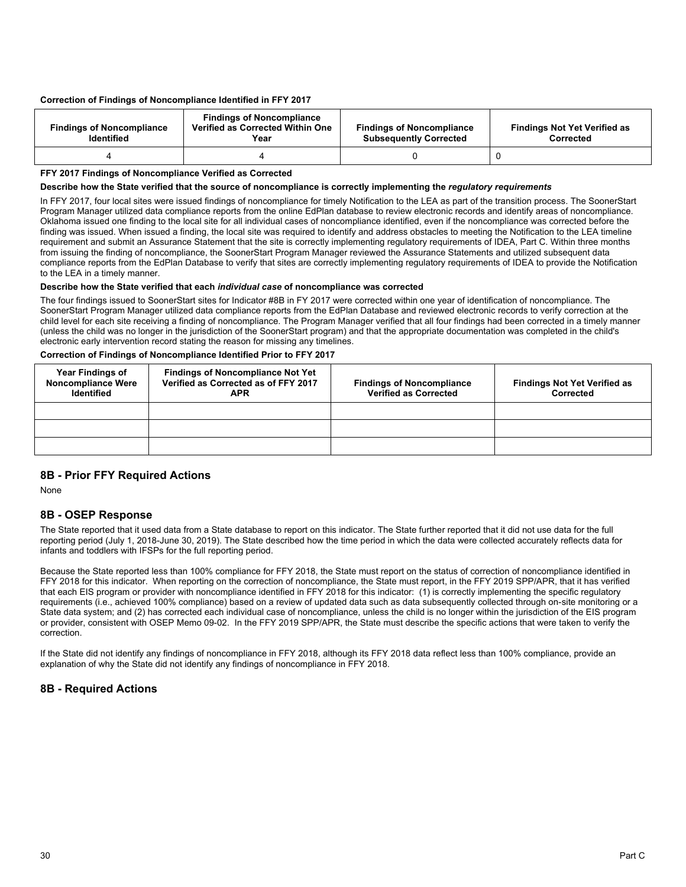#### **Correction of Findings of Noncompliance Identified in FFY 2017**

| <b>Findings of Noncompliance</b><br><b>Identified</b> | <b>Findings of Noncompliance</b><br>Verified as Corrected Within One<br>Year | <b>Findings of Noncompliance</b><br><b>Subsequently Corrected</b> | <b>Findings Not Yet Verified as</b><br>Corrected |
|-------------------------------------------------------|------------------------------------------------------------------------------|-------------------------------------------------------------------|--------------------------------------------------|
|                                                       |                                                                              |                                                                   |                                                  |

#### **FFY 2017 Findings of Noncompliance Verified as Corrected**

#### **Describe how the State verified that the source of noncompliance is correctly implementing the** *regulatory requirements*

In FFY 2017, four local sites were issued findings of noncompliance for timely Notification to the LEA as part of the transition process. The SoonerStart Program Manager utilized data compliance reports from the online EdPlan database to review electronic records and identify areas of noncompliance. Oklahoma issued one finding to the local site for all individual cases of noncompliance identified, even if the noncompliance was corrected before the finding was issued. When issued a finding, the local site was required to identify and address obstacles to meeting the Notification to the LEA timeline requirement and submit an Assurance Statement that the site is correctly implementing regulatory requirements of IDEA, Part C. Within three months from issuing the finding of noncompliance, the SoonerStart Program Manager reviewed the Assurance Statements and utilized subsequent data compliance reports from the EdPlan Database to verify that sites are correctly implementing regulatory requirements of IDEA to provide the Notification to the LEA in a timely manner.

#### **Describe how the State verified that each** *individual case* **of noncompliance was corrected**

The four findings issued to SoonerStart sites for Indicator #8B in FY 2017 were corrected within one year of identification of noncompliance. The SoonerStart Program Manager utilized data compliance reports from the EdPlan Database and reviewed electronic records to verify correction at the child level for each site receiving a finding of noncompliance. The Program Manager verified that all four findings had been corrected in a timely manner (unless the child was no longer in the jurisdiction of the SoonerStart program) and that the appropriate documentation was completed in the child's electronic early intervention record stating the reason for missing any timelines.

#### **Correction of Findings of Noncompliance Identified Prior to FFY 2017**

| <b>Year Findings of</b><br><b>Noncompliance Were</b><br><b>Identified</b> | <b>Findings of Noncompliance Not Yet</b><br>Verified as Corrected as of FFY 2017<br><b>APR</b> | <b>Findings of Noncompliance</b><br><b>Verified as Corrected</b> | <b>Findings Not Yet Verified as</b><br>Corrected |
|---------------------------------------------------------------------------|------------------------------------------------------------------------------------------------|------------------------------------------------------------------|--------------------------------------------------|
|                                                                           |                                                                                                |                                                                  |                                                  |
|                                                                           |                                                                                                |                                                                  |                                                  |
|                                                                           |                                                                                                |                                                                  |                                                  |

## **8B - Prior FFY Required Actions**

None

## **8B - OSEP Response**

The State reported that it used data from a State database to report on this indicator. The State further reported that it did not use data for the full reporting period (July 1, 2018-June 30, 2019). The State described how the time period in which the data were collected accurately reflects data for infants and toddlers with IFSPs for the full reporting period.

Because the State reported less than 100% compliance for FFY 2018, the State must report on the status of correction of noncompliance identified in FFY 2018 for this indicator. When reporting on the correction of noncompliance, the State must report, in the FFY 2019 SPP/APR, that it has verified that each EIS program or provider with noncompliance identified in FFY 2018 for this indicator: (1) is correctly implementing the specific regulatory requirements (i.e., achieved 100% compliance) based on a review of updated data such as data subsequently collected through on-site monitoring or a State data system; and (2) has corrected each individual case of noncompliance, unless the child is no longer within the jurisdiction of the EIS program or provider, consistent with OSEP Memo 09-02. In the FFY 2019 SPP/APR, the State must describe the specific actions that were taken to verify the correction.

If the State did not identify any findings of noncompliance in FFY 2018, although its FFY 2018 data reflect less than 100% compliance, provide an explanation of why the State did not identify any findings of noncompliance in FFY 2018.

## **8B - Required Actions**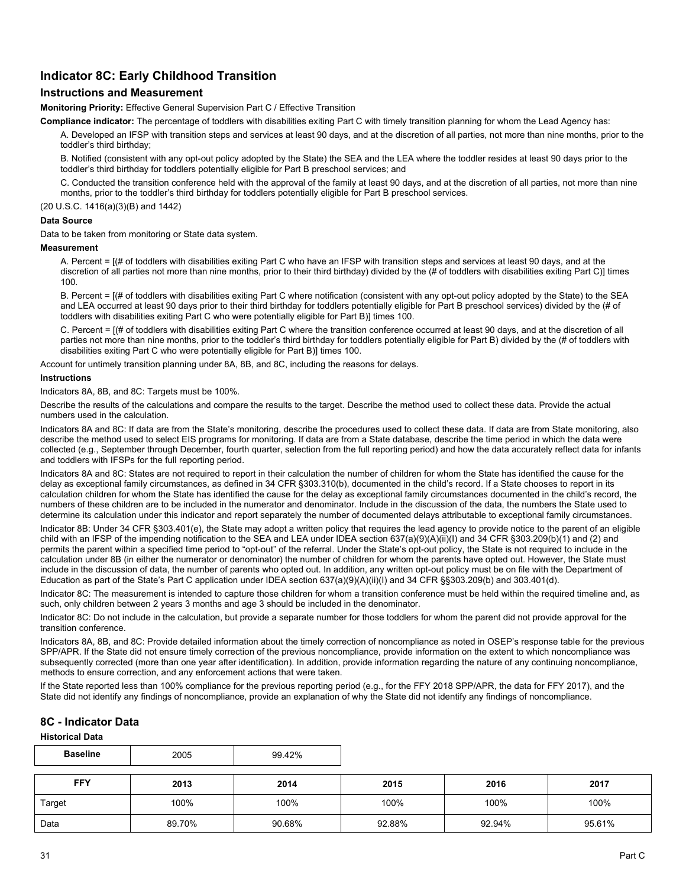## **Indicator 8C: Early Childhood Transition**

## **Instructions and Measurement**

**Monitoring Priority:** Effective General Supervision Part C / Effective Transition

**Compliance indicator:** The percentage of toddlers with disabilities exiting Part C with timely transition planning for whom the Lead Agency has:

A. Developed an IFSP with transition steps and services at least 90 days, and at the discretion of all parties, not more than nine months, prior to the toddler's third birthday;

B. Notified (consistent with any opt-out policy adopted by the State) the SEA and the LEA where the toddler resides at least 90 days prior to the toddler's third birthday for toddlers potentially eligible for Part B preschool services; and

C. Conducted the transition conference held with the approval of the family at least 90 days, and at the discretion of all parties, not more than nine months, prior to the toddler's third birthday for toddlers potentially eligible for Part B preschool services.

(20 U.S.C. 1416(a)(3)(B) and 1442)

## **Data Source**

Data to be taken from monitoring or State data system.

**Measurement**

A. Percent = [(# of toddlers with disabilities exiting Part C who have an IFSP with transition steps and services at least 90 days, and at the discretion of all parties not more than nine months, prior to their third birthday) divided by the (# of toddlers with disabilities exiting Part C)] times 100.

B. Percent = [(# of toddlers with disabilities exiting Part C where notification (consistent with any opt-out policy adopted by the State) to the SEA and LEA occurred at least 90 days prior to their third birthday for toddlers potentially eligible for Part B preschool services) divided by the (# of toddlers with disabilities exiting Part C who were potentially eligible for Part B)] times 100.

C. Percent = [(# of toddlers with disabilities exiting Part C where the transition conference occurred at least 90 days, and at the discretion of all parties not more than nine months, prior to the toddler's third birthday for toddlers potentially eligible for Part B) divided by the (# of toddlers with disabilities exiting Part C who were potentially eligible for Part B)] times 100.

Account for untimely transition planning under 8A, 8B, and 8C, including the reasons for delays.

#### **Instructions**

Indicators 8A, 8B, and 8C: Targets must be 100%.

Describe the results of the calculations and compare the results to the target. Describe the method used to collect these data. Provide the actual numbers used in the calculation.

Indicators 8A and 8C: If data are from the State's monitoring, describe the procedures used to collect these data. If data are from State monitoring, also describe the method used to select EIS programs for monitoring. If data are from a State database, describe the time period in which the data were collected (e.g., September through December, fourth quarter, selection from the full reporting period) and how the data accurately reflect data for infants and toddlers with IFSPs for the full reporting period.

Indicators 8A and 8C: States are not required to report in their calculation the number of children for whom the State has identified the cause for the delay as exceptional family circumstances, as defined in 34 CFR §303.310(b), documented in the child's record. If a State chooses to report in its calculation children for whom the State has identified the cause for the delay as exceptional family circumstances documented in the child's record, the numbers of these children are to be included in the numerator and denominator. Include in the discussion of the data, the numbers the State used to determine its calculation under this indicator and report separately the number of documented delays attributable to exceptional family circumstances.

Indicator 8B: Under 34 CFR §303.401(e), the State may adopt a written policy that requires the lead agency to provide notice to the parent of an eligible child with an IFSP of the impending notification to the SEA and LEA under IDEA section 637(a)(9)(A)(ii)(I) and 34 CFR §303.209(b)(1) and (2) and permits the parent within a specified time period to "opt-out" of the referral. Under the State's opt-out policy, the State is not required to include in the calculation under 8B (in either the numerator or denominator) the number of children for whom the parents have opted out. However, the State must include in the discussion of data, the number of parents who opted out. In addition, any written opt-out policy must be on file with the Department of Education as part of the State's Part C application under IDEA section 637(a)(9)(A)(ii)(I) and 34 CFR §§303.209(b) and 303.401(d).

Indicator 8C: The measurement is intended to capture those children for whom a transition conference must be held within the required timeline and, as such, only children between 2 years 3 months and age 3 should be included in the denominator.

Indicator 8C: Do not include in the calculation, but provide a separate number for those toddlers for whom the parent did not provide approval for the transition conference.

Indicators 8A, 8B, and 8C: Provide detailed information about the timely correction of noncompliance as noted in OSEP's response table for the previous SPP/APR. If the State did not ensure timely correction of the previous noncompliance, provide information on the extent to which noncompliance was subsequently corrected (more than one year after identification). In addition, provide information regarding the nature of any continuing noncompliance, methods to ensure correction, and any enforcement actions that were taken.

If the State reported less than 100% compliance for the previous reporting period (e.g., for the FFY 2018 SPP/APR, the data for FFY 2017), and the State did not identify any findings of noncompliance, provide an explanation of why the State did not identify any findings of noncompliance.

## **8C - Indicator Data**

**Historical Data**

| <b>Baseline</b> | 2005   | 99.42% |        |        |        |
|-----------------|--------|--------|--------|--------|--------|
| <b>FFY</b>      | 2013   | 2014   | 2015   | 2016   | 2017   |
| Target          | 100%   | 100%   | 100%   | 100%   | 100%   |
| Data            | 89.70% | 90.68% | 92.88% | 92.94% | 95.61% |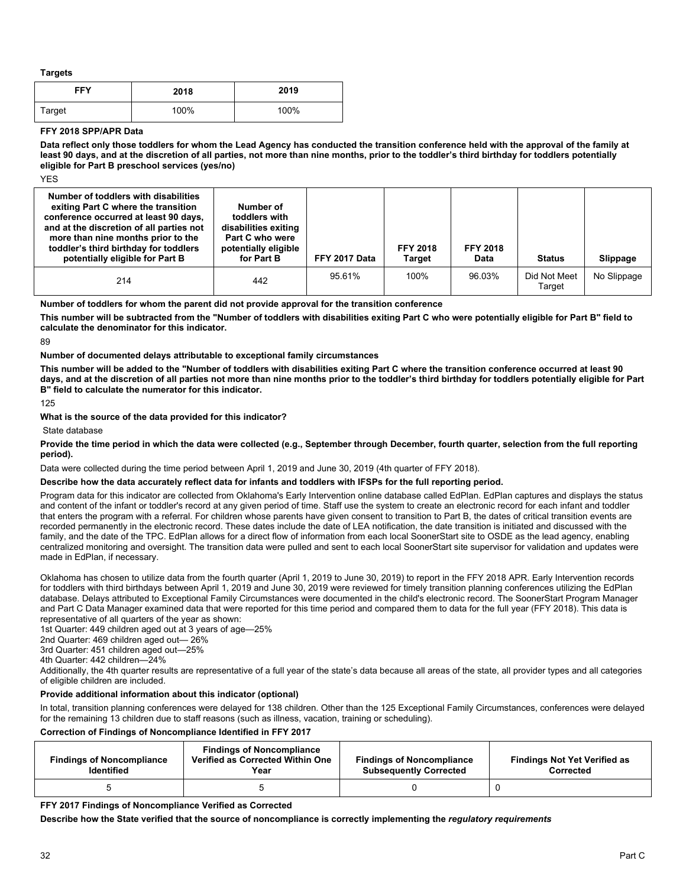**Targets**

| <b>FFY</b> | 2018 | 2019 |
|------------|------|------|
| Target     | 100% | 100% |

#### **FFY 2018 SPP/APR Data**

**Data reflect only those toddlers for whom the Lead Agency has conducted the transition conference held with the approval of the family at least 90 days, and at the discretion of all parties, not more than nine months, prior to the toddler's third birthday for toddlers potentially eligible for Part B preschool services (yes/no)**

**YFS** 

| Number of toddlers with disabilities<br>exiting Part C where the transition<br>conference occurred at least 90 days,<br>and at the discretion of all parties not<br>more than nine months prior to the<br>toddler's third birthday for toddlers<br>potentially eligible for Part B | Number of<br>toddlers with<br>disabilities exiting<br>Part C who were<br>potentially eligible<br>for Part B | FFY 2017 Data | <b>FFY 2018</b><br>Target | <b>FFY 2018</b><br>Data | <b>Status</b>          | Slippage    |
|------------------------------------------------------------------------------------------------------------------------------------------------------------------------------------------------------------------------------------------------------------------------------------|-------------------------------------------------------------------------------------------------------------|---------------|---------------------------|-------------------------|------------------------|-------------|
| 214                                                                                                                                                                                                                                                                                | 442                                                                                                         | 95.61%        | 100%                      | 96.03%                  | Did Not Meet<br>Target | No Slippage |

**Number of toddlers for whom the parent did not provide approval for the transition conference**

**This number will be subtracted from the "Number of toddlers with disabilities exiting Part C who were potentially eligible for Part B" field to calculate the denominator for this indicator.**

89

#### **Number of documented delays attributable to exceptional family circumstances**

**This number will be added to the "Number of toddlers with disabilities exiting Part C where the transition conference occurred at least 90 days, and at the discretion of all parties not more than nine months prior to the toddler's third birthday for toddlers potentially eligible for Part B" field to calculate the numerator for this indicator.**

125

**What is the source of the data provided for this indicator?**

State database

#### **Provide the time period in which the data were collected (e.g., September through December, fourth quarter, selection from the full reporting period).**

Data were collected during the time period between April 1, 2019 and June 30, 2019 (4th quarter of FFY 2018).

#### **Describe how the data accurately reflect data for infants and toddlers with IFSPs for the full reporting period.**

Program data for this indicator are collected from Oklahoma's Early Intervention online database called EdPlan. EdPlan captures and displays the status and content of the infant or toddler's record at any given period of time. Staff use the system to create an electronic record for each infant and toddler that enters the program with a referral. For children whose parents have given consent to transition to Part B, the dates of critical transition events are recorded permanently in the electronic record. These dates include the date of LEA notification, the date transition is initiated and discussed with the family, and the date of the TPC. EdPlan allows for a direct flow of information from each local SoonerStart site to OSDE as the lead agency, enabling centralized monitoring and oversight. The transition data were pulled and sent to each local SoonerStart site supervisor for validation and updates were made in EdPlan, if necessary.

Oklahoma has chosen to utilize data from the fourth quarter (April 1, 2019 to June 30, 2019) to report in the FFY 2018 APR. Early Intervention records for toddlers with third birthdays between April 1, 2019 and June 30, 2019 were reviewed for timely transition planning conferences utilizing the EdPlan database. Delays attributed to Exceptional Family Circumstances were documented in the child's electronic record. The SoonerStart Program Manager and Part C Data Manager examined data that were reported for this time period and compared them to data for the full year (FFY 2018). This data is representative of all quarters of the year as shown:

1st Quarter: 449 children aged out at 3 years of age—25%

2nd Quarter: 469 children aged out— 26%

3rd Quarter: 451 children aged out—25%

4th Quarter: 442 children—24%

Additionally, the 4th quarter results are representative of a full year of the state's data because all areas of the state, all provider types and all categories of eligible children are included.

#### **Provide additional information about this indicator (optional)**

In total, transition planning conferences were delayed for 138 children. Other than the 125 Exceptional Family Circumstances, conferences were delayed for the remaining 13 children due to staff reasons (such as illness, vacation, training or scheduling).

#### **Correction of Findings of Noncompliance Identified in FFY 2017**

| <b>Findings of Noncompliance</b><br><b>Identified</b> | <b>Findings of Noncompliance</b><br>Verified as Corrected Within One<br>Year | <b>Findings of Noncompliance</b><br><b>Subsequently Corrected</b> | <b>Findings Not Yet Verified as</b><br>Corrected |
|-------------------------------------------------------|------------------------------------------------------------------------------|-------------------------------------------------------------------|--------------------------------------------------|
|                                                       |                                                                              |                                                                   |                                                  |

#### **FFY 2017 Findings of Noncompliance Verified as Corrected**

**Describe how the State verified that the source of noncompliance is correctly implementing the** *regulatory requirements*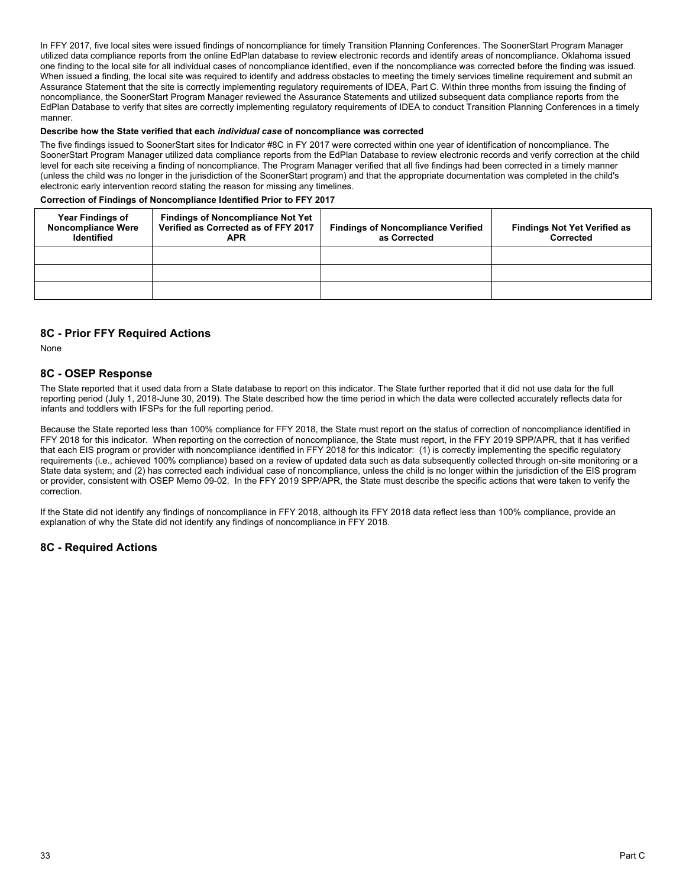In FFY 2017, five local sites were issued findings of noncompliance for timely Transition Planning Conferences. The SoonerStart Program Manager utilized data compliance reports from the online EdPlan database to review electronic records and identify areas of noncompliance. Oklahoma issued one finding to the local site for all individual cases of noncompliance identified, even if the noncompliance was corrected before the finding was issued. When issued a finding, the local site was required to identify and address obstacles to meeting the timely services timeline requirement and submit an Assurance Statement that the site is correctly implementing regulatory requirements of IDEA, Part C. Within three months from issuing the finding of noncompliance, the SoonerStart Program Manager reviewed the Assurance Statements and utilized subsequent data compliance reports from the EdPlan Database to verify that sites are correctly implementing regulatory requirements of IDEA to conduct Transition Planning Conferences in a timely manner.

#### **Describe how the State verified that each** *individual case* **of noncompliance was corrected**

The five findings issued to SoonerStart sites for Indicator #8C in FY 2017 were corrected within one year of identification of noncompliance. The SoonerStart Program Manager utilized data compliance reports from the EdPlan Database to review electronic records and verify correction at the child level for each site receiving a finding of noncompliance. The Program Manager verified that all five findings had been corrected in a timely manner (unless the child was no longer in the jurisdiction of the SoonerStart program) and that the appropriate documentation was completed in the child's electronic early intervention record stating the reason for missing any timelines.

#### **Correction of Findings of Noncompliance Identified Prior to FFY 2017**

| <b>Year Findings of</b><br><b>Noncompliance Were</b><br><b>Identified</b> | <b>Findings of Noncompliance Not Yet</b><br>Verified as Corrected as of FFY 2017<br>APR | <b>Findings of Noncompliance Verified</b><br>as Corrected | <b>Findings Not Yet Verified as</b><br>Corrected |
|---------------------------------------------------------------------------|-----------------------------------------------------------------------------------------|-----------------------------------------------------------|--------------------------------------------------|
|                                                                           |                                                                                         |                                                           |                                                  |
|                                                                           |                                                                                         |                                                           |                                                  |
|                                                                           |                                                                                         |                                                           |                                                  |

## **8C - Prior FFY Required Actions**

None

## **8C - OSEP Response**

The State reported that it used data from a State database to report on this indicator. The State further reported that it did not use data for the full reporting period (July 1, 2018-June 30, 2019). The State described how the time period in which the data were collected accurately reflects data for infants and toddlers with IFSPs for the full reporting period.

Because the State reported less than 100% compliance for FFY 2018, the State must report on the status of correction of noncompliance identified in FFY 2018 for this indicator. When reporting on the correction of noncompliance, the State must report, in the FFY 2019 SPP/APR, that it has verified that each EIS program or provider with noncompliance identified in FFY 2018 for this indicator: (1) is correctly implementing the specific regulatory requirements (i.e., achieved 100% compliance) based on a review of updated data such as data subsequently collected through on-site monitoring or a State data system; and (2) has corrected each individual case of noncompliance, unless the child is no longer within the jurisdiction of the EIS program or provider, consistent with OSEP Memo 09-02. In the FFY 2019 SPP/APR, the State must describe the specific actions that were taken to verify the correction.

If the State did not identify any findings of noncompliance in FFY 2018, although its FFY 2018 data reflect less than 100% compliance, provide an explanation of why the State did not identify any findings of noncompliance in FFY 2018.

## **8C - Required Actions**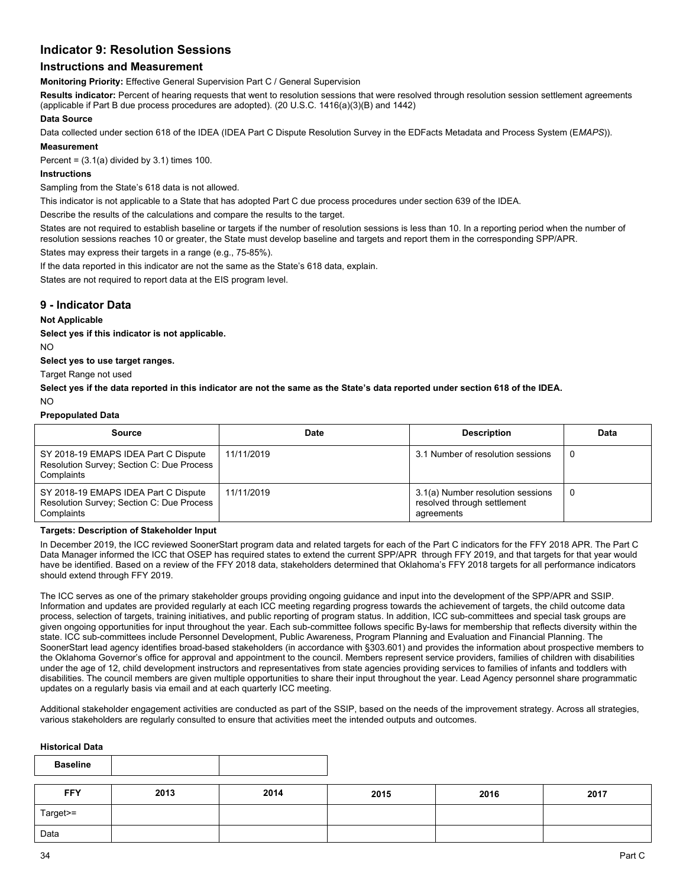## **Indicator 9: Resolution Sessions**

## **Instructions and Measurement**

**Monitoring Priority:** Effective General Supervision Part C / General Supervision

**Results indicator:** Percent of hearing requests that went to resolution sessions that were resolved through resolution session settlement agreements (applicable if Part B due process procedures are adopted). (20 U.S.C. 1416(a)(3)(B) and 1442)

#### **Data Source**

Data collected under section 618 of the IDEA (IDEA Part C Dispute Resolution Survey in the EDFacts Metadata and Process System (E*MAPS*)).

## **Measurement**

Percent =  $(3.1(a)$  divided by  $3.1$ ) times 100.

## **Instructions**

Sampling from the State's 618 data is not allowed.

This indicator is not applicable to a State that has adopted Part C due process procedures under section 639 of the IDEA.

Describe the results of the calculations and compare the results to the target.

States are not required to establish baseline or targets if the number of resolution sessions is less than 10. In a reporting period when the number of resolution sessions reaches 10 or greater, the State must develop baseline and targets and report them in the corresponding SPP/APR.

States may express their targets in a range (e.g., 75-85%).

If the data reported in this indicator are not the same as the State's 618 data, explain.

States are not required to report data at the EIS program level.

## **9 - Indicator Data**

### **Not Applicable**

**Select yes if this indicator is not applicable.** 

NO

**Select yes to use target ranges.**

Target Range not used

**Select yes if the data reported in this indicator are not the same as the State's data reported under section 618 of the IDEA.**

NO

#### **Prepopulated Data**

| Source                                                                                          | Date       | <b>Description</b>                                                             | Data |
|-------------------------------------------------------------------------------------------------|------------|--------------------------------------------------------------------------------|------|
| SY 2018-19 EMAPS IDEA Part C Dispute<br>Resolution Survey; Section C: Due Process<br>Complaints | 11/11/2019 | 3.1 Number of resolution sessions                                              |      |
| SY 2018-19 EMAPS IDEA Part C Dispute<br>Resolution Survey; Section C: Due Process<br>Complaints | 11/11/2019 | 3.1(a) Number resolution sessions<br>resolved through settlement<br>agreements |      |

#### **Targets: Description of Stakeholder Input**

In December 2019, the ICC reviewed SoonerStart program data and related targets for each of the Part C indicators for the FFY 2018 APR. The Part C Data Manager informed the ICC that OSEP has required states to extend the current SPP/APR through FFY 2019, and that targets for that year would have be identified. Based on a review of the FFY 2018 data, stakeholders determined that Oklahoma's FFY 2018 targets for all performance indicators should extend through FFY 2019.

The ICC serves as one of the primary stakeholder groups providing ongoing guidance and input into the development of the SPP/APR and SSIP. Information and updates are provided regularly at each ICC meeting regarding progress towards the achievement of targets, the child outcome data process, selection of targets, training initiatives, and public reporting of program status. In addition, ICC sub-committees and special task groups are given ongoing opportunities for input throughout the year. Each sub-committee follows specific By-laws for membership that reflects diversity within the state. ICC sub-committees include Personnel Development, Public Awareness, Program Planning and Evaluation and Financial Planning. The SoonerStart lead agency identifies broad-based stakeholders (in accordance with §303.601) and provides the information about prospective members to the Oklahoma Governor's office for approval and appointment to the council. Members represent service providers, families of children with disabilities under the age of 12, child development instructors and representatives from state agencies providing services to families of infants and toddlers with disabilities. The council members are given multiple opportunities to share their input throughout the year. Lead Agency personnel share programmatic updates on a regularly basis via email and at each quarterly ICC meeting.

Additional stakeholder engagement activities are conducted as part of the SSIP, based on the needs of the improvement strategy. Across all strategies, various stakeholders are regularly consulted to ensure that activities meet the intended outputs and outcomes.

## **Historical Data**

| <b>Baseline</b> |      |      |      |      |      |
|-----------------|------|------|------|------|------|
| <b>FFY</b>      | 2013 | 2014 | 2015 | 2016 | 2017 |
| Target>=        |      |      |      |      |      |
| Data            |      |      |      |      |      |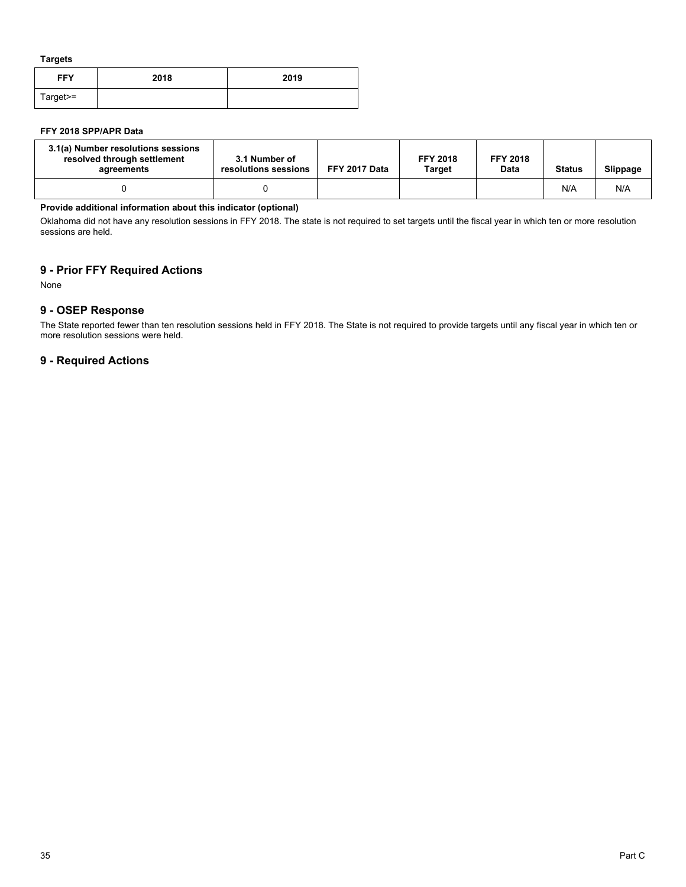**Targets**

| <b>FFY</b> | 2018 | 2019 |
|------------|------|------|
| Target>=   |      |      |

## **FFY 2018 SPP/APR Data**

| 3.1(a) Number resolutions sessions<br>resolved through settlement<br>agreements | 3.1 Number of<br>resolutions sessions | FFY 2017 Data | <b>FFY 2018</b><br>Target | <b>FFY 2018</b><br>Data | <b>Status</b> | Slippage |
|---------------------------------------------------------------------------------|---------------------------------------|---------------|---------------------------|-------------------------|---------------|----------|
|                                                                                 |                                       |               |                           |                         | N/A           | N/A      |

## **Provide additional information about this indicator (optional)**

Oklahoma did not have any resolution sessions in FFY 2018. The state is not required to set targets until the fiscal year in which ten or more resolution sessions are held.

## **9 - Prior FFY Required Actions**

None

## **9 - OSEP Response**

The State reported fewer than ten resolution sessions held in FFY 2018. The State is not required to provide targets until any fiscal year in which ten or more resolution sessions were held.

## **9 - Required Actions**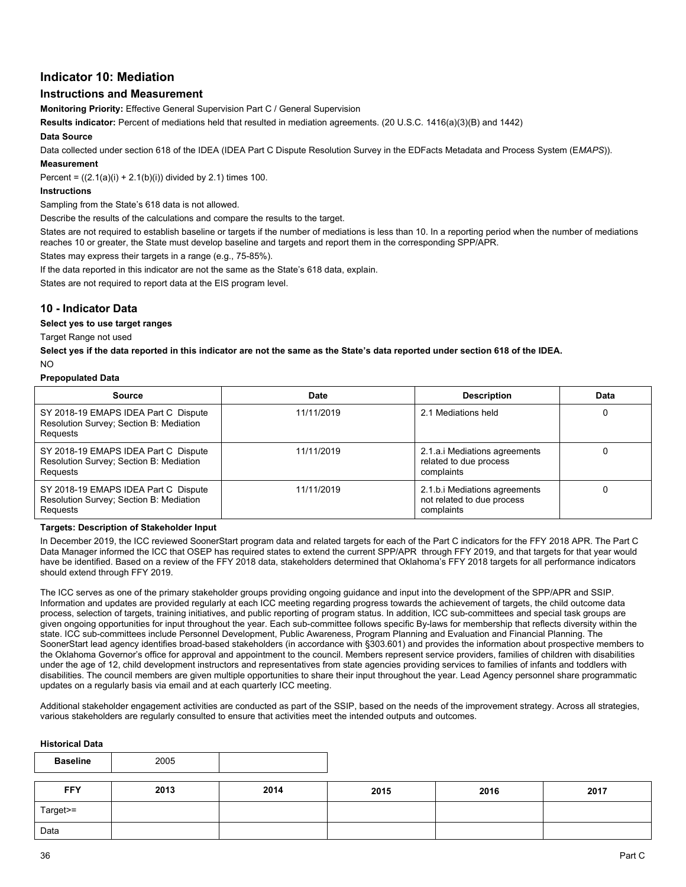## **Indicator 10: Mediation**

## **Instructions and Measurement**

**Monitoring Priority:** Effective General Supervision Part C / General Supervision

**Results indicator:** Percent of mediations held that resulted in mediation agreements. (20 U.S.C. 1416(a)(3)(B) and 1442)

### **Data Source**

Data collected under section 618 of the IDEA (IDEA Part C Dispute Resolution Survey in the EDFacts Metadata and Process System (E*MAPS*)).

## **Measurement**

Percent =  $((2.1(a)(i) + 2.1(b)(i))$  divided by 2.1) times 100.

### **Instructions**

Sampling from the State's 618 data is not allowed.

Describe the results of the calculations and compare the results to the target.

States are not required to establish baseline or targets if the number of mediations is less than 10. In a reporting period when the number of mediations reaches 10 or greater, the State must develop baseline and targets and report them in the corresponding SPP/APR.

States may express their targets in a range (e.g., 75-85%).

If the data reported in this indicator are not the same as the State's 618 data, explain.

States are not required to report data at the EIS program level.

## **10 - Indicator Data**

## **Select yes to use target ranges**

Target Range not used

**Select yes if the data reported in this indicator are not the same as the State's data reported under section 618 of the IDEA.**

#### $N<sub>O</sub>$

#### **Prepopulated Data**

| Source                                                                                      | <b>Date</b> | <b>Description</b>                                                        | Data |
|---------------------------------------------------------------------------------------------|-------------|---------------------------------------------------------------------------|------|
| SY 2018-19 EMAPS IDEA Part C Dispute<br>Resolution Survey; Section B: Mediation<br>Requests | 11/11/2019  | 2.1 Mediations held                                                       |      |
| SY 2018-19 EMAPS IDEA Part C Dispute<br>Resolution Survey; Section B: Mediation<br>Requests | 11/11/2019  | 2.1.a.i Mediations agreements<br>related to due process<br>complaints     |      |
| SY 2018-19 EMAPS IDEA Part C Dispute<br>Resolution Survey; Section B: Mediation<br>Requests | 11/11/2019  | 2.1.b.i Mediations agreements<br>not related to due process<br>complaints |      |

#### **Targets: Description of Stakeholder Input**

In December 2019, the ICC reviewed SoonerStart program data and related targets for each of the Part C indicators for the FFY 2018 APR. The Part C Data Manager informed the ICC that OSEP has required states to extend the current SPP/APR through FFY 2019, and that targets for that year would have be identified. Based on a review of the FFY 2018 data, stakeholders determined that Oklahoma's FFY 2018 targets for all performance indicators should extend through FFY 2019.

The ICC serves as one of the primary stakeholder groups providing ongoing guidance and input into the development of the SPP/APR and SSIP. Information and updates are provided regularly at each ICC meeting regarding progress towards the achievement of targets, the child outcome data process, selection of targets, training initiatives, and public reporting of program status. In addition, ICC sub-committees and special task groups are given ongoing opportunities for input throughout the year. Each sub-committee follows specific By-laws for membership that reflects diversity within the state. ICC sub-committees include Personnel Development, Public Awareness, Program Planning and Evaluation and Financial Planning. The SoonerStart lead agency identifies broad-based stakeholders (in accordance with §303.601) and provides the information about prospective members to the Oklahoma Governor's office for approval and appointment to the council. Members represent service providers, families of children with disabilities under the age of 12, child development instructors and representatives from state agencies providing services to families of infants and toddlers with disabilities. The council members are given multiple opportunities to share their input throughout the year. Lead Agency personnel share programmatic updates on a regularly basis via email and at each quarterly ICC meeting.

Additional stakeholder engagement activities are conducted as part of the SSIP, based on the needs of the improvement strategy. Across all strategies, various stakeholders are regularly consulted to ensure that activities meet the intended outputs and outcomes.

#### **Historical Data**

| <b>Baseline</b> | 2005 |      |      |      |      |
|-----------------|------|------|------|------|------|
| <b>FFY</b>      | 2013 | 2014 | 2015 | 2016 | 2017 |
| Target>=        |      |      |      |      |      |
| Data            |      |      |      |      |      |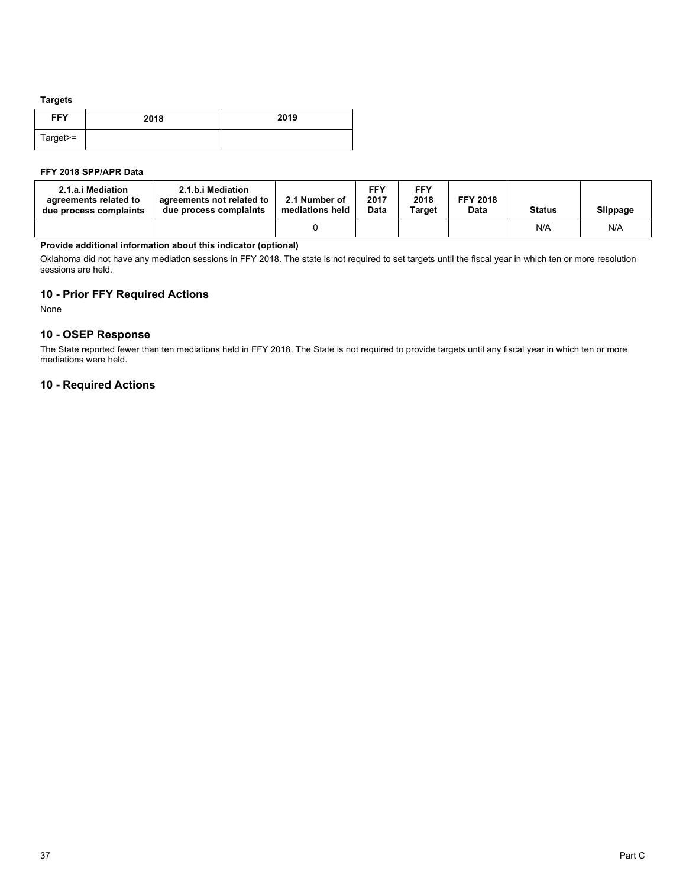#### **Targets**

| <b>FFY</b> | 2018 | 2019 |
|------------|------|------|
| Target>=   |      |      |

### **FFY 2018 SPP/APR Data**

| 2.1.a.i Mediation<br>agreements related to<br>due process complaints | 2.1.b.i Mediation<br>agreements not related to<br>due process complaints | 2.1 Number of<br>mediations held | FFY.<br>2017<br>Data | <b>FFY</b><br>2018<br>Target | <b>FFY 2018</b><br><b>Data</b> | <b>Status</b> | Slippage |
|----------------------------------------------------------------------|--------------------------------------------------------------------------|----------------------------------|----------------------|------------------------------|--------------------------------|---------------|----------|
|                                                                      |                                                                          |                                  |                      |                              |                                | N/A           | N/A      |

## **Provide additional information about this indicator (optional)**

Oklahoma did not have any mediation sessions in FFY 2018. The state is not required to set targets until the fiscal year in which ten or more resolution sessions are held.

## **10 - Prior FFY Required Actions**

None

## **10 - OSEP Response**

The State reported fewer than ten mediations held in FFY 2018. The State is not required to provide targets until any fiscal year in which ten or more mediations were held.

## **10 - Required Actions**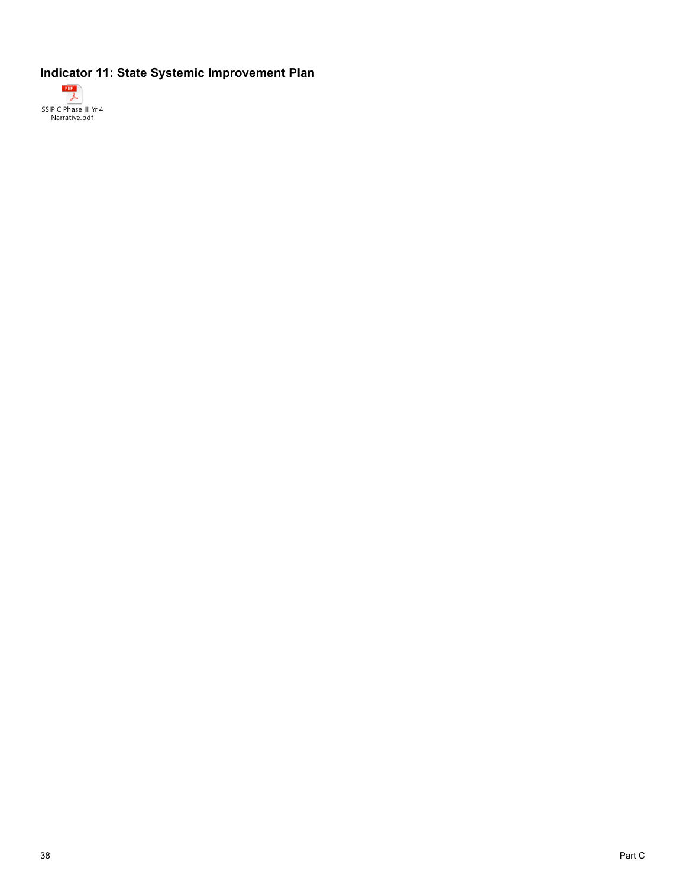## **Indicator 11: State Systemic Improvement Plan**

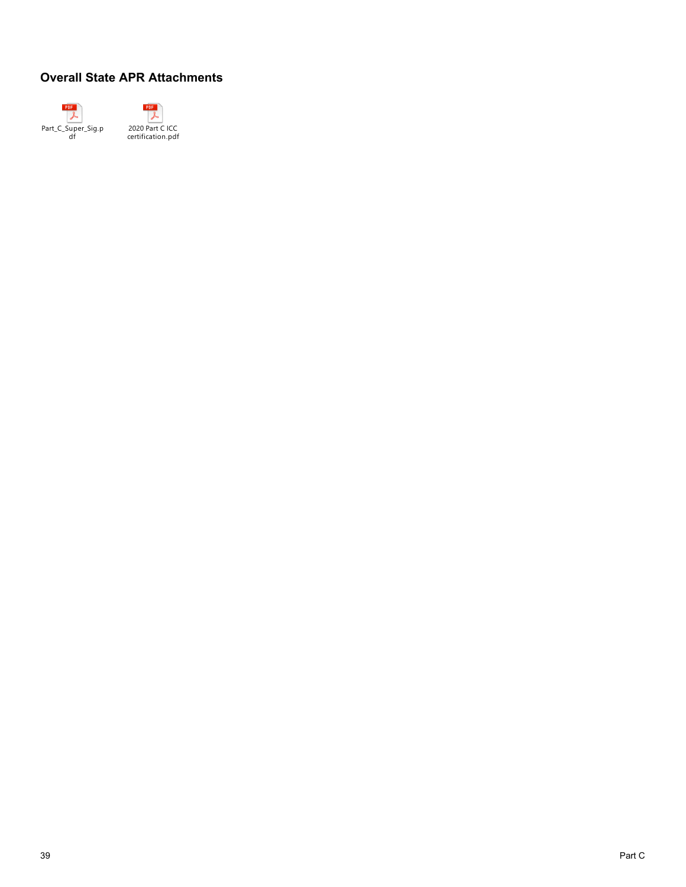# **Overall State APR Attachments**



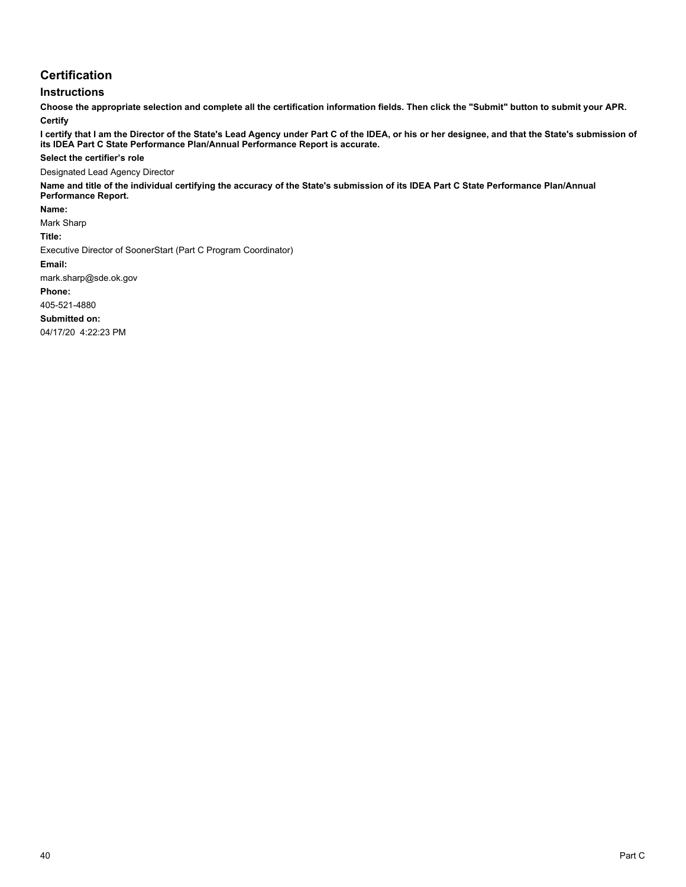## **Certification**

## **Instructions**

**Choose the appropriate selection and complete all the certification information fields. Then click the "Submit" button to submit your APR. Certify**

**I certify that I am the Director of the State's Lead Agency under Part C of the IDEA, or his or her designee, and that the State's submission of its IDEA Part C State Performance Plan/Annual Performance Report is accurate.**

#### **Select the certifier's role**

Designated Lead Agency Director

**Name and title of the individual certifying the accuracy of the State's submission of its IDEA Part C State Performance Plan/Annual Performance Report.**

**Name:** 

Mark Sharp

**Title:** 

Executive Director of SoonerStart (Part C Program Coordinator)

**Email:** 

mark.sharp@sde.ok.gov

**Phone:**

405-521-4880

**Submitted on:**

04/17/20 4:22:23 PM